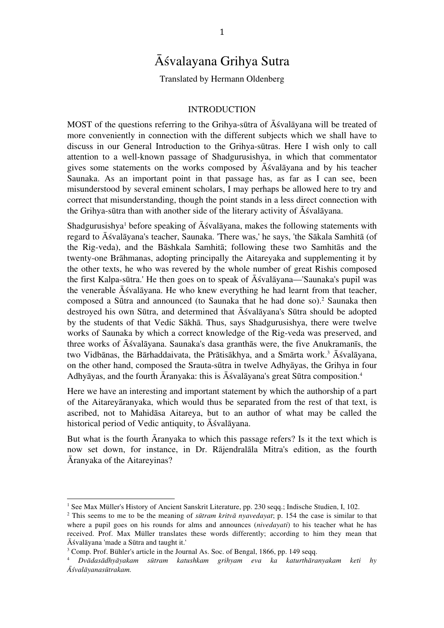# Āśvalayana Grihya Sutra

Translated by Hermann Oldenberg

#### INTRODUCTION

MOST of the questions referring to the Grihya-sūtra of Āśvalāyana will be treated of more conveniently in connection with the different subjects which we shall have to discuss in our General Introduction to the Grihya-sūtras. Here I wish only to call attention to a well-known passage of Shadgurusishya, in which that commentator gives some statements on the works composed by Āśvalāyana and by his teacher Saunaka. As an important point in that passage has, as far as I can see, been misunderstood by several eminent scholars, I may perhaps be allowed here to try and correct that misunderstanding, though the point stands in a less direct connection with the Grihya-sūtra than with another side of the literary activity of Āśvalāyana.

Shadgurusishya<sup>1</sup> before speaking of Aśvalāyana, makes the following statements with regard to Āśvalāyana's teacher, Saunaka. 'There was,' he says, 'the Sākala Samhitā (of the Rig-veda), and the Bāshkala Samhitā; following these two Samhitās and the twenty-one Brāhmanas, adopting principally the Aitareyaka and supplementing it by the other texts, he who was revered by the whole number of great Rishis composed the first Kalpa-sūtra.' He then goes on to speak of Āśvalāyana—'Saunaka's pupil was the venerable Āśvalāyana. He who knew everything he had learnt from that teacher, composed a Sūtra and announced (to Saunaka that he had done so). <sup>2</sup> Saunaka then destroyed his own Sūtra, and determined that Āśvalāyana's Sūtra should be adopted by the students of that Vedic Sākhā. Thus, says Shadgurusishya, there were twelve works of Saunaka by which a correct knowledge of the Rig-veda was preserved, and three works of Āśvalāyana. Saunaka's dasa granthās were, the five Anukramanīs, the two Vidbānas, the Bārhaddaivata, the Prātisākhya, and a Smārta work. <sup>3</sup> Āśvalāyana, on the other hand, composed the Srauta-sūtra in twelve Adhyāyas, the Grihya in four Adhyāyas, and the fourth Āranyaka: this is Āśvalāyana's great Sūtra composition. 4

Here we have an interesting and important statement by which the authorship of a part of the Aitareyāranyaka, which would thus be separated from the rest of that text, is ascribed, not to Mahidāsa Aitareya, but to an author of what may be called the historical period of Vedic antiquity, to Āśvalāyana.

But what is the fourth Āranyaka to which this passage refers? Is it the text which is now set down, for instance, in Dr. Rājendralāla Mitra's edition, as the fourth Āranyaka of the Aitareyinas?

<sup>&</sup>lt;sup>1</sup> See Max Müller's History of Ancient Sanskrit Literature, pp. 230 seqq.; Indische Studien, I, 102.

<sup>2</sup> This seems to me to be the meaning of *sūtram kritvā nyavedayat*; p. 154 the case is similar to that where a pupil goes on his rounds for alms and announces (*nivedayati*) to his teacher what he has received. Prof. Max Müller translates these words differently; according to him they mean that Āśvalāyana 'made a Sūtra and taught it.'

<sup>&</sup>lt;sup>3</sup> Comp. Prof. Bühler's article in the Journal As. Soc. of Bengal, 1866, pp. 149 seqq.

<sup>4</sup> *Dvādasādhyāyakam sūtram katushkam grihyam eva ka katurthāranyakam keti hy Āśvalāyanasūtrakam.*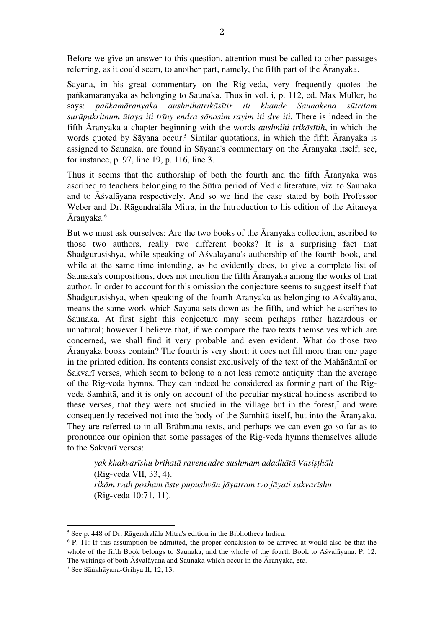Before we give an answer to this question, attention must be called to other passages referring, as it could seem, to another part, namely, the fifth part of the Āranyaka.

Sāyana, in his great commentary on the Rig-veda, very frequently quotes the pañkamāranyaka as belonging to Saunaka. Thus in vol. i, p. 112, ed. Max Müller, he says: *pañkamāranyaka aushnihatrikāsītir iti khande Saunakena sūtritam surūpakritnum ūtaya iti trīny endra sānasim rayim iti dve iti.* There is indeed in the fifth Āranyaka a chapter beginning with the words *aushnihi trikāsītih*, in which the words quoted by Sāyana occur. <sup>5</sup> Similar quotations, in which the fifth Āranyaka is assigned to Saunaka, are found in Sāyana's commentary on the Āranyaka itself; see, for instance, p. 97, line 19, p. 116, line 3.

Thus it seems that the authorship of both the fourth and the fifth Āranyaka was ascribed to teachers belonging to the Sūtra period of Vedic literature, viz. to Saunaka and to Āśvalāyana respectively. And so we find the case stated by both Professor Weber and Dr. Rāgendralāla Mitra, in the Introduction to his edition of the Aitareya Āranyaka. 6

But we must ask ourselves: Are the two books of the Āranyaka collection, ascribed to those two authors, really two different books? It is a surprising fact that Shadgurusishya, while speaking of Āśvalāyana's authorship of the fourth book, and while at the same time intending, as he evidently does, to give a complete list of Saunaka's compositions, does not mention the fifth Āranyaka among the works of that author. In order to account for this omission the conjecture seems to suggest itself that Shadgurusishya, when speaking of the fourth Āranyaka as belonging to Āśvalāyana, means the same work which Sāyana sets down as the fifth, and which he ascribes to Saunaka. At first sight this conjecture may seem perhaps rather hazardous or unnatural; however I believe that, if we compare the two texts themselves which are concerned, we shall find it very probable and even evident. What do those two Āranyaka books contain? The fourth is very short: it does not fill more than one page in the printed edition. Its contents consist exclusively of the text of the Mahānāmnī or Sakvarī verses, which seem to belong to a not less remote antiquity than the average of the Rig-veda hymns. They can indeed be considered as forming part of the Rigveda Samhitā, and it is only on account of the peculiar mystical holiness ascribed to these verses, that they were not studied in the village but in the forest, <sup>7</sup> and were consequently received not into the body of the Samhitā itself, but into the Āranyaka. They are referred to in all Brāhmana texts, and perhaps we can even go so far as to pronounce our opinion that some passages of the Rig-veda hymns themselves allude to the Sakvarī verses:

*yak khakvarīshu brihatā ravenendre sushmam adadhātā Vasiṣṭhāh*  (Rig-veda VII, 33, 4). *rikām tvah posham āste pupushvān jāyatram tvo jāyati sakvarīshu*  (Rig-veda 10:71, 11).

<sup>5</sup> See p. 448 of Dr. Rāgendralāla Mitra's edition in the Bibliotheca Indica.

<sup>&</sup>lt;sup>6</sup> P. 11: If this assumption be admitted, the proper conclusion to be arrived at would also be that the whole of the fifth Book belongs to Saunaka, and the whole of the fourth Book to Āśvalāyana. P. 12: The writings of both Āśvalāyana and Saunaka which occur in the Āranyaka, etc.

<sup>7</sup> See Sāṅkhāyana-Grihya II, 12, 13.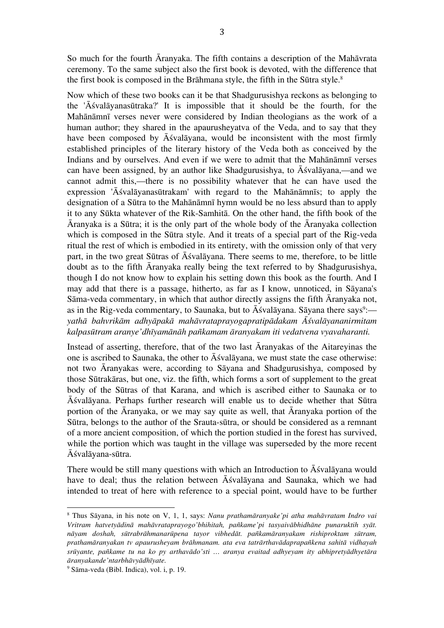So much for the fourth Āranyaka. The fifth contains a description of the Mahāvrata ceremony. To the same subject also the first book is devoted, with the difference that the first book is composed in the Brāhmana style, the fifth in the Sūtra style. 8

Now which of these two books can it be that Shadgurusishya reckons as belonging to the 'Āśvalāyanasūtraka?' It is impossible that it should be the fourth, for the Mahānāmnī verses never were considered by Indian theologians as the work of a human author; they shared in the apaurusheyatva of the Veda, and to say that they have been composed by Āśvalāyana, would be inconsistent with the most firmly established principles of the literary history of the Veda both as conceived by the Indians and by ourselves. And even if we were to admit that the Mahānāmnī verses can have been assigned, by an author like Shadgurusishya, to Āśvalāyana,—and we cannot admit this,—there is no possibility whatever that he can have used the expression 'Āśvalāyanasūtrakam' with regard to the Mahānāmnīs; to apply the designation of a Sūtra to the Mahānāmnī hymn would be no less absurd than to apply it to any Sūkta whatever of the Rik-Samhitā. On the other hand, the fifth book of the Āranyaka is a Sūtra; it is the only part of the whole body of the Āranyaka collection which is composed in the Sūtra style. And it treats of a special part of the Rig-veda ritual the rest of which is embodied in its entirety, with the omission only of that very part, in the two great Sūtras of Āśvalāyana. There seems to me, therefore, to be little doubt as to the fifth Āranyaka really being the text referred to by Shadgurusishya, though I do not know how to explain his setting down this book as the fourth. And I may add that there is a passage, hitherto, as far as I know, unnoticed, in Sāyana's Sāma-veda commentary, in which that author directly assigns the fifth Āranyaka not, as in the Rig-veda commentary, to Saunaka, but to Aśvalāyana. Sāyana there says<sup>9</sup>: *yathā bahvrikām adhyāpakā mahāvrataprayogapratipādakam Āśvalāyananirmitam kalpasūtram aranye'dhīyamānāh pañkamam āranyakam iti vedatvena vyavaharanti.*

Instead of asserting, therefore, that of the two last Āranyakas of the Aitareyinas the one is ascribed to Saunaka, the other to Āśvalāyana, we must state the case otherwise: not two Āranyakas were, according to Sāyana and Shadgurusishya, composed by those Sūtrakāras, but one, viz. the fifth, which forms a sort of supplement to the great body of the Sūtras of that Karana, and which is ascribed either to Saunaka or to Āśvalāyana. Perhaps further research will enable us to decide whether that Sūtra portion of the Āranyaka, or we may say quite as well, that Āranyaka portion of the Sūtra, belongs to the author of the Srauta-sūtra, or should be considered as a remnant of a more ancient composition, of which the portion studied in the forest has survived, while the portion which was taught in the village was superseded by the more recent Āśvalāyana-sūtra.

There would be still many questions with which an Introduction to Āśvalāyana would have to deal; thus the relation between Āśvalāyana and Saunaka, which we had intended to treat of here with reference to a special point, would have to be further

<sup>8</sup> Thus Sāyana, in his note on V, 1, 1, says: *Nanu prathamāranyake'pi atha mahāvratam Indro vai Vritram hatvetyādinā mahāvrataprayogo'bhihitah, pañkame'pi tasyaivābhidhāne punaruktih syāt. nāyam doshah, sūtrabrāhmanarūpena tayor vibhedāt. pañkamāranyakam rishiproktam sūtram, prathamāranyakan tv apaurusheyam brāhmanam. ata eva tatrārthavādaprapañkena sahitā vidhayah srūyante, pañkame tu na ko py arthavādo'sti … aranya evaitad adhyeyam ity abhipretyādhyetāra āranyakande'ntarbhāvyādhīyate.*

<sup>9</sup> Sāma-veda (Bibl. Indica), vol. i, p. 19.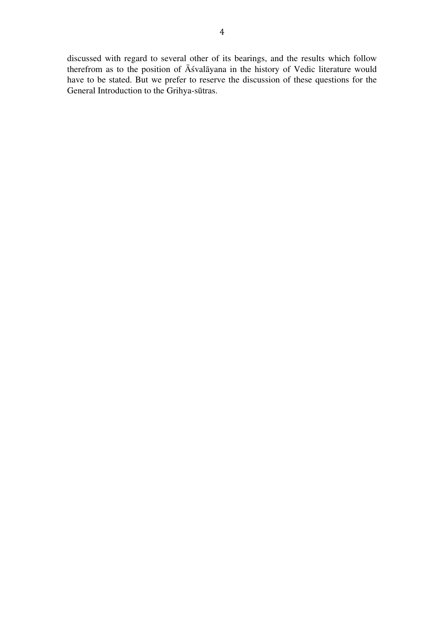discussed with regard to several other of its bearings, and the results which follow therefrom as to the position of Āśvalāyana in the history of Vedic literature would have to be stated. But we prefer to reserve the discussion of these questions for the General Introduction to the Grihya-sūtras.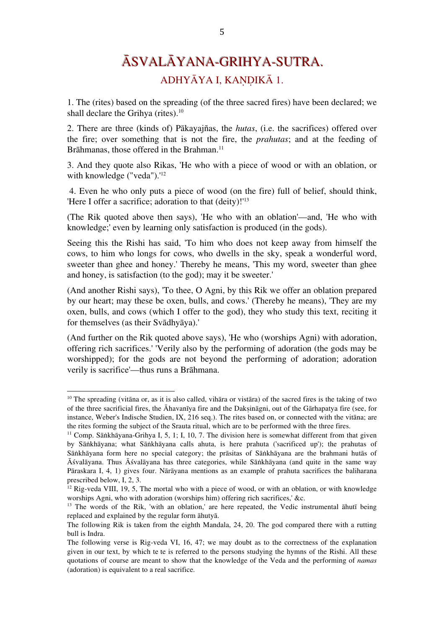# ĀSVALĀYANA-GRIHYA-SUTRA. ADHYĀYA I, KAṆḌIKĀ 1.

1. The (rites) based on the spreading (of the three sacred fires) have been declared; we shall declare the Grihya (rites). 10

2. There are three (kinds of) Pākayajñas, the *hutas*, (i.e. the sacrifices) offered over the fire; over something that is not the fire, the *prahutas*; and at the feeding of Brāhmanas, those offered in the Brahman.<sup>11</sup>

3. And they quote also Rikas, 'He who with a piece of wood or with an oblation, or with knowledge ("veda").' 12

4. Even he who only puts a piece of wood (on the fire) full of belief, should think, 'Here I offer a sacrifice; adoration to that (deity)!'<sup>13</sup>

(The Rik quoted above then says), 'He who with an oblation'—and, 'He who with knowledge;' even by learning only satisfaction is produced (in the gods).

Seeing this the Rishi has said, 'To him who does not keep away from himself the cows, to him who longs for cows, who dwells in the sky, speak a wonderful word, sweeter than ghee and honey.' Thereby he means, 'This my word, sweeter than ghee and honey, is satisfaction (to the god); may it be sweeter.'

(And another Rishi says), 'To thee, O Agni, by this Rik we offer an oblation prepared by our heart; may these be oxen, bulls, and cows.' (Thereby he means), 'They are my oxen, bulls, and cows (which I offer to the god), they who study this text, reciting it for themselves (as their Svādhyāya).'

(And further on the Rik quoted above says), 'He who (worships Agni) with adoration, offering rich sacrifices.' 'Verily also by the performing of adoration (the gods may be worshipped); for the gods are not beyond the performing of adoration; adoration verily is sacrifice'—thus runs a Brāhmana.

<sup>&</sup>lt;sup>10</sup> The spreading (vitāna or, as it is also called, vihāra or vistāra) of the sacred fires is the taking of two of the three sacrificial fires, the Āhavanīya fire and the Dakṣināgni, out of the Gārhapatya fire (see, for instance, Weber's Indische Studien, IX, 216 seq.). The rites based on, or connected with the vitāna; are the rites forming the subject of the Srauta ritual, which are to be performed with the three fires.

<sup>&</sup>lt;sup>11</sup> Comp. Sāṅkhāyana-Grihya I, 5, 1; I, 10, 7. The division here is somewhat different from that given by Sāṅkhāyana; what Sāṅkhāyana calls ahuta, is here prahuta ('sacrificed up'); the prahutas of Sāṅkhāyana form here no special category; the prāsitas of Sāṅkhāyana are the brahmani hutās of Āśvalāyana. Thus Āśvalāyana has three categories, while Sāṅkhāyana (and quite in the same way Pāraskara I, 4, 1) gives four. Nārāyana mentions as an example of prahuta sacrifices the baliharana prescribed below, I, 2, 3.

<sup>&</sup>lt;sup>12</sup> Rig-veda VIII, 19, 5, The mortal who with a piece of wood, or with an oblation, or with knowledge worships Agni, who with adoration (worships him) offering rich sacrifices,' &c.

<sup>&</sup>lt;sup>13</sup> The words of the Rik, 'with an oblation,' are here repeated, the Vedic instrumental āhutī being replaced and explained by the regular form āhutyā.

The following Rik is taken from the eighth Mandala, 24, 20. The god compared there with a rutting bull is Indra.

The following verse is Rig-veda VI, 16, 47; we may doubt as to the correctness of the explanation given in our text, by which te te is referred to the persons studying the hymns of the Rishi. All these quotations of course are meant to show that the knowledge of the Veda and the performing of *namas* (adoration) is equivalent to a real sacrifice.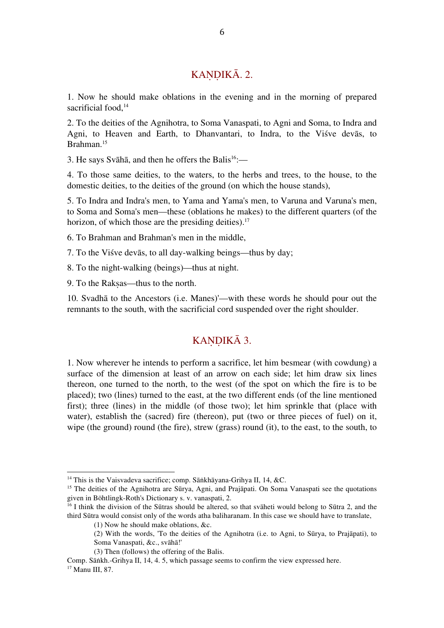## KANDIKĀ. 2.

1. Now he should make oblations in the evening and in the morning of prepared sacrificial food, 14

2. To the deities of the Agnihotra, to Soma Vanaspati, to Agni and Soma, to Indra and Agni, to Heaven and Earth, to Dhanvantari, to Indra, to the Viśve devās, to Brahman. 15

3. He says Svāhā, and then he offers the Balis<sup>16</sup>:-

4. To those same deities, to the waters, to the herbs and trees, to the house, to the domestic deities, to the deities of the ground (on which the house stands),

5. To Indra and Indra's men, to Yama and Yama's men, to Varuna and Varuna's men, to Soma and Soma's men—these (oblations he makes) to the different quarters (of the horizon, of which those are the presiding deities).<sup>17</sup>

6. To Brahman and Brahman's men in the middle,

7. To the Viśve devās, to all day-walking beings—thus by day;

8. To the night-walking (beings)—thus at night.

9. To the Rakṣas—thus to the north.

10. Svadhā to the Ancestors (i.e. Manes)'—with these words he should pour out the remnants to the south, with the sacrificial cord suspended over the right shoulder.

### KANDIKĀ 3.

1. Now wherever he intends to perform a sacrifice, let him besmear (with cowdung) a surface of the dimension at least of an arrow on each side; let him draw six lines thereon, one turned to the north, to the west (of the spot on which the fire is to be placed); two (lines) turned to the east, at the two different ends (of the line mentioned first); three (lines) in the middle (of those two); let him sprinkle that (place with water), establish the (sacred) fire (thereon), put (two or three pieces of fuel) on it, wipe (the ground) round (the fire), strew (grass) round (it), to the east, to the south, to

<sup>&</sup>lt;sup>14</sup> This is the Vaisvadeva sacrifice; comp. Sāṅkhāyana-Grihya II, 14, &C.

<sup>&</sup>lt;sup>15</sup> The deities of the Agnihotra are Sūrya, Agni, and Prajāpati. On Soma Vanaspati see the quotations given in Böhtlingk-Roth's Dictionary s. v. vanaspati, 2.

 $16$  I think the division of the Sūtras should be altered, so that svaheti would belong to Sūtra 2, and the third Sūtra would consist only of the words atha baliharanam. In this case we should have to translate,

<sup>(1)</sup> Now he should make oblations, &c.

<sup>(2)</sup> With the words, 'To the deities of the Agnihotra (i.e. to Agni, to Sūrya, to Prajāpati), to Soma Vanaspati, &c., svāhā!'

<sup>(3)</sup> Then (follows) the offering of the Balis.

Comp. Sāṅkh.-Grihya II, 14, 4. 5, which passage seems to confirm the view expressed here. <sup>17</sup> Manu III, 87.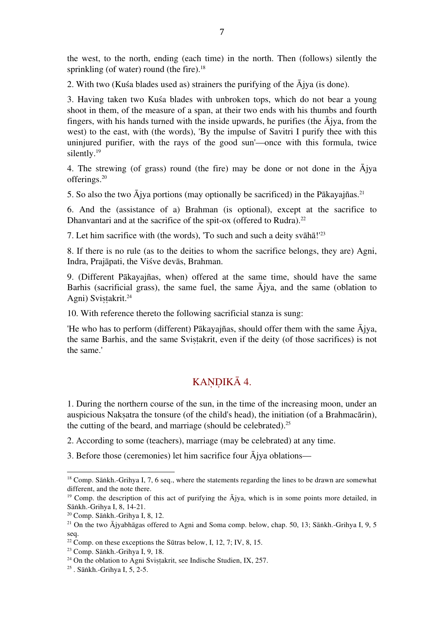the west, to the north, ending (each time) in the north. Then (follows) silently the sprinkling (of water) round (the fire).<sup>18</sup>

2. With two (Kuśa blades used as) strainers the purifying of the  $\bar{A}$ jya (is done).

3. Having taken two Kuśa blades with unbroken tops, which do not bear a young shoot in them, of the measure of a span, at their two ends with his thumbs and fourth fingers, with his hands turned with the inside upwards, he purifies (the  $\bar{A}$ jya, from the west) to the east, with (the words), 'By the impulse of Savitri I purify thee with this uninjured purifier, with the rays of the good sun'—once with this formula, twice silently. 19

4. The strewing (of grass) round (the fire) may be done or not done in the Ājya offerings. 20

5. So also the two Ājya portions (may optionally be sacrificed) in the Pākayajñas. 21

6. And the (assistance of a) Brahman (is optional), except at the sacrifice to Dhanvantari and at the sacrifice of the spit-ox (offered to Rudra).<sup>22</sup>

7. Let him sacrifice with (the words), 'To such and such a deity svāhā!' 23

8. If there is no rule (as to the deities to whom the sacrifice belongs, they are) Agni, Indra, Prajāpati, the Viśve devās, Brahman.

9. (Different Pākayajñas, when) offered at the same time, should have the same Barhis (sacrificial grass), the same fuel, the same Ājya, and the same (oblation to Agni) Sviṣṭakrit. 24

10. With reference thereto the following sacrificial stanza is sung:

'He who has to perform (different) Pākayajñas, should offer them with the same Ājya, the same Barhis, and the same Svistakrit, even if the deity (of those sacrifices) is not the same.'

### KANDIKĀ 4.

1. During the northern course of the sun, in the time of the increasing moon, under an auspicious Nakṣatra the tonsure (of the child's head), the initiation (of a Brahmacārin), the cutting of the beard, and marriage (should be celebrated).<sup>25</sup>

- 2. According to some (teachers), marriage (may be celebrated) at any time.
- 3. Before those (ceremonies) let him sacrifice four Ājya oblations—

<sup>&</sup>lt;sup>18</sup> Comp. Sāṅkh.-Grihya I, 7, 6 seq., where the statements regarding the lines to be drawn are somewhat different, and the note there.

<sup>&</sup>lt;sup>19</sup> Comp. the description of this act of purifying the Ājya, which is in some points more detailed, in Sāṅkh.-Grihya I, 8, 14-21.

<sup>20</sup> Comp. Sāṅkh.-Grihya I, 8, 12.

<sup>&</sup>lt;sup>21</sup> On the two  $\overline{A}$ jyabhāgas offered to Agni and Soma comp. below, chap. 50, 13; Sāṅkh.-Grihya I, 9, 5 seq.

<sup>&</sup>lt;sup>22</sup> Comp. on these exceptions the Sūtras below, I, 12, 7; IV, 8, 15.

<sup>23</sup> Comp. Sāṅkh.-Grihya I, 9, 18.

 $24$  On the oblation to Agni Svistakrit, see Indische Studien, IX, 257.

<sup>25</sup> . Sāṅkh.-Grihya I, 5, 2-5.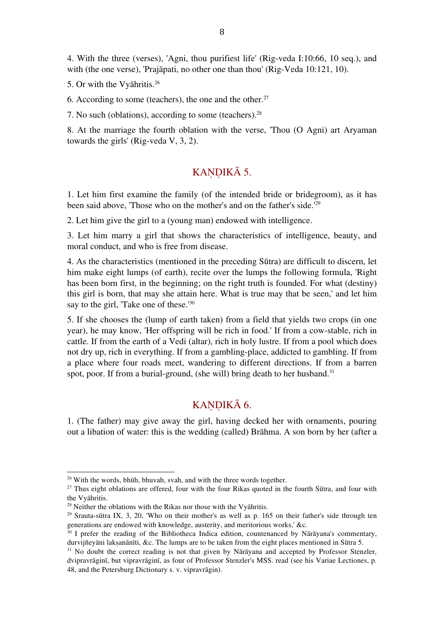4. With the three (verses), 'Agni, thou purifiest life' (Rig-veda I:10:66, 10 seq.), and with (the one verse), 'Prajāpati, no other one than thou' (Rig-Veda 10:121, 10).

5. Or with the Vyāhritis. 26

6. According to some (teachers), the one and the other. $27$ 

7. No such (oblations), according to some (teachers). 28

8. At the marriage the fourth oblation with the verse, 'Thou (O Agni) art Aryaman towards the girls' (Rig-veda V, 3, 2).

### KANDIKĀ 5.

1. Let him first examine the family (of the intended bride or bridegroom), as it has been said above, 'Those who on the mother's and on the father's side.' 29

2. Let him give the girl to a (young man) endowed with intelligence.

3. Let him marry a girl that shows the characteristics of intelligence, beauty, and moral conduct, and who is free from disease.

4. As the characteristics (mentioned in the preceding Sūtra) are difficult to discern, let him make eight lumps (of earth), recite over the lumps the following formula, 'Right has been born first, in the beginning; on the right truth is founded. For what (destiny) this girl is born, that may she attain here. What is true may that be seen,' and let him say to the girl, 'Take one of these.'<sup>30</sup>

5. If she chooses the (lump of earth taken) from a field that yields two crops (in one year), he may know, 'Her offspring will be rich in food.' If from a cow-stable, rich in cattle. If from the earth of a Vedi (altar), rich in holy lustre. If from a pool which does not dry up, rich in everything. If from a gambling-place, addicted to gambling. If from a place where four roads meet, wandering to different directions. If from a barren spot, poor. If from a burial-ground, (she will) bring death to her husband.<sup>31</sup>

### KANDIKĀ 6.

1. (The father) may give away the girl, having decked her with ornaments, pouring out a libation of water: this is the wedding (called) Brāhma. A son born by her (after a

<sup>&</sup>lt;sup>26</sup> With the words, bhūh, bhuvah, svah, and with the three words together.

 $27$  Thus eight oblations are offered, four with the four Rikas quoted in the fourth Sūtra, and four with the Vyāhritis.

<sup>&</sup>lt;sup>28</sup> Neither the oblations with the Rikas nor those with the Vyāhritis.

 $29$  Srauta-sūtra IX, 3, 20, 'Who on their mother's as well as p. 165 on their father's side through ten generations are endowed with knowledge, austerity, and meritorious works,' &c.

<sup>&</sup>lt;sup>30</sup> I prefer the reading of the Bibliotheca Indica edition, countenanced by Nārāyana's commentary, durvijñeyāni lakṣanānīti, &c. The lumps are to be taken from the eight places mentioned in Sūtra 5.

<sup>&</sup>lt;sup>31</sup> No doubt the correct reading is not that given by Nārāyana and accepted by Professor Stenzler, dvipravrāginī, but vipravrāginī, as four of Professor Stenzler's MSS. read (see his Variae Lectiones, p. 48, and the Petersburg Dictionary s. v. vipravrāgin).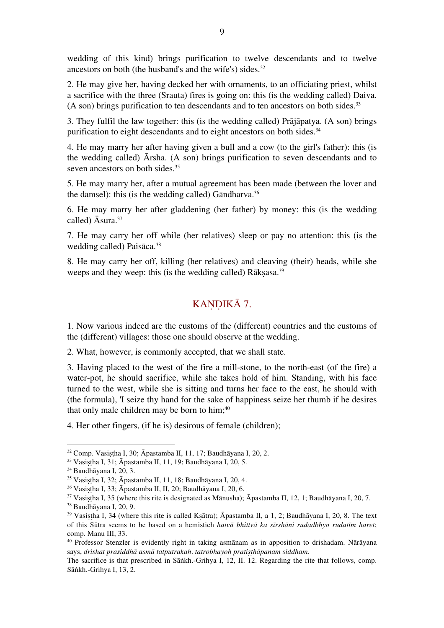wedding of this kind) brings purification to twelve descendants and to twelve ancestors on both (the husband's and the wife's) sides. 32

2. He may give her, having decked her with ornaments, to an officiating priest, whilst a sacrifice with the three (Srauta) fires is going on: this (is the wedding called) Daiva. (A son) brings purification to ten descendants and to ten ancestors on both sides. 33

3. They fulfil the law together: this (is the wedding called) Prājāpatya. (A son) brings purification to eight descendants and to eight ancestors on both sides.<sup>34</sup>

4. He may marry her after having given a bull and a cow (to the girl's father): this (is the wedding called) Ārsha. (A son) brings purification to seven descendants and to seven ancestors on both sides.<sup>35</sup>

5. He may marry her, after a mutual agreement has been made (between the lover and the damsel): this (is the wedding called) Gāndharva. 36

6. He may marry her after gladdening (her father) by money: this (is the wedding called) Āsura. 37

7. He may carry her off while (her relatives) sleep or pay no attention: this (is the wedding called) Paisāca. 38

8. He may carry her off, killing (her relatives) and cleaving (their) heads, while she weeps and they weep: this (is the wedding called) Rākṣasa.<sup>39</sup>

#### KANDIKĀ 7.

1. Now various indeed are the customs of the (different) countries and the customs of the (different) villages: those one should observe at the wedding.

2. What, however, is commonly accepted, that we shall state.

3. Having placed to the west of the fire a mill-stone, to the north-east (of the fire) a water-pot, he should sacrifice, while she takes hold of him. Standing, with his face turned to the west, while she is sitting and turns her face to the east, he should with (the formula), 'I seize thy hand for the sake of happiness seize her thumb if he desires that only male children may be born to him; 40

4. Her other fingers, (if he is) desirous of female (children);

 $32$  Comp. Vasistha I, 30; Āpastamba II, 11, 17; Baudhāyana I, 20, 2.

<sup>&</sup>lt;sup>33</sup> Vasistha I, 31; Āpastamba II, 11, 19; Baudhāyana I, 20, 5.

<sup>34</sup> Baudhāyana I, 20, 3.

<sup>35</sup> Vasiṣṭha I, 32; Āpastamba II, 11, 18; Baudhāyana I, 20, 4.

<sup>36</sup> Vasiṣṭha I, 33; Āpastamba II, II, 20; Baudhāyana I, 20, 6.

 $37$  Vasistha I, 35 (where this rite is designated as Mānusha);  $\bar{A}$ pastamba II, 12, 1; Baudhāyana I, 20, 7.

<sup>38</sup> Baudhāyana I, 20, 9.

<sup>39</sup> Vasiṣṭha I, 34 (where this rite is called Kṣātra); Āpastamba II, a 1, 2; Baudhāyana I, 20, 8. The text of this Sūtra seems to be based on a hemistich *hatvā bhittvā ka sīrshāni rudadbhyo rudatīm haret*; comp. Manu III, 33.

<sup>40</sup> Professor Stenzler is evidently right in taking asmānam as in apposition to drishadam. Nārāyana says, *drishat prasiddhā asmā tatputrakah*. *tatrobhayoh pratiṣṭhāpanam siddham*.

The sacrifice is that prescribed in Sāṅkh.-Grihya I, 12, II. 12. Regarding the rite that follows, comp. Sāṅkh.-Grihya I, 13, 2.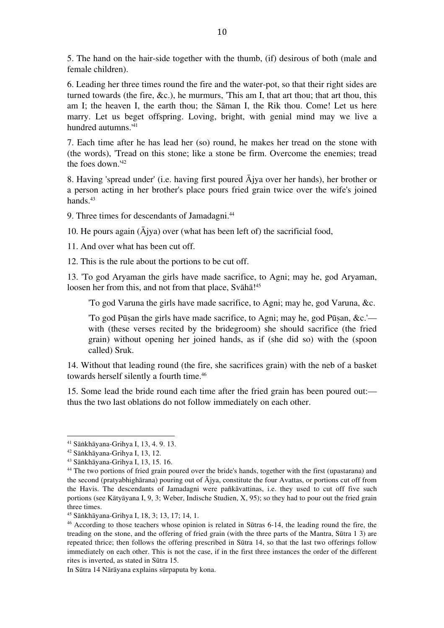5. The hand on the hair-side together with the thumb, (if) desirous of both (male and female children).

6. Leading her three times round the fire and the water-pot, so that their right sides are turned towards (the fire, &c.), he murmurs, 'This am I, that art thou; that art thou, this am I; the heaven I, the earth thou; the Sāman I, the Rik thou. Come! Let us here marry. Let us beget offspring. Loving, bright, with genial mind may we live a hundred autumns.' 41

7. Each time after he has lead her (so) round, he makes her tread on the stone with (the words), 'Tread on this stone; like a stone be firm. Overcome the enemies; tread the foes down.' 42

8. Having 'spread under' (i.e. having first poured Ājya over her hands), her brother or a person acting in her brother's place pours fried grain twice over the wife's joined hands. 43

9. Three times for descendants of Jamadagni. 44

10. He pours again  $(A$ jya) over (what has been left of) the sacrificial food,

11. And over what has been cut off.

12. This is the rule about the portions to be cut off.

13. 'To god Aryaman the girls have made sacrifice, to Agni; may he, god Aryaman, loosen her from this, and not from that place, Svāhā!<sup>45</sup>

'To god Varuna the girls have made sacrifice, to Agni; may he, god Varuna, &c.

'To god Pūṣan the girls have made sacrifice, to Agni; may he, god Pūṣan, &c.' with (these verses recited by the bridegroom) she should sacrifice (the fried grain) without opening her joined hands, as if (she did so) with the (spoon called) Sruk.

14. Without that leading round (the fire, she sacrifices grain) with the neb of a basket towards herself silently a fourth time. 46

15. Some lead the bride round each time after the fried grain has been poured out: thus the two last oblations do not follow immediately on each other.

In Sūtra 14 Nārāyana explains sūrpaputa by kona.

 <sup>41</sup> Sāṅkhāyana-Grihya I, 13, 4. 9. 13.

<sup>42</sup> Sāṅkhāyana-Grihya I, 13, 12.

<sup>43</sup> Sāṅkhāyana-Grihya I, 13, 15. 16.

<sup>44</sup> The two portions of fried grain poured over the bride's hands, together with the first (upastarana) and the second (pratyabhighārana) pouring out of Ājya, constitute the four Avattas, or portions cut off from the Havis. The descendants of Jamadagni were pañkāvattinas, i.e. they used to cut off five such portions (see Kātyāyana I, 9, 3; Weber, Indische Studien, X, 95); so they had to pour out the fried grain three times.

<sup>45</sup> Sāṅkhāyana-Grihya I, 18, 3; 13, 17; 14, 1.

<sup>46</sup> According to those teachers whose opinion is related in Sūtras 6-14, the leading round the fire, the treading on the stone, and the offering of fried grain (with the three parts of the Mantra, Sūtra 1 3) are repeated thrice; then follows the offering prescribed in Sūtra 14, so that the last two offerings follow immediately on each other. This is not the case, if in the first three instances the order of the different rites is inverted, as stated in Sūtra 15.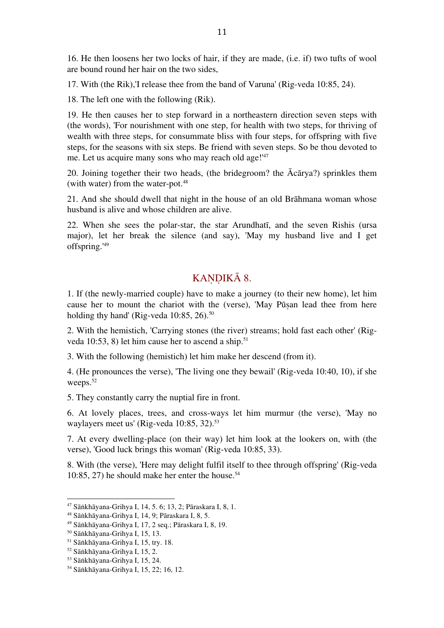16. He then loosens her two locks of hair, if they are made, (i.e. if) two tufts of wool are bound round her hair on the two sides,

17. With (the Rik),'I release thee from the band of Varuna' (Rig-veda 10:85, 24).

18. The left one with the following (Rik).

19. He then causes her to step forward in a northeastern direction seven steps with (the words), 'For nourishment with one step, for health with two steps, for thriving of wealth with three steps, for consummate bliss with four steps, for offspring with five steps, for the seasons with six steps. Be friend with seven steps. So be thou devoted to me. Let us acquire many sons who may reach old age!' 47

20. Joining together their two heads, (the bridegroom? the Ācārya?) sprinkles them (with water) from the water-pot.<sup>48</sup>

21. And she should dwell that night in the house of an old Brāhmana woman whose husband is alive and whose children are alive.

22. When she sees the polar-star, the star Arundhatī, and the seven Rishis (ursa major), let her break the silence (and say), 'May my husband live and I get offspring.' 49

### KANDIKĀ 8.

1. If (the newly-married couple) have to make a journey (to their new home), let him cause her to mount the chariot with the (verse), 'May Pūṣan lead thee from here holding thy hand' (Rig-veda 10:85, 26).<sup>50</sup>

2. With the hemistich, 'Carrying stones (the river) streams; hold fast each other' (Rigveda 10:53, 8) let him cause her to ascend a ship. 51

3. With the following (hemistich) let him make her descend (from it).

4. (He pronounces the verse), 'The living one they bewail' (Rig-veda 10:40, 10), if she weeps.<sup>52</sup>

5. They constantly carry the nuptial fire in front.

6. At lovely places, trees, and cross-ways let him murmur (the verse), 'May no waylayers meet us' (Rig-veda 10:85, 32). 53

7. At every dwelling-place (on their way) let him look at the lookers on, with (the verse), 'Good luck brings this woman' (Rig-veda 10:85, 33).

8. With (the verse), 'Here may delight fulfil itself to thee through offspring' (Rig-veda 10:85, 27) he should make her enter the house. 54

<sup>47</sup> Sāṅkhāyana-Grihya I, 14, 5. 6; 13, 2; Pāraskara I, 8, 1.

<sup>48</sup> Sāṅkhāyana-Grihya I, 14, 9; Pāraskara I, 8, 5.

<sup>49</sup> Sāṅkhāyana-Grihya I, 17, 2 seq.; Pāraskara I, 8, 19.

<sup>50</sup> Sāṅkhāyana-Grihya I, 15, 13.

<sup>51</sup> Sāṅkhāyana-Grihya I, 15, try. 18.

<sup>52</sup> Sāṅkhāyana-Grihya I, 15, 2.

<sup>53</sup> Sāṅkhāyana-Grihya I, 15, 24.

<sup>54</sup> Sāṅkhāyana-Grihya I, 15, 22; 16, 12.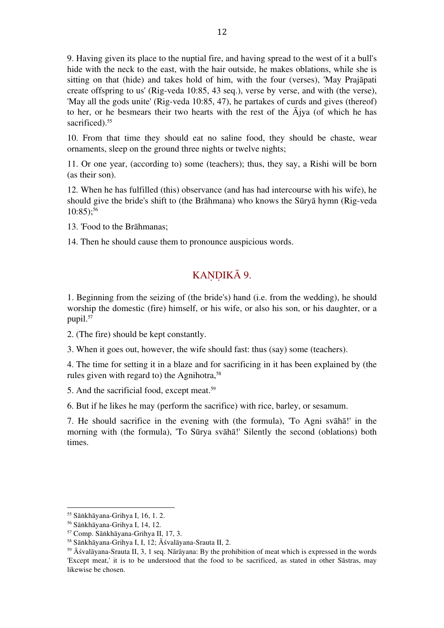9. Having given its place to the nuptial fire, and having spread to the west of it a bull's hide with the neck to the east, with the hair outside, he makes oblations, while she is sitting on that (hide) and takes hold of him, with the four (verses), 'May Prajāpati create offspring to us' (Rig-veda 10:85, 43 seq.), verse by verse, and with (the verse), 'May all the gods unite' (Rig-veda 10:85, 47), he partakes of curds and gives (thereof) to her, or he besmears their two hearts with the rest of the Ājya (of which he has sacrificed). 55

10. From that time they should eat no saline food, they should be chaste, wear ornaments, sleep on the ground three nights or twelve nights;

11. Or one year, (according to) some (teachers); thus, they say, a Rishi will be born (as their son).

12. When he has fulfilled (this) observance (and has had intercourse with his wife), he should give the bride's shift to (the Brāhmana) who knows the Sūryā hymn (Rig-veda 10:85); 56

- 13. 'Food to the Brāhmanas;
- 14. Then he should cause them to pronounce auspicious words.

## KANDIKĀ 9.

1. Beginning from the seizing of (the bride's) hand (i.e. from the wedding), he should worship the domestic (fire) himself, or his wife, or also his son, or his daughter, or a pupil. 57

2. (The fire) should be kept constantly.

3. When it goes out, however, the wife should fast: thus (say) some (teachers).

4. The time for setting it in a blaze and for sacrificing in it has been explained by (the rules given with regard to) the Agnihotra, 58

5. And the sacrificial food, except meat. 59

6. But if he likes he may (perform the sacrifice) with rice, barley, or sesamum.

7. He should sacrifice in the evening with (the formula), 'To Agni svāhā!' in the morning with (the formula), 'To Sūrya svāhā!' Silently the second (oblations) both times.

 <sup>55</sup> Sāṅkhāyana-Grihya I, 16, 1. 2.

<sup>56</sup> Sāṅkhāyana-Grihya I, 14, 12.

<sup>57</sup> Comp. Sāṅkhāyana-Grihya II, 17, 3.

<sup>58</sup> Sāṅkhāyana-Grihya I, I, 12; Āśvalāyana-Srauta II, 2.

 $59$   $\overline{\text{A}}$ śvalāyana-Srauta II, 3, 1 seq. Nārāyana: By the prohibition of meat which is expressed in the words 'Except meat,' it is to be understood that the food to be sacrificed, as stated in other Sāstras, may likewise be chosen.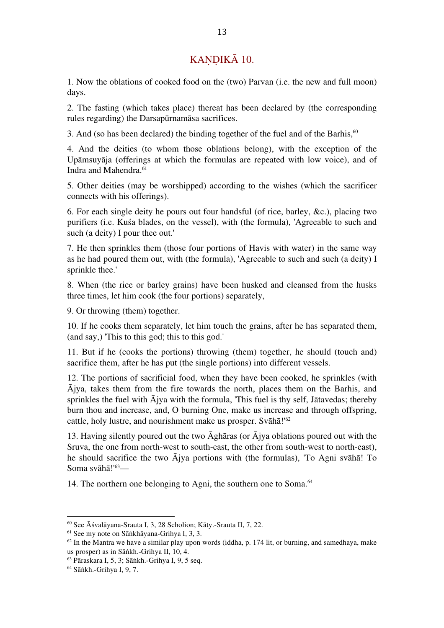### KANDIKĀ 10.

1. Now the oblations of cooked food on the (two) Parvan (i.e. the new and full moon) days.

2. The fasting (which takes place) thereat has been declared by (the corresponding rules regarding) the Darsapūrnamāsa sacrifices.

3. And (so has been declared) the binding together of the fuel and of the Barhis, 60

4. And the deities (to whom those oblations belong), with the exception of the Upāmsuyāja (offerings at which the formulas are repeated with low voice), and of Indra and Mahendra. 61

5. Other deities (may be worshipped) according to the wishes (which the sacrificer connects with his offerings).

6. For each single deity he pours out four handsful (of rice, barley, &c.), placing two purifiers (i.e. Kuśa blades, on the vessel), with (the formula), 'Agreeable to such and such (a deity) I pour thee out.'

7. He then sprinkles them (those four portions of Havis with water) in the same way as he had poured them out, with (the formula), 'Agreeable to such and such (a deity) I sprinkle thee.'

8. When (the rice or barley grains) have been husked and cleansed from the husks three times, let him cook (the four portions) separately,

9. Or throwing (them) together.

10. If he cooks them separately, let him touch the grains, after he has separated them, (and say,) 'This to this god; this to this god.'

11. But if he (cooks the portions) throwing (them) together, he should (touch and) sacrifice them, after he has put (the single portions) into different vessels.

12. The portions of sacrificial food, when they have been cooked, he sprinkles (with Ājya, takes them from the fire towards the north, places them on the Barhis, and sprinkles the fuel with Ājya with the formula, 'This fuel is thy self, Jātavedas; thereby burn thou and increase, and, O burning One, make us increase and through offspring, cattle, holy lustre, and nourishment make us prosper. Svāhā!' 62

13. Having silently poured out the two Āghāras (or Ājya oblations poured out with the Sruva, the one from north-west to south-east, the other from south-west to north-east), he should sacrifice the two Ājya portions with (the formulas), 'To Agni svāhā! To Soma svāhā!' 63—

14. The northern one belonging to Agni, the southern one to Soma. 64

<sup>60</sup> See Āśvalāyana-Srauta I, 3, 28 Scholion; Kāty.-Srauta II, 7, 22.

<sup>61</sup> See my note on Sāṅkhāyana-Grihya I, 3, 3.

 $62$  In the Mantra we have a similar play upon words (iddha, p. 174 lit, or burning, and samedhaya, make us prosper) as in Sāṅkh.-Grihya II, 10, 4.

<sup>63</sup> Pāraskara I, 5, 3; Sāṅkh.-Grihya I, 9, 5 seq.

<sup>64</sup> Sāṅkh.-Grihya I, 9, 7.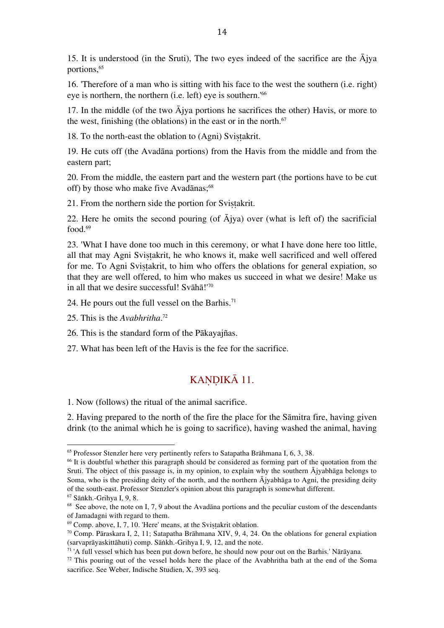15. It is understood (in the Sruti), The two eyes indeed of the sacrifice are the  $\overline{A}$ jya portions, 65

16. 'Therefore of a man who is sitting with his face to the west the southern (i.e. right) eye is northern, the northern (i.e. left) eye is southern.' 66

17. In the middle (of the two  $\bar{A}$ jya portions he sacrifices the other) Havis, or more to the west, finishing (the oblations) in the east or in the north. 67

18. To the north-east the oblation to (Agni) Svistakrit.

19. He cuts off (the Avadāna portions) from the Havis from the middle and from the eastern part;

20. From the middle, the eastern part and the western part (the portions have to be cut off) by those who make five Avadānas; 68

21. From the northern side the portion for Svistakrit.

22. Here he omits the second pouring (of  $\overline{A}$ jya) over (what is left of) the sacrificial food. 69

23. 'What I have done too much in this ceremony, or what I have done here too little, all that may Agni Svistakrit, he who knows it, make well sacrificed and well offered for me. To Agni Sviṣṭakrit, to him who offers the oblations for general expiation, so that they are well offered, to him who makes us succeed in what we desire! Make us in all that we desire successful! Svāhā!' 70

24. He pours out the full vessel on the Barhis. 71

25. This is the *Avabhritha*. 72

 

26. This is the standard form of the Pākayajñas.

27. What has been left of the Havis is the fee for the sacrifice.

### KAŅDIKĀ 11.

1. Now (follows) the ritual of the animal sacrifice.

2. Having prepared to the north of the fire the place for the Sāmitra fire, having given drink (to the animal which he is going to sacrifice), having washed the animal, having

<sup>&</sup>lt;sup>65</sup> Professor Stenzler here very pertinently refers to Satapatha Brāhmana I, 6, 3, 38.

<sup>&</sup>lt;sup>66</sup> It is doubtful whether this paragraph should be considered as forming part of the quotation from the Sruti. The object of this passage is, in my opinion, to explain why the southern  $\overline{A}$ jyabhāga belongs to Soma, who is the presiding deity of the north, and the northern Ājyabhāga to Agni, the presiding deity of the south-east. Professor Stenzler's opinion about this paragraph is somewhat different.

<sup>67</sup> Sāṅkh.-Grihya I, 9, 8.

<sup>&</sup>lt;sup>68</sup> See above, the note on I, 7, 9 about the Avadāna portions and the peculiar custom of the descendants of Jamadagni with regard to them.

<sup>69</sup> Comp. above, I, 7, 10. 'Here' means, at the Sviṣṭakrit oblation.

<sup>70</sup> Comp. Pāraskara I, 2, 11; Satapatha Brāhmana XIV, 9, 4, 24. On the oblations for general expiation (sarvaprāyaskittāhuti) comp. Sāṅkh.-Grihya I, 9, 12, and the note.

 $71$ <sup>'</sup>A full vessel which has been put down before, he should now pour out on the Barhis.' Nārāyana.

<sup>&</sup>lt;sup>72</sup> This pouring out of the vessel holds here the place of the Avabhritha bath at the end of the Soma sacrifice. See Weber, Indische Studien, X, 393 seq.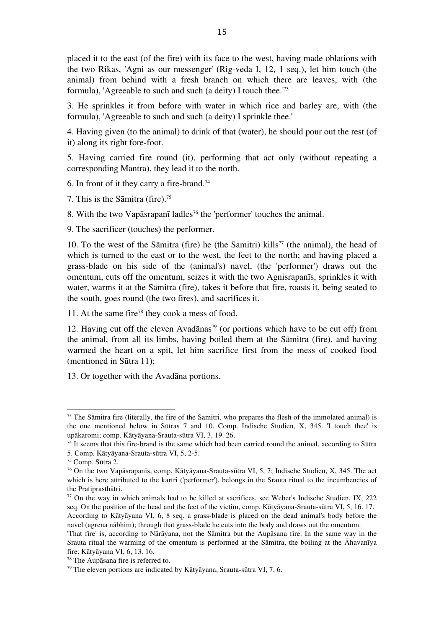placed it to the east (of the fire) with its face to the west, having made oblations with the two Rikas, 'Agni as our messenger' (Rig-veda I, 12, 1 seq.), let him touch (the animal) from behind with a fresh branch on which there are leaves, with (the formula), 'Agreeable to such and such (a deity) I touch thee.' 73

3. He sprinkles it from before with water in which rice and barley are, with (the formula), 'Agreeable to such and such (a deity) I sprinkle thee.'

4. Having given (to the animal) to drink of that (water), he should pour out the rest (of it) along its right fore-foot.

5. Having carried fire round (it), performing that act only (without repeating a corresponding Mantra), they lead it to the north.

6. In front of it they carry a fire-brand. 74

7. This is the Sāmitra (fire). 75

8. With the two Vapāsrapanī ladles<sup>76</sup> the 'performer' touches the animal.

9. The sacrificer (touches) the performer.

10. To the west of the Sāmitra (fire) he (the Samitri) kills<sup>77</sup> (the animal), the head of which is turned to the east or to the west, the feet to the north; and having placed a grass-blade on his side of the (animal's) navel, (the 'performer') draws out the omentum, cuts off the omentum, seizes it with the two Agnisrapanīs, sprinkles it with water, warms it at the Sāmitra (fire), takes it before that fire, roasts it, being seated to the south, goes round (the two fires), and sacrifices it.

11. At the same fire<sup>78</sup> they cook a mess of food.

12. Having cut off the eleven Avadānas<sup>79</sup> (or portions which have to be cut off) from the animal, from all its limbs, having boiled them at the Sāmitra (fire), and having warmed the heart on a spit, let him sacrifice first from the mess of cooked food (mentioned in Sūtra 11);

13. Or together with the Avadāna portions.

<sup>&</sup>lt;sup>73</sup> The Sāmitra fire (literally, the fire of the Samitri, who prepares the flesh of the immolated animal) is the one mentioned below in Sūtras 7 and 10. Comp. Indische Studien, X, 345. 'I touch thee' is upākaromi; comp. Kātyāyana-Srauta-sūtra VI, 3, 19. 26.

<sup>&</sup>lt;sup>74</sup> It seems that this fire-brand is the same which had been carried round the animal, according to Sūtra 5. Comp. Kātyāyana-Srauta-sūtra VI, 5, 2-5.

<sup>75</sup> Comp. Sūtra 2.

<sup>76</sup> On the two Vapāsrapanīs, comp. Kātyāyana-Srauta-sūtra VI, 5, 7; Indische Studien, X, 345. The act which is here attributed to the kartri ('performer'), belongs in the Srauta ritual to the incumbencies of the Pratiprasthātri.

<sup>77</sup> On the way in which animals had to be killed at sacrifices, see Weber's Indische Studien, IX, 222 seq. On the position of the head and the feet of the victim, comp. Kātyāyana-Srauta-sūtra VI, 5, 16. 17. According to Kātyāyana VI, 6, 8 seq. a grass-blade is placed on the dead animal's body before the navel (agrena nābhim); through that grass-blade he cuts into the body and draws out the omentum.

<sup>&#</sup>x27;That fire' is, according to Nārāyana, not the Sāmitra but the Aupāsana fire. In the same way in the Srauta ritual the warming of the omentum is performed at the Sāmitra, the boiling at the Āhavanīya fire. Kātyāyana VI, 6, 13. 16.

<sup>78</sup> The Aupāsana fire is referred to.

<sup>79</sup> The eleven portions are indicated by Kātyāyana, Srauta-sūtra VI, 7, 6.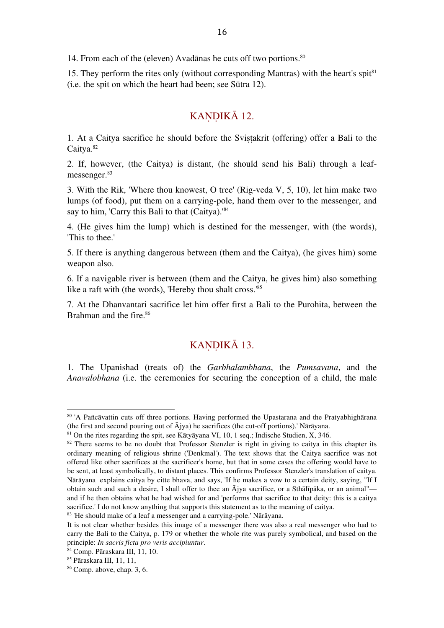14. From each of the (eleven) Avadānas he cuts off two portions. 80

15. They perform the rites only (without corresponding Mantras) with the heart's spit $81$ (i.e. the spit on which the heart had been; see Sūtra 12).

### KANDIKĀ 12.

1. At a Caitya sacrifice he should before the Svistakrit (offering) offer a Bali to the Caitya. 82

2. If, however, (the Caitya) is distant, (he should send his Bali) through a leafmessenger. 83

3. With the Rik, 'Where thou knowest, O tree' (Rig-veda V, 5, 10), let him make two lumps (of food), put them on a carrying-pole, hand them over to the messenger, and say to him, 'Carry this Bali to that (Caitya).' 84

4. (He gives him the lump) which is destined for the messenger, with (the words), 'This to thee.'

5. If there is anything dangerous between (them and the Caitya), (he gives him) some weapon also.

6. If a navigable river is between (them and the Caitya, he gives him) also something like a raft with (the words), 'Hereby thou shalt cross.' 85

7. At the Dhanvantari sacrifice let him offer first a Bali to the Purohita, between the Brahman and the fire. 86

#### KANDIKĀ 13.

1. The Upanishad (treats of) the *Garbhalambhana*, the *Pumsavana*, and the *Anavalobhana* (i.e. the ceremonies for securing the conception of a child, the male

<sup>80 &#</sup>x27;A Pañcāvattin cuts off three portions. Having performed the Upastarana and the Pratyabhighārana (the first and second pouring out of Ājya) he sacrifices (the cut-off portions).' Nārāyana.

<sup>81</sup> On the rites regarding the spit, see Kātyāyana VI, 10, 1 seq.; Indische Studien, X, 346.

<sup>&</sup>lt;sup>82</sup> There seems to be no doubt that Professor Stenzler is right in giving to caitya in this chapter its ordinary meaning of religious shrine ('Denkmal'). The text shows that the Caitya sacrifice was not offered like other sacrifices at the sacrificer's home, but that in some cases the offering would have to be sent, at least symbolically, to distant places. This confirms Professor Stenzler's translation of caitya. Nārāyana explains caitya by citte bhava, and says, 'If he makes a vow to a certain deity, saying, "If I obtain such and such a desire, I shall offer to thee an Ājya sacrifice, or a Sthālīpāka, or an animal" and if he then obtains what he had wished for and 'performs that sacrifice to that deity: this is a caitya sacrifice.' I do not know anything that supports this statement as to the meaning of caitya.

<sup>83</sup> 'He should make of a leaf a messenger and a carrying-pole.' Nārāyana.

It is not clear whether besides this image of a messenger there was also a real messenger who had to carry the Bali to the Caitya, p. 179 or whether the whole rite was purely symbolical, and based on the principle: *In sacris ficta pro veris accipiuntur*.

<sup>84</sup> Comp. Pāraskara III, 11, 10.

<sup>85</sup> Pāraskara III, 11, 11,

<sup>86</sup> Comp. above, chap. 3, 6.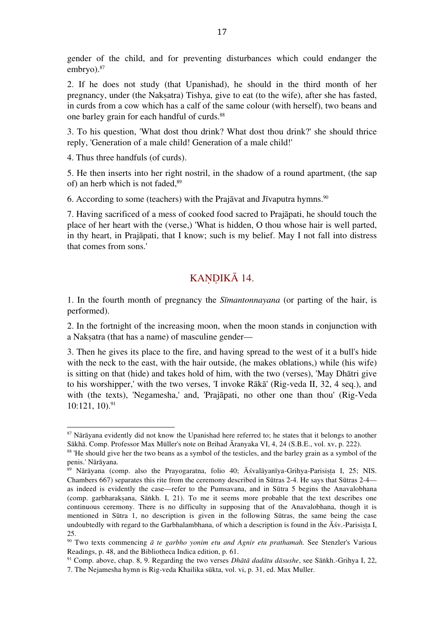gender of the child, and for preventing disturbances which could endanger the embryo). 87

2. If he does not study (that Upanishad), he should in the third month of her pregnancy, under (the Naksatra) Tishya, give to eat (to the wife), after she has fasted, in curds from a cow which has a calf of the same colour (with herself), two beans and one barley grain for each handful of curds. 88

3. To his question, 'What dost thou drink? What dost thou drink?' she should thrice reply, 'Generation of a male child! Generation of a male child!'

4. Thus three handfuls (of curds).

 

5. He then inserts into her right nostril, in the shadow of a round apartment, (the sap of) an herb which is not faded, 89

6. According to some (teachers) with the Prajāvat and Jīvaputra hymns. $90$ 

7. Having sacrificed of a mess of cooked food sacred to Prajāpati, he should touch the place of her heart with the (verse,) 'What is hidden, O thou whose hair is well parted, in thy heart, in Prajāpati, that I know; such is my belief. May I not fall into distress that comes from sons.'

## KANDIKĀ 14.

1. In the fourth month of pregnancy the *Sīmantonnayana* (or parting of the hair, is performed).

2. In the fortnight of the increasing moon, when the moon stands in conjunction with a Nakṣatra (that has a name) of masculine gender—

3. Then he gives its place to the fire, and having spread to the west of it a bull's hide with the neck to the east, with the hair outside, (he makes oblations,) while (his wife) is sitting on that (hide) and takes hold of him, with the two (verses), 'May Dhātri give to his worshipper,' with the two verses, 'I invoke Rākā' (Rig-veda II, 32, 4 seq.), and with (the texts), 'Negamesha,' and, 'Prajāpati, no other one than thou' (Rig-Veda 10:121, 10). 91

<sup>&</sup>lt;sup>87</sup> Nārāyana evidently did not know the Upanishad here referred to; he states that it belongs to another Sākhā. Comp. Professor Max Müller's note on Brihad Āranyaka VI, 4, 24 (S.B.E., vol. xv, p. 222).

<sup>88</sup> 'He should give her the two beans as a symbol of the testicles, and the barley grain as a symbol of the penis.' Nārāyana.

<sup>&</sup>lt;sup>89</sup> Nārāyana (comp. also the Prayogaratna, folio 40;  $\overline{A}$ śvalāyanīya-Grihya-Parisista I, 25; NIS. Chambers 667) separates this rite from the ceremony described in Sūtras 2-4. He says that Sūtras 2-4 as indeed is evidently the case—refer to the Pumsavana, and in Sūtra 5 begins the Anavalobhana (comp. garbharakṣana, Sāṅkh. I, 21). To me it seems more probable that the text describes one continuous ceremony. There is no difficulty in supposing that of the Anavalobhana, though it is mentioned in Sūtra 1, no description is given in the following Sūtras, the same being the case undoubtedly with regard to the Garbhalambhana, of which a description is found in the  $\bar{A}$ śv.-Parisișta I, 25.

<sup>90</sup> Two texts commencing *ā te garbho yonim etu and Agnir etu prathamah.* See Stenzler's Various Readings, p. 48, and the Bibliotheca Indica edition, p. 61.

<sup>91</sup> Comp. above, chap. 8, 9. Regarding the two verses *Dhātā dadātu dāsushe*, see Sāṅkh.-Grihya I, 22, 7. The Nejamesha hymn is Rig-veda Khailika sūkta, vol. vi, p. 31, ed. Max Muller.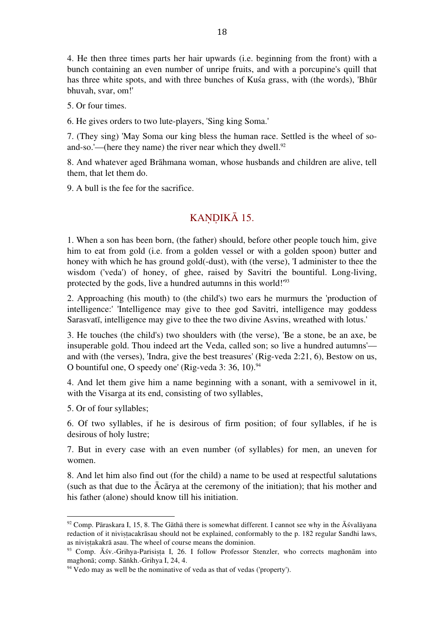4. He then three times parts her hair upwards (i.e. beginning from the front) with a bunch containing an even number of unripe fruits, and with a porcupine's quill that has three white spots, and with three bunches of Kuśa grass, with (the words), 'Bhūr bhuvah, svar, om!'

5. Or four times.

6. He gives orders to two lute-players, 'Sing king Soma.'

7. (They sing) 'May Soma our king bless the human race. Settled is the wheel of soand-so.'—(here they name) the river near which they dwell.<sup>92</sup>

8. And whatever aged Brāhmana woman, whose husbands and children are alive, tell them, that let them do.

9. A bull is the fee for the sacrifice.

### KANDIKĀ 15.

1. When a son has been born, (the father) should, before other people touch him, give him to eat from gold (i.e. from a golden vessel or with a golden spoon) butter and honey with which he has ground gold(-dust), with (the verse), 'I administer to thee the wisdom ('veda') of honey, of ghee, raised by Savitri the bountiful. Long-living, protected by the gods, live a hundred autumns in this world!' 93

2. Approaching (his mouth) to (the child's) two ears he murmurs the 'production of intelligence:' 'Intelligence may give to thee god Savitri, intelligence may goddess Sarasvatī, intelligence may give to thee the two divine Asvins, wreathed with lotus.'

3. He touches (the child's) two shoulders with (the verse), 'Be a stone, be an axe, be insuperable gold. Thou indeed art the Veda, called son; so live a hundred autumns' and with (the verses), 'Indra, give the best treasures' (Rig-veda 2:21, 6), Bestow on us, O bountiful one, O speedy one' (Rig-veda 3: 36, 10). 94

4. And let them give him a name beginning with a sonant, with a semivowel in it, with the Visarga at its end, consisting of two syllables,

5. Or of four syllables;

 

6. Of two syllables, if he is desirous of firm position; of four syllables, if he is desirous of holy lustre;

7. But in every case with an even number (of syllables) for men, an uneven for women.

8. And let him also find out (for the child) a name to be used at respectful salutations (such as that due to the Ācārya at the ceremony of the initiation); that his mother and his father (alone) should know till his initiation.

 $92$  Comp. Pāraskara I, 15, 8. The Gāthā there is somewhat different. I cannot see why in the  $\overline{A}$ śvalāyana redaction of it nivistacakrāsau should not be explained, conformably to the p. 182 regular Sandhi laws, as nivistakakrā asau. The wheel of course means the dominion.

<sup>93</sup> Comp. Āśv.-Grihya-Parisisṭa I, 26. I follow Professor Stenzler, who corrects maghonām into maghonā; comp. Sāṅkh.-Grihya I, 24, 4.

 $94$  Vedo may as well be the nominative of veda as that of vedas ('property').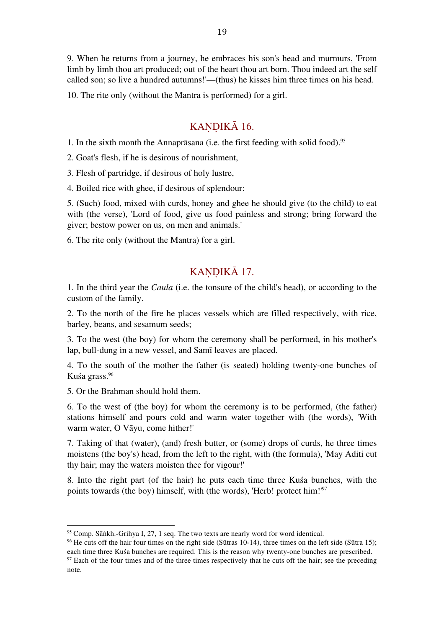9. When he returns from a journey, he embraces his son's head and murmurs, 'From limb by limb thou art produced; out of the heart thou art born. Thou indeed art the self called son; so live a hundred autumns!'—(thus) he kisses him three times on his head.

10. The rite only (without the Mantra is performed) for a girl.

### KANDIKĀ 16.

1. In the sixth month the Annaprāsana (i.e. the first feeding with solid food). 95

2. Goat's flesh, if he is desirous of nourishment,

3. Flesh of partridge, if desirous of holy lustre,

4. Boiled rice with ghee, if desirous of splendour:

5. (Such) food, mixed with curds, honey and ghee he should give (to the child) to eat with (the verse), 'Lord of food, give us food painless and strong; bring forward the giver; bestow power on us, on men and animals.'

6. The rite only (without the Mantra) for a girl.

### KANDIKĀ 17.

1. In the third year the *Caula* (i.e. the tonsure of the child's head), or according to the custom of the family.

2. To the north of the fire he places vessels which are filled respectively, with rice, barley, beans, and sesamum seeds;

3. To the west (the boy) for whom the ceremony shall be performed, in his mother's lap, bull-dung in a new vessel, and Samī leaves are placed.

4. To the south of the mother the father (is seated) holding twenty-one bunches of Kuśa grass. 96

5. Or the Brahman should hold them.

 

6. To the west of (the boy) for whom the ceremony is to be performed, (the father) stations himself and pours cold and warm water together with (the words), 'With warm water, O Vāyu, come hither!'

7. Taking of that (water), (and) fresh butter, or (some) drops of curds, he three times moistens (the boy's) head, from the left to the right, with (the formula), 'May Aditi cut thy hair; may the waters moisten thee for vigour!'

8. Into the right part (of the hair) he puts each time three Kuśa bunches, with the points towards (the boy) himself, with (the words), 'Herb! protect him!' 97

<sup>&</sup>lt;sup>95</sup> Comp. Sāṅkh.-Grihya I, 27, 1 seq. The two texts are nearly word for word identical.

<sup>&</sup>lt;sup>96</sup> He cuts off the hair four times on the right side (Sūtras 10-14), three times on the left side (Sūtra 15); each time three Kuśa bunches are required. This is the reason why twenty-one bunches are prescribed.

<sup>&</sup>lt;sup>97</sup> Each of the four times and of the three times respectively that he cuts off the hair; see the preceding note.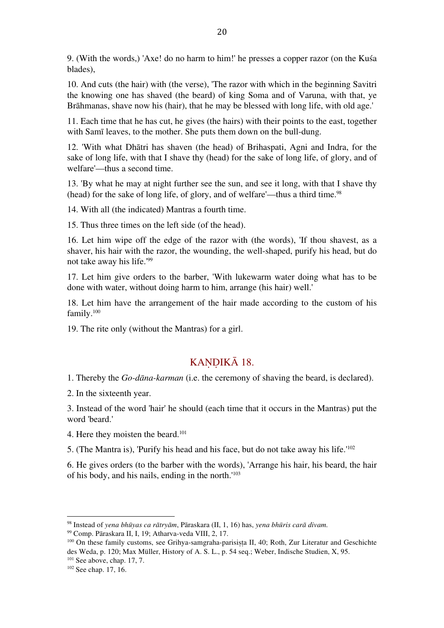9. (With the words,) 'Axe! do no harm to him!' he presses a copper razor (on the Kuśa blades),

10. And cuts (the hair) with (the verse), 'The razor with which in the beginning Savitri the knowing one has shaved (the beard) of king Soma and of Varuna, with that, ye Brāhmanas, shave now his (hair), that he may be blessed with long life, with old age.'

11. Each time that he has cut, he gives (the hairs) with their points to the east, together with Samī leaves, to the mother. She puts them down on the bull-dung.

12. 'With what Dhātri has shaven (the head) of Brihaspati, Agni and Indra, for the sake of long life, with that I shave thy (head) for the sake of long life, of glory, and of welfare'—thus a second time.

13. 'By what he may at night further see the sun, and see it long, with that I shave thy (head) for the sake of long life, of glory, and of welfare'—thus a third time. 98

14. With all (the indicated) Mantras a fourth time.

15. Thus three times on the left side (of the head).

16. Let him wipe off the edge of the razor with (the words), 'If thou shavest, as a shaver, his hair with the razor, the wounding, the well-shaped, purify his head, but do not take away his life.' 99

17. Let him give orders to the barber, 'With lukewarm water doing what has to be done with water, without doing harm to him, arrange (his hair) well.'

18. Let him have the arrangement of the hair made according to the custom of his family. 100

19. The rite only (without the Mantras) for a girl.

### KANDIKĀ 18.

1. Thereby the *Go-dāna-karman* (i.e. the ceremony of shaving the beard, is declared).

2. In the sixteenth year.

3. Instead of the word 'hair' he should (each time that it occurs in the Mantras) put the word 'beard.'

4. Here they moisten the beard. 101

 

5. (The Mantra is), 'Purify his head and his face, but do not take away his life.' 102

6. He gives orders (to the barber with the words), 'Arrange his hair, his beard, the hair of his body, and his nails, ending in the north.' 103

<sup>99</sup> Comp. Pāraskara II, I, 19; Atharva-veda VIII, 2, 17.

<sup>98</sup> Instead of *yena bhūyas ca rātryām*, Pāraskara (II, 1, 16) has, *yena bhūris carā divam.*

<sup>&</sup>lt;sup>100</sup> On these family customs, see Grihya-samgraha-parisista II, 40; Roth, Zur Literatur and Geschichte des Weda, p. 120; Max Müller, History of A. S. L., p. 54 seq.; Weber, Indische Studien, X, 95.  $101$  See above, chap. 17, 7.

<sup>102</sup> See chap. 17, 16.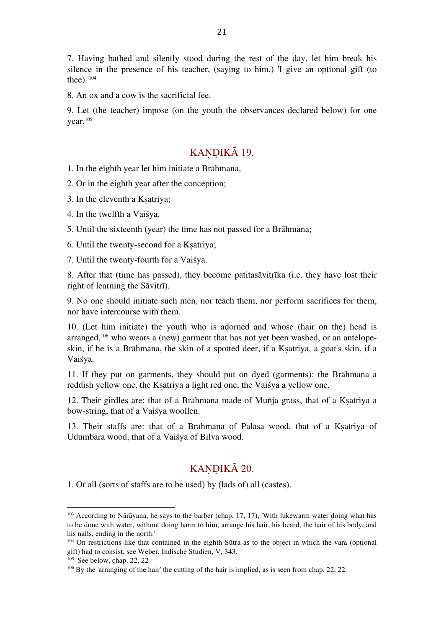7. Having bathed and silently stood during the rest of the day, let him break his silence in the presence of his teacher, (saying to him,) 'I give an optional gift (to thee).' 104

8. An ox and a cow is the sacrificial fee.

9. Let (the teacher) impose (on the youth the observances declared below) for one year. 105

### KANDIKĀ 19.

1. In the eighth year let him initiate a Brāhmana,

2. Or in the eighth year after the conception;

- 3. In the eleventh a Kṣatriya;
- 4. In the twelfth a Vaiśya.

5. Until the sixteenth (year) the time has not passed for a Brāhmana;

6. Until the twenty-second for a Kṣatriya;

7. Until the twenty-fourth for a Vaiśya.

8. After that (time has passed), they become patitasāvitrīka (i.e. they have lost their right of learning the Sāvitrī).

9. No one should initiate such men, nor teach them, nor perform sacrifices for them, nor have intercourse with them.

10. (Let him initiate) the youth who is adorned and whose (hair on the) head is arranged, 106 who wears a (new) garment that has not yet been washed, or an antelopeskin, if he is a Brāhmana, the skin of a spotted deer, if a Ksatriya, a goat's skin, if a Vaiśya.

11. If they put on garments, they should put on dyed (garments): the Brāhmana a reddish yellow one, the Kṣatriya a light red one, the Vaiśya a yellow one.

12. Their girdles are: that of a Brāhmana made of Muñja grass, that of a Kṣatriya a bow-string, that of a Vaiśya woollen.

13. Their staffs are: that of a Brāhmana of Palāsa wood, that of a Kṣatriya of Udumbara wood, that of a Vaiśya of Bilva wood.

### KANDIKĀ 20.

1. Or all (sorts of staffs are to be used) by (lads of) all (castes).

<sup>&</sup>lt;sup>103</sup> According to Nārāyana, he says to the barber (chap. 17, 17), 'With lukewarm water doing what has to be done with water, without doing harm to him, arrange his hair, his beard, the hair of his body, and his nails, ending in the north.'

<sup>&</sup>lt;sup>104</sup> On restrictions like that contained in the eighth Sūtra as to the object in which the vara (optional gift) had to consist, see Weber, Indische Studien, V, 343.

<sup>105</sup> See below, chap. 22, 22

<sup>&</sup>lt;sup>106</sup> By the 'arranging of the hair' the cutting of the hair is implied, as is seen from chap. 22, 22.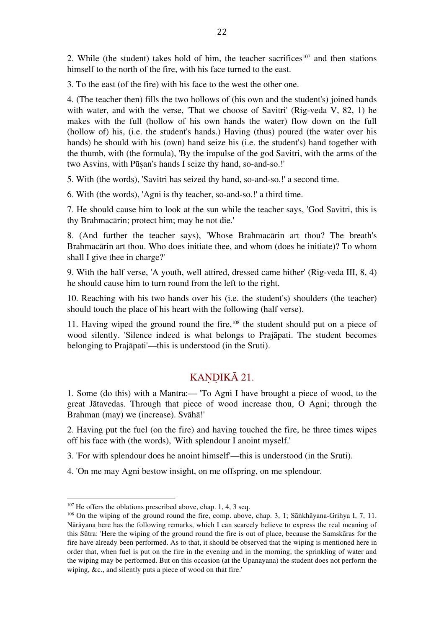2. While (the student) takes hold of him, the teacher sacrifices<sup>107</sup> and then stations himself to the north of the fire, with his face turned to the east.

3. To the east (of the fire) with his face to the west the other one.

4. (The teacher then) fills the two hollows of (his own and the student's) joined hands with water, and with the verse, 'That we choose of Savitri' (Rig-veda V, 82, 1) he makes with the full (hollow of his own hands the water) flow down on the full (hollow of) his, (i.e. the student's hands.) Having (thus) poured (the water over his hands) he should with his (own) hand seize his (i.e. the student's) hand together with the thumb, with (the formula), 'By the impulse of the god Savitri, with the arms of the two Asvins, with Pūṣan's hands I seize thy hand, so-and-so.!'

5. With (the words), 'Savitri has seized thy hand, so-and-so.!' a second time.

6. With (the words), 'Agni is thy teacher, so-and-so.!' a third time.

7. He should cause him to look at the sun while the teacher says, 'God Savitri, this is thy Brahmacārin; protect him; may he not die.'

8. (And further the teacher says), 'Whose Brahmacārin art thou? The breath's Brahmacārin art thou. Who does initiate thee, and whom (does he initiate)? To whom shall I give thee in charge?'

9. With the half verse, 'A youth, well attired, dressed came hither' (Rig-veda III, 8, 4) he should cause him to turn round from the left to the right.

10. Reaching with his two hands over his (i.e. the student's) shoulders (the teacher) should touch the place of his heart with the following (half verse).

11. Having wiped the ground round the fire, 108 the student should put on a piece of wood silently. 'Silence indeed is what belongs to Prajāpati. The student becomes belonging to Prajāpati'—this is understood (in the Sruti).

### KANDIKĀ 21.

1. Some (do this) with a Mantra:— 'To Agni I have brought a piece of wood, to the great Jātavedas. Through that piece of wood increase thou, O Agni; through the Brahman (may) we (increase). Svāhā!'

2. Having put the fuel (on the fire) and having touched the fire, he three times wipes off his face with (the words), 'With splendour I anoint myself.'

3. 'For with splendour does he anoint himself'—this is understood (in the Sruti).

4. 'On me may Agni bestow insight, on me offspring, on me splendour.

<sup>&</sup>lt;sup>107</sup> He offers the oblations prescribed above, chap. 1, 4, 3 seq.

<sup>108</sup> On the wiping of the ground round the fire, comp. above, chap. 3, 1; Sāṅkhāyana-Grihya I, 7, 11. Nārāyana here has the following remarks, which I can scarcely believe to express the real meaning of this Sūtra: 'Here the wiping of the ground round the fire is out of place, because the Samskāras for the fire have already been performed. As to that, it should be observed that the wiping is mentioned here in order that, when fuel is put on the fire in the evening and in the morning, the sprinkling of water and the wiping may be performed. But on this occasion (at the Upanayana) the student does not perform the wiping, &c., and silently puts a piece of wood on that fire.'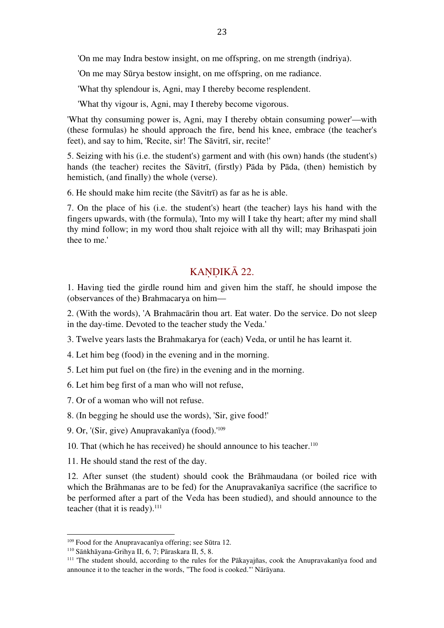'On me may Indra bestow insight, on me offspring, on me strength (indriya).

'On me may Sūrya bestow insight, on me offspring, on me radiance.

'What thy splendour is, Agni, may I thereby become resplendent.

'What thy vigour is, Agni, may I thereby become vigorous.

'What thy consuming power is, Agni, may I thereby obtain consuming power'—with (these formulas) he should approach the fire, bend his knee, embrace (the teacher's feet), and say to him, 'Recite, sir! The Sāvitrī, sir, recite!'

5. Seizing with his (i.e. the student's) garment and with (his own) hands (the student's) hands (the teacher) recites the Sāvitrī, (firstly) Pāda by Pāda, (then) hemistich by hemistich, (and finally) the whole (verse).

6. He should make him recite (the Sāvitrī) as far as he is able.

7. On the place of his (i.e. the student's) heart (the teacher) lays his hand with the fingers upwards, with (the formula), 'Into my will I take thy heart; after my mind shall thy mind follow; in my word thou shalt rejoice with all thy will; may Brihaspati join thee to me.'

### KANDIKĀ 22.

1. Having tied the girdle round him and given him the staff, he should impose the (observances of the) Brahmacarya on him—

2. (With the words), 'A Brahmacārin thou art. Eat water. Do the service. Do not sleep in the day-time. Devoted to the teacher study the Veda.'

3. Twelve years lasts the Brahmakarya for (each) Veda, or until he has learnt it.

4. Let him beg (food) in the evening and in the morning.

5. Let him put fuel on (the fire) in the evening and in the morning.

6. Let him beg first of a man who will not refuse,

7. Or of a woman who will not refuse.

8. (In begging he should use the words), 'Sir, give food!'

9. Or, '(Sir, give) Anupravakanīya (food).' 109

10. That (which he has received) he should announce to his teacher. 110

11. He should stand the rest of the day.

12. After sunset (the student) should cook the Brāhmaudana (or boiled rice with which the Brāhmanas are to be fed) for the Anupravakanīya sacrifice (the sacrifice to be performed after a part of the Veda has been studied), and should announce to the teacher (that it is ready). 111

<sup>109</sup> Food for the Anupravacanīya offering; see Sūtra 12.

<sup>110</sup> Sāṅkhāyana-Grihya II, 6, 7; Pāraskara II, 5, 8.

<sup>&</sup>lt;sup>111</sup> The student should, according to the rules for the Pākayajñas, cook the Anupravakanīya food and announce it to the teacher in the words, "The food is cooked."' Nārāyana.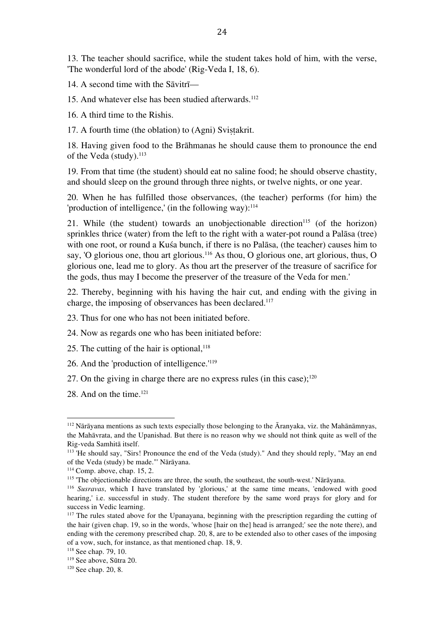13. The teacher should sacrifice, while the student takes hold of him, with the verse, 'The wonderful lord of the abode' (Rig-Veda I, 18, 6).

14. A second time with the Sāvitrī—

15. And whatever else has been studied afterwards. 112

16. A third time to the Rishis.

17. A fourth time (the oblation) to (Agni) Svistakrit.

18. Having given food to the Brāhmanas he should cause them to pronounce the end of the Veda (study). 113

19. From that time (the student) should eat no saline food; he should observe chastity, and should sleep on the ground through three nights, or twelve nights, or one year.

20. When he has fulfilled those observances, (the teacher) performs (for him) the 'production of intelligence,' (in the following way): 114

21. While (the student) towards an unobjectionable direction<sup>115</sup> (of the horizon) sprinkles thrice (water) from the left to the right with a water-pot round a Palāsa (tree) with one root, or round a Kuśa bunch, if there is no Palāsa, (the teacher) causes him to say, 'O glorious one, thou art glorious.<sup>116</sup> As thou, O glorious one, art glorious, thus, O glorious one, lead me to glory. As thou art the preserver of the treasure of sacrifice for the gods, thus may I become the preserver of the treasure of the Veda for men.'

22. Thereby, beginning with his having the hair cut, and ending with the giving in charge, the imposing of observances has been declared. 117

- 23. Thus for one who has not been initiated before.
- 24. Now as regards one who has been initiated before:
- 25. The cutting of the hair is optional, 118
- 26. And the 'production of intelligence.' 119
- 27. On the giving in charge there are no express rules (in this case); $^{120}$
- 28. And on the time. 121

<sup>112</sup> Nārāyana mentions as such texts especially those belonging to the Āranyaka, viz. the Mahānāmnyas, the Mahāvrata, and the Upanishad. But there is no reason why we should not think quite as well of the Rig-veda Samhitā itself.

<sup>113</sup> 'He should say, "Sirs! Pronounce the end of the Veda (study)." And they should reply, "May an end of the Veda (study) be made."' Nārāyana.

 $114$  Comp. above, chap. 15, 2.

<sup>115</sup> 'The objectionable directions are three, the south, the southeast, the south-west.' Nārāyana.

<sup>116</sup> *Susravas*, which I have translated by 'glorious,' at the same time means, 'endowed with good hearing,' i.e. successful in study. The student therefore by the same word prays for glory and for success in Vedic learning.

<sup>&</sup>lt;sup>117</sup> The rules stated above for the Upanayana, beginning with the prescription regarding the cutting of the hair (given chap. 19, so in the words, 'whose [hair on the] head is arranged;' see the note there), and ending with the ceremony prescribed chap. 20, 8, are to be extended also to other cases of the imposing of a vow, such, for instance, as that mentioned chap. 18, 9.

<sup>118</sup> See chap. 79, 10.

<sup>119</sup> See above, Sūtra 20.

<sup>120</sup> See chap. 20, 8.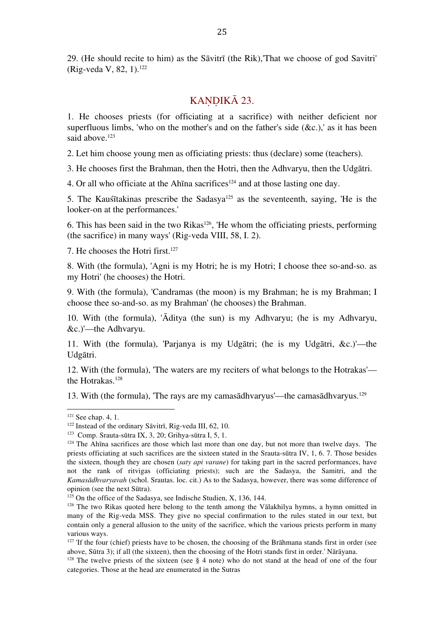29. (He should recite to him) as the Sāvitrī (the Rik),'That we choose of god Savitri' (Rig-veda V, 82, 1). 122

### KANDIKĀ 23.

1. He chooses priests (for officiating at a sacrifice) with neither deficient nor superfluous limbs, 'who on the mother's and on the father's side  $(\&c.)$ ,' as it has been said above. 123

2. Let him choose young men as officiating priests: thus (declare) some (teachers).

3. He chooses first the Brahman, then the Hotri, then the Adhvaryu, then the Udgātri.

4. Or all who officiate at the Ahina sacrifices<sup>124</sup> and at those lasting one day.

5. The Kauśītakinas prescribe the Sadasya125 as the seventeenth, saying, 'He is the looker-on at the performances.'

6. This has been said in the two Rikas<sup>126</sup>, 'He whom the officiating priests, performing (the sacrifice) in many ways' (Rig-veda VIII, 58, I. 2).

7. He chooses the Hotri first. 127

8. With (the formula), 'Agni is my Hotri; he is my Hotri; I choose thee so-and-so. as my Hotri' (he chooses) the Hotri.

9. With (the formula), 'Candramas (the moon) is my Brahman; he is my Brahman; I choose thee so-and-so. as my Brahman' (he chooses) the Brahman.

10. With (the formula), 'Āditya (the sun) is my Adhvaryu; (he is my Adhvaryu, &c.)'—the Adhvaryu.

11. With (the formula), 'Parjanya is my Udgātri; (he is my Udgātri, &c.)'—the Udgātri.

12. With (the formula), 'The waters are my reciters of what belongs to the Hotrakas' the Hotrakas. 128

13. With (the formula), 'The rays are my camasādhvaryus'—the camasādhvaryus. 129

 $121$  See chap. 4, 1.

<sup>122</sup> Instead of the ordinary Sāvitrī, Rig-veda III, 62, 10.

<sup>123</sup> Comp. Srauta-sūtra IX, 3, 20; Grihya-sūtra I, 5, 1.

<sup>&</sup>lt;sup>124</sup> The Ahīna sacrifices are those which last more than one day, but not more than twelve days. The priests officiating at such sacrifices are the sixteen stated in the Srauta-sūtra IV, 1, 6. 7. Those besides the sixteen, though they are chosen (*saty api varane*) for taking part in the sacred performances, have not the rank of ritvigas (officiating priests); such are the Sadasya, the Samitri, and the *Kamasādhvaryavah* (schol. Srautas. loc. cit.) As to the Sadasya, however, there was some difference of opinion (see the next Sūtra).

 $125$  On the office of the Sadasya, see Indische Studien, X, 136, 144.

 $126$  The two Rikas quoted here belong to the tenth among the Vālakhilya hymns, a hymn omitted in many of the Rig-veda MSS. They give no special confirmation to the rules stated in our text, but contain only a general allusion to the unity of the sacrifice, which the various priests perform in many various ways.

<sup>&</sup>lt;sup>127</sup> 'If the four (chief) priests have to be chosen, the choosing of the Brāhmana stands first in order (see above, Sūtra 3); if all (the sixteen), then the choosing of the Hotri stands first in order.' Nārāyana.

<sup>&</sup>lt;sup>128</sup> The twelve priests of the sixteen (see  $\S$  4 note) who do not stand at the head of one of the four categories. Those at the head are enumerated in the Sutras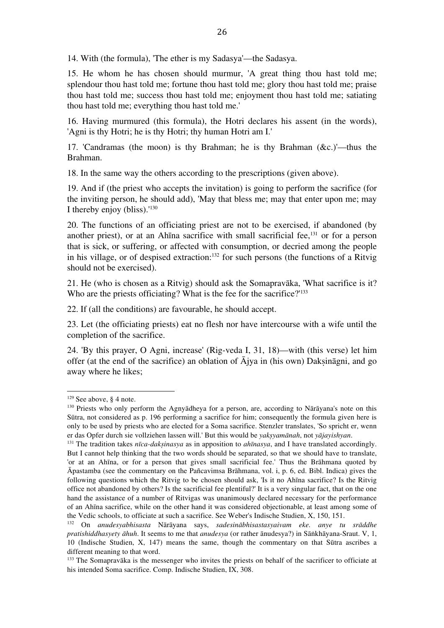14. With (the formula), 'The ether is my Sadasya'—the Sadasya.

15. He whom he has chosen should murmur, 'A great thing thou hast told me; splendour thou hast told me; fortune thou hast told me; glory thou hast told me; praise thou hast told me; success thou hast told me; enjoyment thou hast told me; satiating thou hast told me; everything thou hast told me.'

16. Having murmured (this formula), the Hotri declares his assent (in the words), 'Agni is thy Hotri; he is thy Hotri; thy human Hotri am I.'

17. 'Candramas (the moon) is thy Brahman; he is thy Brahman (&c.)'—thus the Brahman.

18. In the same way the others according to the prescriptions (given above).

19. And if (the priest who accepts the invitation) is going to perform the sacrifice (for the inviting person, he should add), 'May that bless me; may that enter upon me; may I thereby enjoy (bliss).' 130

20. The functions of an officiating priest are not to be exercised, if abandoned (by another priest), or at an Ahīna sacrifice with small sacrificial fee, 131 or for a person that is sick, or suffering, or affected with consumption, or decried among the people in his village, or of despised extraction: 132 for such persons (the functions of a Ritvig should not be exercised).

21. He (who is chosen as a Ritvig) should ask the Somapravāka, 'What sacrifice is it? Who are the priests officiating? What is the fee for the sacrifice?'<sup>133</sup>

22. If (all the conditions) are favourable, he should accept.

23. Let (the officiating priests) eat no flesh nor have intercourse with a wife until the completion of the sacrifice.

24. 'By this prayer, O Agni, increase' (Rig-veda I, 31, 18)—with (this verse) let him offer (at the end of the sacrifice) an oblation of  $\overline{A}$ jya in (his own) Daksināgni, and go away where he likes;

 $129$  See above, § 4 note.

<sup>130</sup> Priests who only perform the Agnyādheya for a person, are, according to Nārāyana's note on this Sūtra, not considered as p. 196 performing a sacrifice for him; consequently the formula given here is only to be used by priests who are elected for a Soma sacrifice. Stenzler translates, 'So spricht er, wenn er das Opfer durch sie vollziehen lassen will.' But this would be *yakṣyamānah*, not *yājayishyan*.

<sup>131</sup> The tradition takes *nīca-dakṣinasya* as in apposition to *ahīnasya*, and I have translated accordingly. But I cannot help thinking that the two words should be separated, so that we should have to translate, 'or at an Ahīna, or for a person that gives small sacrificial fee.' Thus the Brāhmana quoted by Āpastamba (see the commentary on the Pañcavimsa Brāhmana, vol. i, p. 6, ed. Bibl. Indica) gives the following questions which the Ritvig to be chosen should ask, 'Is it no Ahīna sacrifice? Is the Ritvig office not abandoned by others? Is the sacrificial fee plentiful?' It is a very singular fact, that on the one hand the assistance of a number of Ritvigas was unanimously declared necessary for the performance of an Ahīna sacrifice, while on the other hand it was considered objectionable, at least among some of the Vedic schools, to officiate at such a sacrifice. See Weber's Indische Studien, X, 150, 151.

<sup>132</sup> On *anudesyabhisasta* Nārāyana says, *sadesinābhisastasyaivam eke. anye tu srāddhe pratishiddhasyety āhuh*. It seems to me that *anudesya* (or rather ānudesya?) in Sāṅkhāyana-Sraut. V, 1, 10 (Indische Studien, X, 147) means the same, though the commentary on that Sūtra ascribes a different meaning to that word.

<sup>&</sup>lt;sup>133</sup> The Somapravāka is the messenger who invites the priests on behalf of the sacrificer to officiate at his intended Soma sacrifice. Comp. Indische Studien, IX, 308.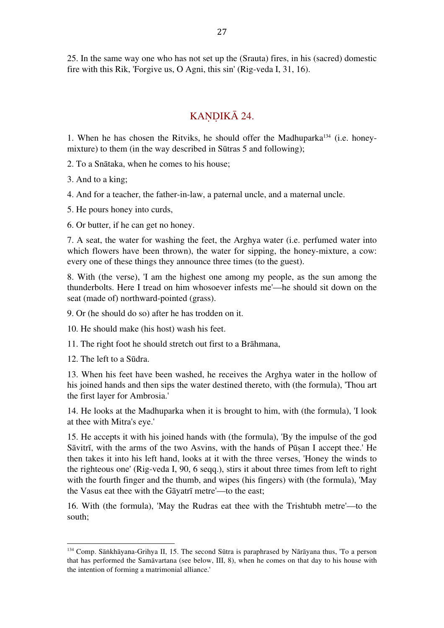25. In the same way one who has not set up the (Srauta) fires, in his (sacred) domestic fire with this Rik, 'Forgive us, O Agni, this sin' (Rig-veda I, 31, 16).

### KANDIKĀ 24.

1. When he has chosen the Ritviks, he should offer the Madhuparka134 (i.e. honeymixture) to them (in the way described in Sūtras 5 and following);

2. To a Snātaka, when he comes to his house;

3. And to a king;

4. And for a teacher, the father-in-law, a paternal uncle, and a maternal uncle.

5. He pours honey into curds,

6. Or butter, if he can get no honey.

7. A seat, the water for washing the feet, the Arghya water (i.e. perfumed water into which flowers have been thrown), the water for sipping, the honey-mixture, a cow: every one of these things they announce three times (to the guest).

8. With (the verse), 'I am the highest one among my people, as the sun among the thunderbolts. Here I tread on him whosoever infests me'—he should sit down on the seat (made of) northward-pointed (grass).

9. Or (he should do so) after he has trodden on it.

10. He should make (his host) wash his feet.

11. The right foot he should stretch out first to a Brāhmana,

12. The left to a Sūdra.

 

13. When his feet have been washed, he receives the Arghya water in the hollow of his joined hands and then sips the water destined thereto, with (the formula), 'Thou art the first layer for Ambrosia.'

14. He looks at the Madhuparka when it is brought to him, with (the formula), 'I look at thee with Mitra's eye.'

15. He accepts it with his joined hands with (the formula), 'By the impulse of the god Sāvitrī, with the arms of the two Asvins, with the hands of Pūṣan I accept thee.' He then takes it into his left hand, looks at it with the three verses, 'Honey the winds to the righteous one' (Rig-veda I, 90, 6 seqq.), stirs it about three times from left to right with the fourth finger and the thumb, and wipes (his fingers) with (the formula), 'May the Vasus eat thee with the Gāyatrī metre'—to the east;

16. With (the formula), 'May the Rudras eat thee with the Trishtubh metre'—to the south;

<sup>134</sup> Comp. Sāṅkhāyana-Grihya II, 15. The second Sūtra is paraphrased by Nārāyana thus, 'To a person that has performed the Samāvartana (see below, III, 8), when he comes on that day to his house with the intention of forming a matrimonial alliance.'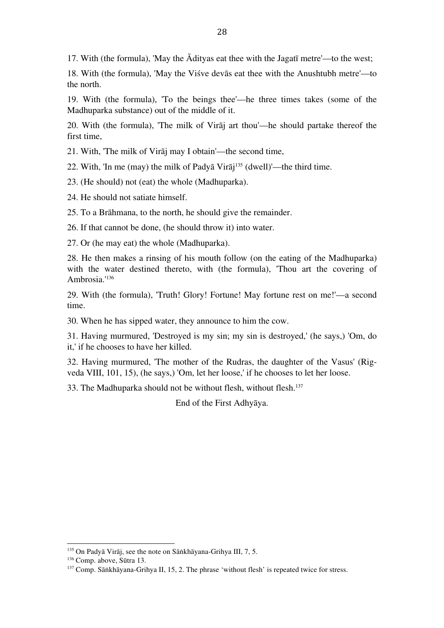17. With (the formula), 'May the Ādityas eat thee with the Jagatī metre'—to the west;

18. With (the formula), 'May the Viśve devās eat thee with the Anushtubh metre'—to the north.

19. With (the formula), 'To the beings thee'—he three times takes (some of the Madhuparka substance) out of the middle of it.

20. With (the formula), 'The milk of Virāj art thou'—he should partake thereof the first time,

21. With, 'The milk of Virāj may I obtain'—the second time,

22. With, 'In me (may) the milk of Padyā Virāj 135 (dwell)'—the third time.

23. (He should) not (eat) the whole (Madhuparka).

24. He should not satiate himself.

25. To a Brāhmana, to the north, he should give the remainder.

26. If that cannot be done, (he should throw it) into water.

27. Or (he may eat) the whole (Madhuparka).

28. He then makes a rinsing of his mouth follow (on the eating of the Madhuparka) with the water destined thereto, with (the formula), 'Thou art the covering of Ambrosia.' 136

29. With (the formula), 'Truth! Glory! Fortune! May fortune rest on me!'—a second time.

30. When he has sipped water, they announce to him the cow.

31. Having murmured, 'Destroyed is my sin; my sin is destroyed,' (he says,) 'Om, do it,' if he chooses to have her killed.

32. Having murmured, 'The mother of the Rudras, the daughter of the Vasus' (Rigveda VIII, 101, 15), (he says,) 'Om, let her loose,' if he chooses to let her loose.

33. The Madhuparka should not be without flesh, without flesh. 137

End of the First Adhyāya.

<sup>135</sup> On Padyā Virāj, see the note on Sāṅkhāyana-Grihya III, 7, 5.

<sup>136</sup> Comp. above, Sūtra 13.

<sup>&</sup>lt;sup>137</sup> Comp. Sāṅkhāyana-Grihya II, 15, 2. The phrase 'without flesh' is repeated twice for stress.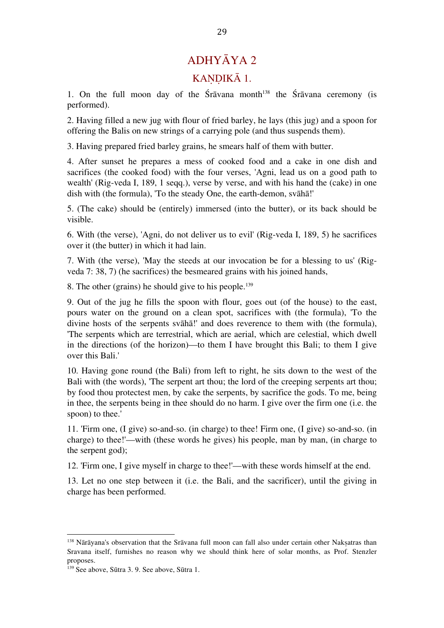# ADHYĀYA 2 KANDIKĀ 1.

1. On the full moon day of the Śrāvana month<sup>138</sup> the Śrāvana ceremony (is performed).

2. Having filled a new jug with flour of fried barley, he lays (this jug) and a spoon for offering the Balis on new strings of a carrying pole (and thus suspends them).

3. Having prepared fried barley grains, he smears half of them with butter.

4. After sunset he prepares a mess of cooked food and a cake in one dish and sacrifices (the cooked food) with the four verses, 'Agni, lead us on a good path to wealth' (Rig-veda I, 189, 1 seqq.), verse by verse, and with his hand the (cake) in one dish with (the formula), 'To the steady One, the earth-demon, svāhā!'

5. (The cake) should be (entirely) immersed (into the butter), or its back should be visible.

6. With (the verse), 'Agni, do not deliver us to evil' (Rig-veda I, 189, 5) he sacrifices over it (the butter) in which it had lain.

7. With (the verse), 'May the steeds at our invocation be for a blessing to us' (Rigveda 7: 38, 7) (he sacrifices) the besmeared grains with his joined hands,

8. The other (grains) he should give to his people. 139

9. Out of the jug he fills the spoon with flour, goes out (of the house) to the east, pours water on the ground on a clean spot, sacrifices with (the formula), 'To the divine hosts of the serpents svāhā!' and does reverence to them with (the formula), 'The serpents which are terrestrial, which are aerial, which are celestial, which dwell in the directions (of the horizon)—to them I have brought this Bali; to them I give over this Bali.'

10. Having gone round (the Bali) from left to right, he sits down to the west of the Bali with (the words), 'The serpent art thou; the lord of the creeping serpents art thou; by food thou protectest men, by cake the serpents, by sacrifice the gods. To me, being in thee, the serpents being in thee should do no harm. I give over the firm one (i.e. the spoon) to thee.'

11. 'Firm one, (I give) so-and-so. (in charge) to thee! Firm one, (I give) so-and-so. (in charge) to thee!'—with (these words he gives) his people, man by man, (in charge to the serpent god);

12. 'Firm one, I give myself in charge to thee!'—with these words himself at the end.

13. Let no one step between it (i.e. the Bali, and the sacrificer), until the giving in charge has been performed.

<sup>138</sup> Nārāyana's observation that the Srāvana full moon can fall also under certain other Nakṣatras than Sravana itself, furnishes no reason why we should think here of solar months, as Prof. Stenzler proposes.

<sup>139</sup> See above, Sūtra 3. 9. See above, Sūtra 1.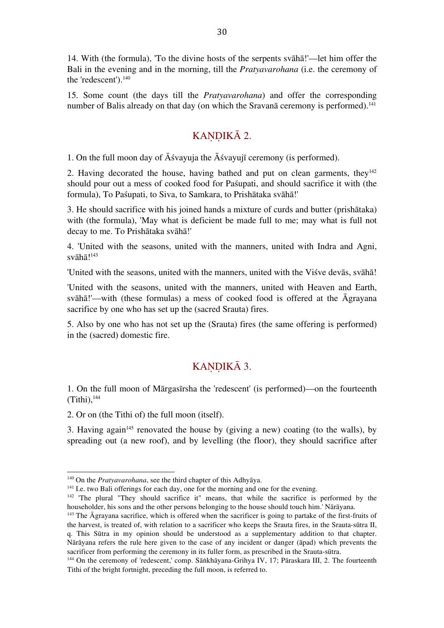14. With (the formula), 'To the divine hosts of the serpents svāhā!'—let him offer the Bali in the evening and in the morning, till the *Pratyavarohana* (i.e. the ceremony of the 'redescent'). 140

15. Some count (the days till the *Pratyavarohana*) and offer the corresponding number of Balis already on that day (on which the Sravana ceremony is performed).<sup>141</sup>

#### KANDIKĀ 2.

1. On the full moon day of Āśvayuja the Āśvayujī ceremony (is performed).

2. Having decorated the house, having bathed and put on clean garments, they $142$ should pour out a mess of cooked food for Paśupati, and should sacrifice it with (the formula), To Paśupati, to Siva, to Samkara, to Prishātaka svāhā!'

3. He should sacrifice with his joined hands a mixture of curds and butter (prishātaka) with (the formula), 'May what is deficient be made full to me; may what is full not decay to me. To Prishātaka svāhā!'

4. 'United with the seasons, united with the manners, united with Indra and Agni, svāhā!<sup>143</sup>

'United with the seasons, united with the manners, united with the Viśve devās, svāhā!

'United with the seasons, united with the manners, united with Heaven and Earth, svāhā!'—with (these formulas) a mess of cooked food is offered at the Āgrayana sacrifice by one who has set up the (sacred Srauta) fires.

5. Also by one who has not set up the (Srauta) fires (the same offering is performed) in the (sacred) domestic fire.

## KANDIKĀ 3.

1. On the full moon of Mārgasīrsha the 'redescent' (is performed)—on the fourteenth  $(Tithi),<sup>144</sup>$ 

2. Or on (the Tithi of) the full moon (itself).

 

3. Having again<sup>145</sup> renovated the house by (giving a new) coating (to the walls), by spreading out (a new roof), and by levelling (the floor), they should sacrifice after

<sup>140</sup> On the *Pratyavarohana*, see the third chapter of this Adhyāya.

<sup>&</sup>lt;sup>141</sup> I.e. two Bali offerings for each day, one for the morning and one for the evening.

<sup>&</sup>lt;sup>142</sup> 'The plural "They should sacrifice it" means, that while the sacrifice is performed by the householder, his sons and the other persons belonging to the house should touch him.' Nārāyana.

<sup>&</sup>lt;sup>143</sup> The Āgrayana sacrifice, which is offered when the sacrificer is going to partake of the first-fruits of the harvest, is treated of, with relation to a sacrificer who keeps the Srauta fires, in the Srauta-sūtra II, q. This Sūtra in my opinion should be understood as a supplementary addition to that chapter. Nārāyana refers the rule here given to the case of any incident or danger (āpad) which prevents the sacrificer from performing the ceremony in its fuller form, as prescribed in the Srauta-sūtra.

<sup>&</sup>lt;sup>144</sup> On the ceremony of 'redescent,' comp. Sāṅkhāyana-Grihya IV, 17; Pāraskara III, 2. The fourteenth Tithi of the bright fortnight, preceding the full moon, is referred to.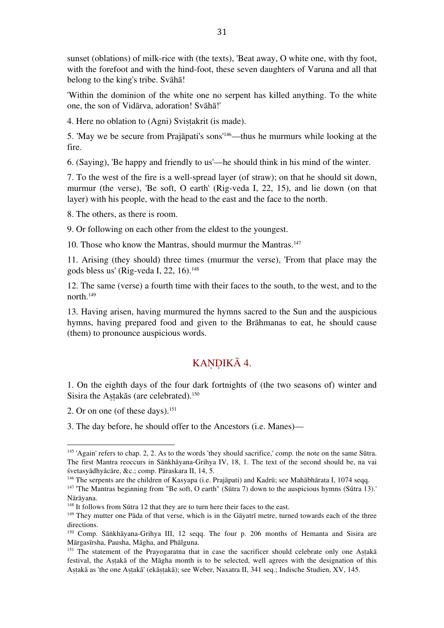sunset (oblations) of milk-rice with (the texts), 'Beat away, O white one, with thy foot, with the forefoot and with the hind-foot, these seven daughters of Varuna and all that belong to the king's tribe. Svāhā!

'Within the dominion of the white one no serpent has killed anything. To the white one, the son of Vidārva, adoration! Svāhā!'

4. Here no oblation to (Agni) Svistakrit (is made).

5. 'May we be secure from Prajāpati's sons' 146—thus he murmurs while looking at the fire.

6. (Saying), 'Be happy and friendly to us'—he should think in his mind of the winter.

7. To the west of the fire is a well-spread layer (of straw); on that he should sit down, murmur (the verse), 'Be soft, O earth' (Rig-veda I, 22, 15), and lie down (on that layer) with his people, with the head to the east and the face to the north.

8. The others, as there is room.

9. Or following on each other from the eldest to the youngest.

10. Those who know the Mantras, should murmur the Mantras. 147

11. Arising (they should) three times (murmur the verse), 'From that place may the gods bless us' (Rig-veda I, 22, 16). 148

12. The same (verse) a fourth time with their faces to the south, to the west, and to the north. 149

13. Having arisen, having murmured the hymns sacred to the Sun and the auspicious hymns, having prepared food and given to the Brāhmanas to eat, he should cause (them) to pronounce auspicious words.

### KANDIKĀ 4.

1. On the eighth days of the four dark fortnights of (the two seasons of) winter and Sisira the Aṣṭakās (are celebrated). 150

2. Or on one (of these days). 151

 

3. The day before, he should offer to the Ancestors (i.e. Manes)—

<sup>145</sup> 'Again' refers to chap. 2, 2. As to the words 'they should sacrifice,' comp. the note on the same Sūtra. The first Mantra reoccurs in Sāṅkhāyana-Grihya IV, 18, 1. The text of the second should be, na vai śvetasyādhyācāre, &c.; comp. Pāraskara II, 14, 5.

<sup>146</sup> The serpents are the children of Kasyapa (i.e. Prajāpati) and Kadrū; see Mahābhārata I, 1074 seqq. <sup>147</sup> 'The Mantras beginning from "Be soft, O earth" (Sūtra 7) down to the auspicious hymns (Sūtra 13).'

Nārāyana.

<sup>&</sup>lt;sup>148</sup> It follows from Sūtra 12 that they are to turn here their faces to the east.

<sup>&</sup>lt;sup>149</sup> They mutter one Pāda of that verse, which is in the Gāyatrī metre, turned towards each of the three directions.

<sup>150</sup> Comp. Sāṅkhāyana-Grihya III, 12 seqq. The four p. 206 months of Hemanta and Sisira are Mārgasīrsha, Pausha, Māgha, and Phālguna.

<sup>&</sup>lt;sup>151</sup> The statement of the Prayogaratna that in case the sacrificer should celebrate only one Astaka festival, the Aṣṭakā of the Māgha month is to be selected, well agrees with the designation of this Aṣṭakā as 'the one Aṣṭakā' (ekāṣṭakā); see Weber, Naxatra II, 341 seq.; Indische Studien, XV, 145.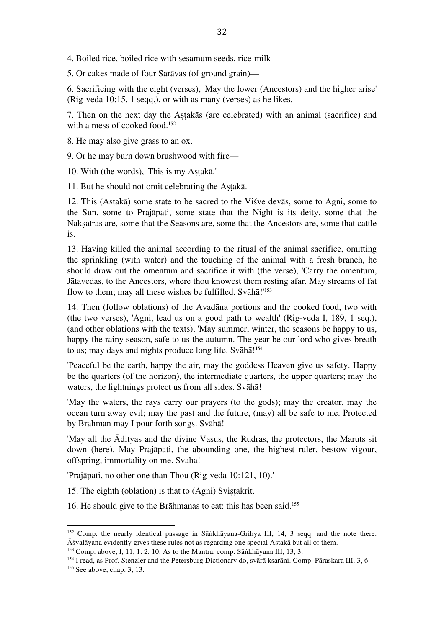4. Boiled rice, boiled rice with sesamum seeds, rice-milk—

5. Or cakes made of four Sarāvas (of ground grain)—

6. Sacrificing with the eight (verses), 'May the lower (Ancestors) and the higher arise' (Rig-veda 10:15, 1 seqq.), or with as many (verses) as he likes.

7. Then on the next day the Aṣṭakās (are celebrated) with an animal (sacrifice) and with a mess of cooked food. 152

8. He may also give grass to an ox,

9. Or he may burn down brushwood with fire—

10. With (the words), 'This is my Astakā.'

11. But he should not omit celebrating the Aṣṭakā.

12. This (Aṣṭakā) some state to be sacred to the Viśve devās, some to Agni, some to the Sun, some to Prajāpati, some state that the Night is its deity, some that the Nakṣatras are, some that the Seasons are, some that the Ancestors are, some that cattle is.

13. Having killed the animal according to the ritual of the animal sacrifice, omitting the sprinkling (with water) and the touching of the animal with a fresh branch, he should draw out the omentum and sacrifice it with (the verse), 'Carry the omentum, Jātavedas, to the Ancestors, where thou knowest them resting afar. May streams of fat flow to them; may all these wishes be fulfilled. Svāhā!'<sup>153</sup>

14. Then (follow oblations) of the Avadāna portions and the cooked food, two with (the two verses), 'Agni, lead us on a good path to wealth' (Rig-veda I, 189, 1 seq.), (and other oblations with the texts), 'May summer, winter, the seasons be happy to us, happy the rainy season, safe to us the autumn. The year be our lord who gives breath to us; may days and nights produce long life. Svāhā!<sup>154</sup>

'Peaceful be the earth, happy the air, may the goddess Heaven give us safety. Happy be the quarters (of the horizon), the intermediate quarters, the upper quarters; may the waters, the lightnings protect us from all sides. Svāhā!

'May the waters, the rays carry our prayers (to the gods); may the creator, may the ocean turn away evil; may the past and the future, (may) all be safe to me. Protected by Brahman may I pour forth songs. Svāhā!

'May all the Ādityas and the divine Vasus, the Rudras, the protectors, the Maruts sit down (here). May Prajāpati, the abounding one, the highest ruler, bestow vigour, offspring, immortality on me. Svāhā!

'Prajāpati, no other one than Thou (Rig-veda 10:121, 10).'

15. The eighth (oblation) is that to (Agni) Svistakrit.

16. He should give to the Brāhmanas to eat: this has been said. 155

<sup>152</sup> Comp. the nearly identical passage in Sāṅkhāyana-Grihya III, 14, 3 seqq. and the note there. Āśvalāyana evidently gives these rules not as regarding one special Aṣṭakā but all of them.

 $153$  Comp. above, I, 11, 1. 2. 10. As to the Mantra, comp. Sāṅkhāyana III, 13, 3.

<sup>&</sup>lt;sup>154</sup> I read, as Prof. Stenzler and the Petersburg Dictionary do, svārā kṣarāni. Comp. Pāraskara III, 3, 6.

 $155$  See above, chap. 3, 13.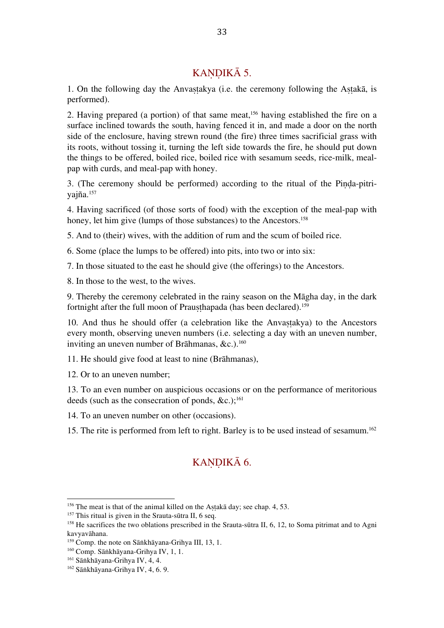### KANDIKĀ 5.

1. On the following day the Anvastakya (i.e. the ceremony following the Astakā, is performed).

2. Having prepared (a portion) of that same meat, 156 having established the fire on a surface inclined towards the south, having fenced it in, and made a door on the north side of the enclosure, having strewn round (the fire) three times sacrificial grass with its roots, without tossing it, turning the left side towards the fire, he should put down the things to be offered, boiled rice, boiled rice with sesamum seeds, rice-milk, mealpap with curds, and meal-pap with honey.

3. (The ceremony should be performed) according to the ritual of the Pinda-pitriyajña. 157

4. Having sacrificed (of those sorts of food) with the exception of the meal-pap with honey, let him give (lumps of those substances) to the Ancestors.<sup>158</sup>

5. And to (their) wives, with the addition of rum and the scum of boiled rice.

6. Some (place the lumps to be offered) into pits, into two or into six:

7. In those situated to the east he should give (the offerings) to the Ancestors.

8. In those to the west, to the wives.

9. Thereby the ceremony celebrated in the rainy season on the Māgha day, in the dark fortnight after the full moon of Prauṣṭhapada (has been declared). 159

10. And thus he should offer (a celebration like the Anvastakya) to the Ancestors every month, observing uneven numbers (i.e. selecting a day with an uneven number, inviting an uneven number of Brāhmanas, &c.). 160

11. He should give food at least to nine (Brāhmanas),

12. Or to an uneven number;

13. To an even number on auspicious occasions or on the performance of meritorious deeds (such as the consecration of ponds, &c.); 161

14. To an uneven number on other (occasions).

15. The rite is performed from left to right. Barley is to be used instead of sesamum. 162

### KANDIKĀ 6.

 $156$  The meat is that of the animal killed on the Astaka day; see chap. 4, 53.

<sup>&</sup>lt;sup>157</sup> This ritual is given in the Srauta-sūtra II, 6 seq.

<sup>&</sup>lt;sup>158</sup> He sacrifices the two oblations prescribed in the Srauta-sūtra II, 6, 12, to Soma pitrimat and to Agni kavyavāhana.

<sup>159</sup> Comp. the note on Sāṅkhāyana-Grihya III, 13, 1.

<sup>160</sup> Comp. Sāṅkhāyana-Grihya IV, 1, 1.

<sup>161</sup> Sāṅkhāyana-Grihya IV, 4, 4.

<sup>162</sup> Sāṅkhāyana-Grihya IV, 4, 6. 9.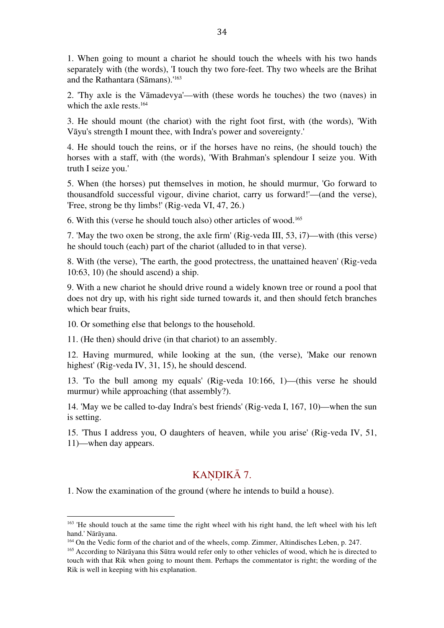1. When going to mount a chariot he should touch the wheels with his two hands separately with (the words), 'I touch thy two fore-feet. Thy two wheels are the Brihat and the Rathantara (Sāmans).' 163

2. 'Thy axle is the Vāmadevya'—with (these words he touches) the two (naves) in which the axle rests. 164

3. He should mount (the chariot) with the right foot first, with (the words), 'With Vāyu's strength I mount thee, with Indra's power and sovereignty.'

4. He should touch the reins, or if the horses have no reins, (he should touch) the horses with a staff, with (the words), 'With Brahman's splendour I seize you. With truth I seize you.'

5. When (the horses) put themselves in motion, he should murmur, 'Go forward to thousandfold successful vigour, divine chariot, carry us forward!'—(and the verse), 'Free, strong be thy limbs!' (Rig-veda VI, 47, 26.)

6. With this (verse he should touch also) other articles of wood. 165

7. 'May the two oxen be strong, the axle firm' (Rig-veda III, 53, i7)—with (this verse) he should touch (each) part of the chariot (alluded to in that verse).

8. With (the verse), 'The earth, the good protectress, the unattained heaven' (Rig-veda 10:63, 10) (he should ascend) a ship.

9. With a new chariot he should drive round a widely known tree or round a pool that does not dry up, with his right side turned towards it, and then should fetch branches which bear fruits,

10. Or something else that belongs to the household.

 

11. (He then) should drive (in that chariot) to an assembly.

12. Having murmured, while looking at the sun, (the verse), 'Make our renown highest' (Rig-veda IV, 31, 15), he should descend.

13. 'To the bull among my equals' (Rig-veda 10:166, 1)—(this verse he should murmur) while approaching (that assembly?).

14. 'May we be called to-day Indra's best friends' (Rig-veda I, 167, 10)—when the sun is setting.

15. 'Thus I address you, O daughters of heaven, while you arise' (Rig-veda IV, 51, 11)—when day appears.

#### KANDIKĀ 7.

1. Now the examination of the ground (where he intends to build a house).

<sup>&</sup>lt;sup>163</sup> 'He should touch at the same time the right wheel with his right hand, the left wheel with his left hand.' Nārāyana.

<sup>164</sup> On the Vedic form of the chariot and of the wheels, comp. Zimmer, Altindisches Leben, p. 247.

<sup>165</sup> According to Nārāyana this Sūtra would refer only to other vehicles of wood, which he is directed to touch with that Rik when going to mount them. Perhaps the commentator is right; the wording of the Rik is well in keeping with his explanation.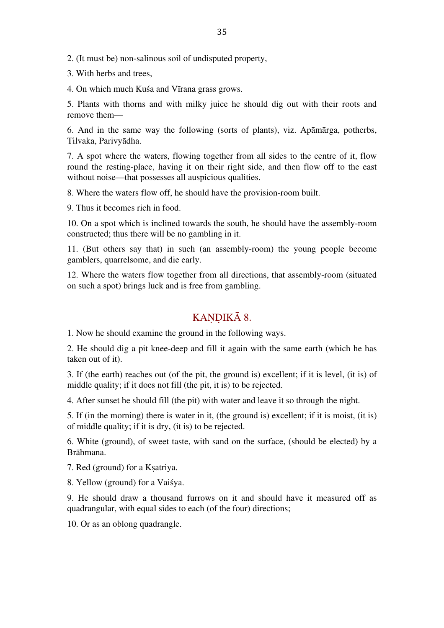2. (It must be) non-salinous soil of undisputed property,

3. With herbs and trees,

4. On which much Kuśa and Vīrana grass grows.

5. Plants with thorns and with milky juice he should dig out with their roots and remove them—

6. And in the same way the following (sorts of plants), viz. Apāmārga, potherbs, Tilvaka, Parivyādha.

7. A spot where the waters, flowing together from all sides to the centre of it, flow round the resting-place, having it on their right side, and then flow off to the east without noise—that possesses all auspicious qualities.

8. Where the waters flow off, he should have the provision-room built.

9. Thus it becomes rich in food.

10. On a spot which is inclined towards the south, he should have the assembly-room constructed; thus there will be no gambling in it.

11. (But others say that) in such (an assembly-room) the young people become gamblers, quarrelsome, and die early.

12. Where the waters flow together from all directions, that assembly-room (situated on such a spot) brings luck and is free from gambling.

#### KANDIKĀ 8.

1. Now he should examine the ground in the following ways.

2. He should dig a pit knee-deep and fill it again with the same earth (which he has taken out of it).

3. If (the earth) reaches out (of the pit, the ground is) excellent; if it is level, (it is) of middle quality; if it does not fill (the pit, it is) to be rejected.

4. After sunset he should fill (the pit) with water and leave it so through the night.

5. If (in the morning) there is water in it, (the ground is) excellent; if it is moist, (it is) of middle quality; if it is dry, (it is) to be rejected.

6. White (ground), of sweet taste, with sand on the surface, (should be elected) by a Brāhmana.

7. Red (ground) for a Kṣatriya.

8. Yellow (ground) for a Vaiśya.

9. He should draw a thousand furrows on it and should have it measured off as quadrangular, with equal sides to each (of the four) directions;

10. Or as an oblong quadrangle.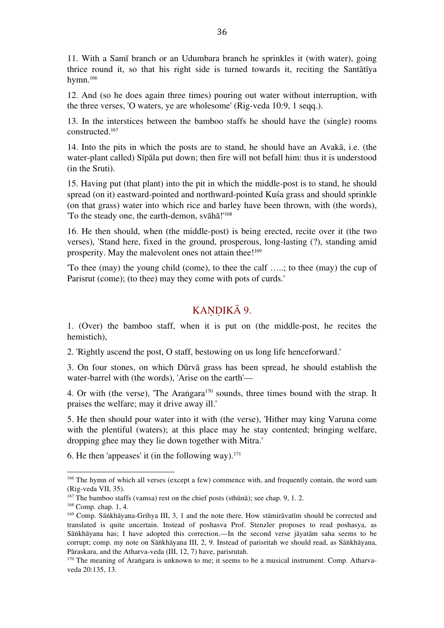11. With a Samī branch or an Udumbara branch he sprinkles it (with water), going thrice round it, so that his right side is turned towards it, reciting the Santātīya hymn. 166

12. And (so he does again three times) pouring out water without interruption, with the three verses, 'O waters, ye are wholesome' (Rig-veda 10:9, 1 seqq.).

13. In the interstices between the bamboo staffs he should have the (single) rooms constructed. 167

14. Into the pits in which the posts are to stand, he should have an Avakā, i.e. (the water-plant called) Sīpāla put down; then fire will not befall him: thus it is understood (in the Sruti).

15. Having put (that plant) into the pit in which the middle-post is to stand, he should spread (on it) eastward-pointed and northward-pointed Kuśa grass and should sprinkle (on that grass) water into which rice and barley have been thrown, with (the words), 'To the steady one, the earth-demon, svāhā!' 168

16. He then should, when (the middle-post) is being erected, recite over it (the two verses), 'Stand here, fixed in the ground, prosperous, long-lasting (?), standing amid prosperity. May the malevolent ones not attain thee!<sup>169</sup>

'To thee (may) the young child (come), to thee the calf …..; to thee (may) the cup of Parisrut (come); (to thee) may they come with pots of curds.'

## KANDIKĀ 9.

1. (Over) the bamboo staff, when it is put on (the middle-post, he recites the hemistich),

2. 'Rightly ascend the post, O staff, bestowing on us long life henceforward.'

3. On four stones, on which Dūrvā grass has been spread, he should establish the water-barrel with (the words), 'Arise on the earth'—

4. Or with (the verse), 'The Arangara<sup>170</sup> sounds, three times bound with the strap. It praises the welfare; may it drive away ill.'

5. He then should pour water into it with (the verse), 'Hither may king Varuna come with the plentiful (waters); at this place may he stay contented; bringing welfare, dropping ghee may they lie down together with Mitra.'

6. He then 'appeases' it (in the following way). $^{171}$ 

<sup>&</sup>lt;sup>166</sup> The hymn of which all verses (except a few) commence with, and frequently contain, the word sam (Rig-veda VII, 35).

<sup>167</sup> The bamboo staffs (vamsa) rest on the chief posts (sthūnā); see chap. 9, 1. 2.

<sup>168</sup> Comp. chap. 1, 4.

<sup>&</sup>lt;sup>169</sup> Comp. Sāṅkhāyana-Grihya III, 3, 1 and the note there. How stāmirāvatīm should be corrected and translated is quite uncertain. Instead of poshasva Prof. Stenzler proposes to read poshasya, as Sāṅkhāyana has; I have adopted this correction.—In the second verse jāyatām saha seems to be corrupt; comp. my note on Sāṅkhāyana III, 2, 9. Instead of parisritah we should read, as Sāṅkhāyana, Pāraskara, and the Atharva-veda (III, 12, 7) have, parisrutah.

<sup>&</sup>lt;sup>170</sup> The meaning of Araṅgara is unknown to me; it seems to be a musical instrument. Comp. Atharvaveda 20:135, 13.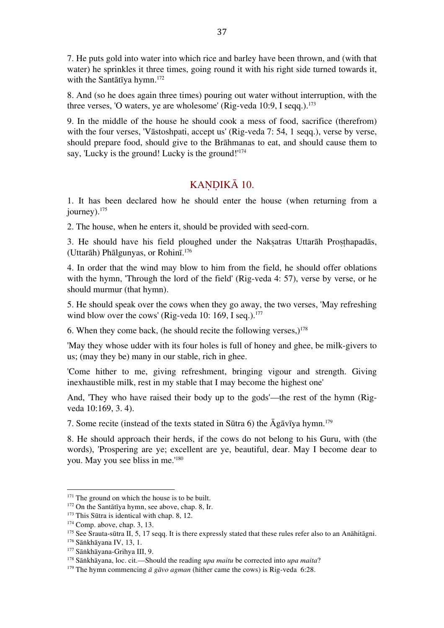7. He puts gold into water into which rice and barley have been thrown, and (with that water) he sprinkles it three times, going round it with his right side turned towards it, with the Santātīya hymn. 172

8. And (so he does again three times) pouring out water without interruption, with the three verses, 'O waters, ye are wholesome' (Rig-veda 10:9, I seqq.).<sup>173</sup>

9. In the middle of the house he should cook a mess of food, sacrifice (therefrom) with the four verses, 'Vāstoshpati, accept us' (Rig-veda 7: 54, 1 seqq.), verse by verse, should prepare food, should give to the Brāhmanas to eat, and should cause them to say, 'Lucky is the ground! Lucky is the ground!' 174

#### KANDIKĀ 10.

1. It has been declared how he should enter the house (when returning from a journey). 175

2. The house, when he enters it, should be provided with seed-corn.

3. He should have his field ploughed under the Naksatras Uttarāh Prosthapadās, (Uttarāh) Phālgunyas, or Rohinī. 176

4. In order that the wind may blow to him from the field, he should offer oblations with the hymn, 'Through the lord of the field' (Rig-veda 4: 57), verse by verse, or he should murmur (that hymn).

5. He should speak over the cows when they go away, the two verses, 'May refreshing wind blow over the cows' (Rig-veda 10: 169, I seq.).<sup>177</sup>

6. When they come back, (he should recite the following verses,) $178$ 

'May they whose udder with its four holes is full of honey and ghee, be milk-givers to us; (may they be) many in our stable, rich in ghee.

'Come hither to me, giving refreshment, bringing vigour and strength. Giving inexhaustible milk, rest in my stable that I may become the highest one'

And, 'They who have raised their body up to the gods'—the rest of the hymn (Rigveda 10:169, 3. 4).

7. Some recite (instead of the texts stated in Sūtra 6) the Āgāvīya hymn. 179

8. He should approach their herds, if the cows do not belong to his Guru, with (the words), 'Prospering are ye; excellent are ye, beautiful, dear. May I become dear to you. May you see bliss in me.' 180

<sup>&</sup>lt;sup>171</sup> The ground on which the house is to be built.

<sup>172</sup> On the Santātīya hymn, see above, chap. 8, Ir.

<sup>&</sup>lt;sup>173</sup> This Sūtra is identical with chap. 8, 12.

<sup>174</sup> Comp. above, chap. 3, 13.

<sup>&</sup>lt;sup>175</sup> See Srauta-sūtra II, 5, 17 seqq. It is there expressly stated that these rules refer also to an Anāhitāgni.

<sup>176</sup> Sāṅkhāyana IV, 13, 1. <sup>177</sup> Sāṅkhāyana-Grihya III, 9.

<sup>178</sup> Sāṅkhāyana, loc. cit.—Should the reading *upa maitu* be corrected into *upa maita*?

<sup>&</sup>lt;sup>179</sup> The hymn commencing  $\bar{a}$  g $\bar{a}$ *vo agman* (hither came the cows) is Rig-veda 6:28.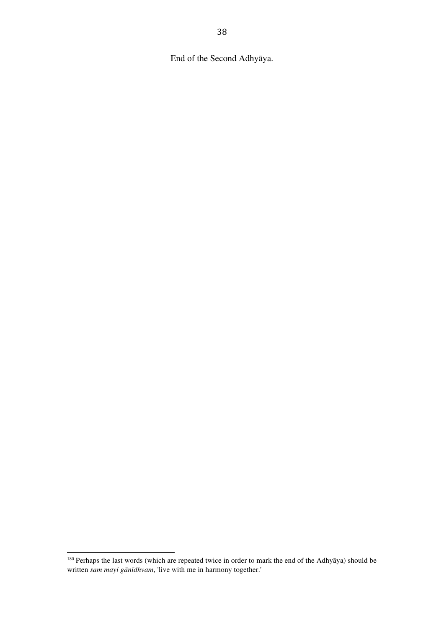End of the Second Adhyāya.

<sup>&</sup>lt;sup>180</sup> Perhaps the last words (which are repeated twice in order to mark the end of the Adhyāya) should be written *sam mayi gānīdhvam*, 'live with me in harmony together.'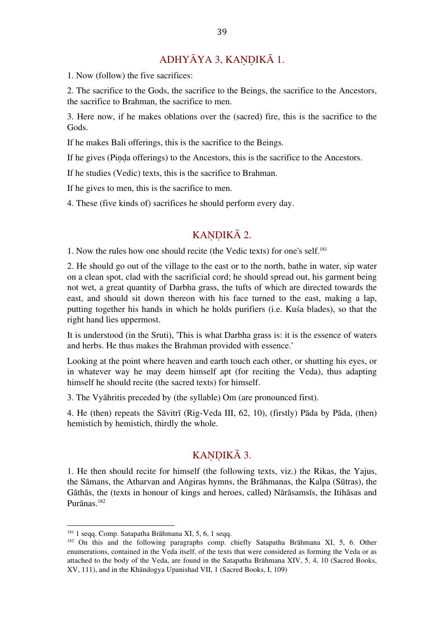### ADHYĀYA 3, KANDIKĀ 1.

1. Now (follow) the five sacrifices:

2. The sacrifice to the Gods, the sacrifice to the Beings, the sacrifice to the Ancestors, the sacrifice to Brahman, the sacrifice to men.

3. Here now, if he makes oblations over the (sacred) fire, this is the sacrifice to the Gods.

If he makes Bali offerings, this is the sacrifice to the Beings.

If he gives (Piṇḍa offerings) to the Ancestors, this is the sacrifice to the Ancestors.

If he studies (Vedic) texts, this is the sacrifice to Brahman.

If he gives to men, this is the sacrifice to men.

4. These (five kinds of) sacrifices he should perform every day.

#### KANDIKĀ 2.

1. Now the rules how one should recite (the Vedic texts) for one's self. 181

2. He should go out of the village to the east or to the north, bathe in water, sip water on a clean spot, clad with the sacrificial cord; he should spread out, his garment being not wet, a great quantity of Darbha grass, the tufts of which are directed towards the east, and should sit down thereon with his face turned to the east, making a lap, putting together his hands in which he holds purifiers (i.e. Kuśa blades), so that the right hand lies uppermost.

It is understood (in the Sruti), 'This is what Darbha grass is: it is the essence of waters and herbs. He thus makes the Brahman provided with essence.'

Looking at the point where heaven and earth touch each other, or shutting his eyes, or in whatever way he may deem himself apt (for reciting the Veda), thus adapting himself he should recite (the sacred texts) for himself.

3. The Vyāhritis preceded by (the syllable) Om (are pronounced first).

4. He (then) repeats the Sāvitrī (Rig-Veda III, 62, 10), (firstly) Pāda by Pāda, (then) hemistich by hemistich, thirdly the whole.

### KANDIKĀ 3.

1. He then should recite for himself (the following texts, viz.) the Rikas, the Yajus, the Sāmans, the Atharvan and Aṅgiras hymns, the Brāhmanas, the Kalpa (Sūtras), the Gāthās, the (texts in honour of kings and heroes, called) Nārāsamsīs, the Itihāsas and Purānas. 182

<sup>181</sup> 1 seqq. Comp. Satapatha Brāhmana XI, 5, 6, 1 seqq.

<sup>&</sup>lt;sup>182</sup> On this and the following paragraphs comp. chiefly Satapatha Brāhmana XI, 5, 6. Other enumerations, contained in the Veda itself, of the texts that were considered as forming the Veda or as attached to the body of the Veda, are found in the Satapatha Brāhmana XIV, 5, 4, 10 (Sacred Books, XV, 111), and in the Khāndogya Upanishad VII, 1 (Sacred Books, I, 109)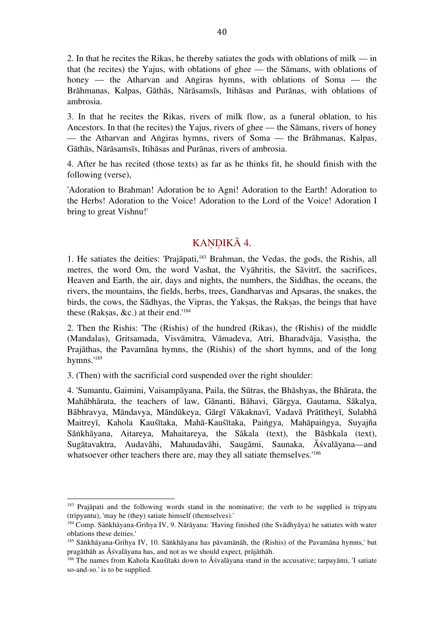2. In that he recites the Rikas, he thereby satiates the gods with oblations of milk — in that (he recites) the Yajus, with oblations of ghee — the Sāmans, with oblations of honey — the Atharvan and Angiras hymns, with oblations of Soma — the Brāhmanas, Kalpas, Gāthās, Nārāsamsīs, Itihāsas and Purānas, with oblations of ambrosia.

3. In that he recites the Rikas, rivers of milk flow, as a funeral oblation, to his Ancestors. In that (he recites) the Yajus, rivers of ghee — the Sāmans, rivers of honey — the Atharvan and Aṅgiras hymns, rivers of Soma — the Brāhmanas, Kalpas, Gāthās, Nārāsamsīs, Itihāsas and Purānas, rivers of ambrosia.

4. After he has recited (those texts) as far as he thinks fit, he should finish with the following (verse),

'Adoration to Brahman! Adoration be to Agni! Adoration to the Earth! Adoration to the Herbs! Adoration to the Voice! Adoration to the Lord of the Voice! Adoration I bring to great Vishnu!'

### KANDIKĀ 4.

1. He satiates the deities: 'Prajāpati, 183 Brahman, the Vedas, the gods, the Rishis, all metres, the word Om, the word Vashat, the Vyāhritis, the Sāvitrī, the sacrifices, Heaven and Earth, the air, days and nights, the numbers, the Siddhas, the oceans, the rivers, the mountains, the fields, herbs, trees, Gandharvas and Apsaras, the snakes, the birds, the cows, the Sādhyas, the Vipras, the Yakṣas, the Rakṣas, the beings that have these (Rakṣas, &c.) at their end.' 184

2. Then the Rishis: 'The (Rishis) of the hundred (Rikas), the (Rishis) of the middle (Mandalas), Gritsamada, Visvāmitra, Vāmadeva, Atri, Bharadvāja, Vasistha, the Prajāthas, the Pavamāna hymns, the (Rishis) of the short hymns, and of the long hymns.' 185

3. (Then) with the sacrificial cord suspended over the right shoulder:

 

4. 'Sumantu, Gaimini, Vaisampāyana, Paila, the Sūtras, the Bhāshyas, the Bhārata, the Mahābhārata, the teachers of law, Gānanti, Bāhavi, Gārgya, Gautama, Sākalya, Bābhravya, Māndavya, Māndūkeya, Gārgī Vākaknavī, Vadavā Prātītheyī, Sulabhā Maitreyī, Kahola Kauśītaka, Mahā-Kauśītaka, Paiṅgya, Mahāpaiṅgya, Suyajña Sāṅkhāyana, Aitareya, Mahaitareya, the Sākala (text), the Bāshkala (text), Sugātavaktra, Audavāhi, Mahaudavāhi, Saugāmi, Saunaka, Āśvalāyana—and whatsoever other teachers there are, may they all satiate themselves.<sup>186</sup>

<sup>&</sup>lt;sup>183</sup> Prajāpati and the following words stand in the nominative; the verb to be supplied is tripyatu (tripyantu), 'may he (they) satiate himself (themselves).'

<sup>184</sup> Comp. Sāṅkhāyana-Grihya IV, 9. Nārāyana: 'Having finished (the Svādhyāya) he satiates with water oblations these deities.'

<sup>185</sup> Sāṅkhāyana-Grihya IV, 10. Sāṅkhāyana has pāvamānāh, the (Rishis) of the Pavamāna hymns,' but pragāthāh as Āśvalāyana has, and not as we should expect, prājāthāh.

<sup>&</sup>lt;sup>186</sup> The names from Kahola Kauśītaki down to Āśvalāyana stand in the accusative; tarpayāmi, 'I satiate so-and-so.' is to be supplied.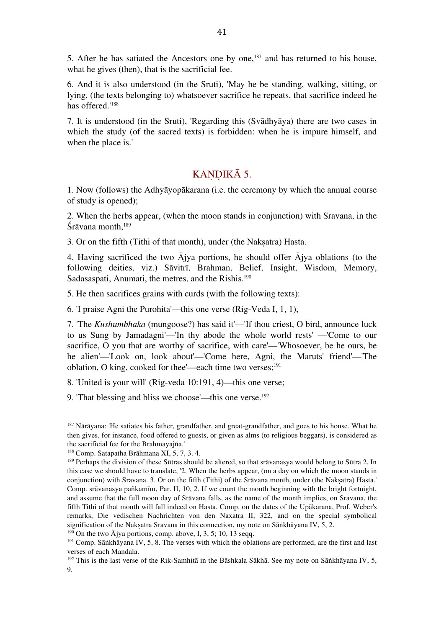5. After he has satiated the Ancestors one by one, $187$  and has returned to his house, what he gives (then), that is the sacrificial fee.

6. And it is also understood (in the Sruti), 'May he be standing, walking, sitting, or lying, (the texts belonging to) whatsoever sacrifice he repeats, that sacrifice indeed he has offered.' 188

7. It is understood (in the Sruti), 'Regarding this (Svādhyāya) there are two cases in which the study (of the sacred texts) is forbidden: when he is impure himself, and when the place is.'

### KANDIKĀ 5.

1. Now (follows) the Adhyāyopākarana (i.e. the ceremony by which the annual course of study is opened);

2. When the herbs appear, (when the moon stands in conjunction) with Sravana, in the Śrāvana month, 189

3. Or on the fifth (Tithi of that month), under (the Nakṣatra) Hasta.

4. Having sacrificed the two Ājya portions, he should offer Ājya oblations (to the following deities, viz.) Sāvitrī, Brahman, Belief, Insight, Wisdom, Memory, Sadasaspati, Anumati, the metres, and the Rishis.<sup>190</sup>

5. He then sacrifices grains with curds (with the following texts):

6. 'I praise Agni the Purohita'—this one verse (Rig-Veda I, 1, 1),

7. 'The *Kushumbhaka* (mungoose?) has said it'—'If thou criest, O bird, announce luck to us Sung by Jamadagni'—'In thy abode the whole world rests' —'Come to our sacrifice, O you that are worthy of sacrifice, with care'—'Whosoever, be he ours, be he alien'—'Look on, look about'—'Come here, Agni, the Maruts' friend'—'The oblation, O king, cooked for thee'—each time two verses; 191

8. 'United is your will' (Rig-veda 10:191, 4)—this one verse;

9. 'That blessing and bliss we choose'—this one verse. 192

 

<sup>190</sup> On the two  $\overline{A}$ jya portions, comp. above, I, 3, 5; 10, 13 seqq.

<sup>&</sup>lt;sup>187</sup> Nārāyana: 'He satiates his father, grandfather, and great-grandfather, and goes to his house. What he then gives, for instance, food offered to guests, or given as alms (to religious beggars), is considered as the sacrificial fee for the Brahmayajña.'

<sup>188</sup> Comp. Satapatha Brāhmana XI, 5, 7, 3. 4.

<sup>&</sup>lt;sup>189</sup> Perhaps the division of these Sūtras should be altered, so that srāvanasya would belong to Sūtra 2. In this case we should have to translate, '2. When the herbs appear, (on a day on which the moon stands in conjunction) with Sravana. 3. Or on the fifth (Tithi) of the Srāvana month, under (the Nakṣatra) Hasta.' Comp. srāvanasya pañkamīm, Par. II, 10, 2. If we count the month beginning with the bright fortnight, and assume that the full moon day of Srāvana falls, as the name of the month implies, on Sravana, the fifth Tithi of that month will fall indeed on Hasta. Comp. on the dates of the Upākarana, Prof. Weber's remarks, Die vedischen Nachrichten von den Naxatra II, 322, and on the special symbolical signification of the Nakṣatra Sravana in this connection, my note on Sāṅkhāyana IV, 5, 2.

<sup>&</sup>lt;sup>191</sup> Comp. Sāṅkhāyana IV, 5, 8. The verses with which the oblations are performed, are the first and last verses of each Mandala.

<sup>192</sup> This is the last verse of the Rik-Samhitā in the Bāshkala Sākhā. See my note on Sāṅkhāyana IV, 5, 9.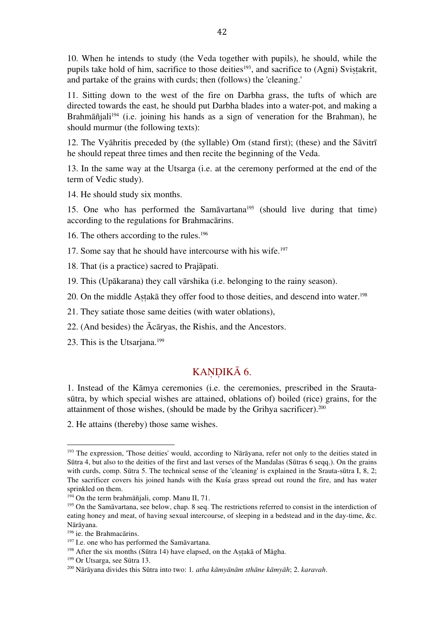10. When he intends to study (the Veda together with pupils), he should, while the pupils take hold of him, sacrifice to those deities<sup>193</sup>, and sacrifice to (Agni) Svistakrit, and partake of the grains with curds; then (follows) the 'cleaning.'

11. Sitting down to the west of the fire on Darbha grass, the tufts of which are directed towards the east, he should put Darbha blades into a water-pot, and making a Brahmāñjali<sup>194</sup> (i.e. joining his hands as a sign of veneration for the Brahman), he should murmur (the following texts):

12. The Vyāhritis preceded by (the syllable) Om (stand first); (these) and the Sāvitrī he should repeat three times and then recite the beginning of the Veda.

13. In the same way at the Utsarga (i.e. at the ceremony performed at the end of the term of Vedic study).

14. He should study six months.

15. One who has performed the Sam $\bar{a}$ vartana<sup>195</sup> (should live during that time) according to the regulations for Brahmacārins.

16. The others according to the rules. 196

17. Some say that he should have intercourse with his wife. 197

18. That (is a practice) sacred to Prajāpati.

19. This (Upākarana) they call vārshika (i.e. belonging to the rainy season).

20. On the middle Aṣṭakā they offer food to those deities, and descend into water. 198

21. They satiate those same deities (with water oblations),

22. (And besides) the Ācāryas, the Rishis, and the Ancestors.

23. This is the Utsarjana. 199

#### KANDIKĀ 6.

1. Instead of the Kāmya ceremonies (i.e. the ceremonies, prescribed in the Srautasūtra, by which special wishes are attained, oblations of) boiled (rice) grains, for the attainment of those wishes, (should be made by the Grihya sacrificer). 200

2. He attains (thereby) those same wishes.

<sup>&</sup>lt;sup>193</sup> The expression, 'Those deities' would, according to Nārāyana, refer not only to the deities stated in Sūtra 4, but also to the deities of the first and last verses of the Mandalas (Sūtras 6 seqq.). On the grains with curds, comp. Sūtra 5. The technical sense of the 'cleaning' is explained in the Srauta-sūtra I, 8, 2; The sacrificer covers his joined hands with the Kuśa grass spread out round the fire, and has water sprinkled on them.

<sup>194</sup> On the term brahmāñjali, comp. Manu II, 71.

<sup>&</sup>lt;sup>195</sup> On the Samāvartana, see below, chap. 8 seq. The restrictions referred to consist in the interdiction of eating honey and meat, of having sexual intercourse, of sleeping in a bedstead and in the day-time, &c. Nārāyana.

<sup>196</sup> ie. the Brahmacārins.

<sup>&</sup>lt;sup>197</sup> I.e. one who has performed the Samāvartana.

 $198$  After the six months (Sūtra 14) have elapsed, on the Astakā of Māgha.

<sup>199</sup> Or Utsarga, see Sūtra 13.

<sup>200</sup> Nārāyana divides this Sūtra into two: 1*. atha kāmyānām sthāne kāmyāh*; 2. *karavah*.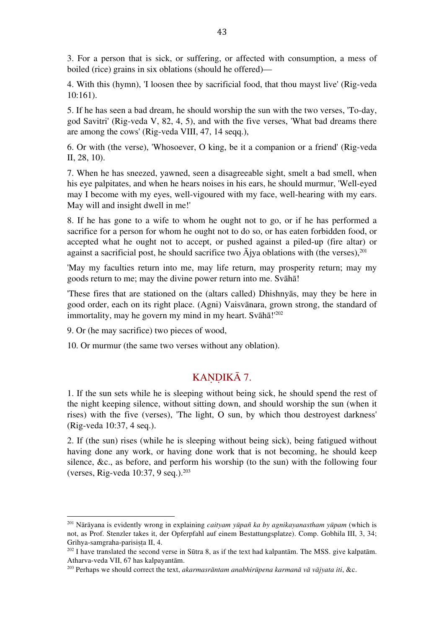3. For a person that is sick, or suffering, or affected with consumption, a mess of boiled (rice) grains in six oblations (should he offered)—

4. With this (hymn), 'I loosen thee by sacrificial food, that thou mayst live' (Rig-veda 10:161).

5. If he has seen a bad dream, he should worship the sun with the two verses, 'To-day, god Savitri' (Rig-veda V, 82, 4, 5), and with the five verses, 'What bad dreams there are among the cows' (Rig-veda VIII, 47, 14 seqq.),

6. Or with (the verse), 'Whosoever, O king, be it a companion or a friend' (Rig-veda II, 28, 10).

7. When he has sneezed, yawned, seen a disagreeable sight, smelt a bad smell, when his eye palpitates, and when he hears noises in his ears, he should murmur, 'Well-eyed may I become with my eyes, well-vigoured with my face, well-hearing with my ears. May will and insight dwell in me!'

8. If he has gone to a wife to whom he ought not to go, or if he has performed a sacrifice for a person for whom he ought not to do so, or has eaten forbidden food, or accepted what he ought not to accept, or pushed against a piled-up (fire altar) or against a sacrificial post, he should sacrifice two Ājya oblations with (the verses), 201

'May my faculties return into me, may life return, may prosperity return; may my goods return to me; may the divine power return into me. Svāhā!

'These fires that are stationed on the (altars called) Dhishnyās, may they be here in good order, each on its right place. (Agni) Vaisvānara, grown strong, the standard of immortality, may he govern my mind in my heart. Svāhā!' 202

9. Or (he may sacrifice) two pieces of wood,

 

10. Or murmur (the same two verses without any oblation).

### KANDIKĀ 7.

1. If the sun sets while he is sleeping without being sick, he should spend the rest of the night keeping silence, without sitting down, and should worship the sun (when it rises) with the five (verses), 'The light, O sun, by which thou destroyest darkness' (Rig-veda 10:37, 4 seq.).

2. If (the sun) rises (while he is sleeping without being sick), being fatigued without having done any work, or having done work that is not becoming, he should keep silence, &c., as before, and perform his worship (to the sun) with the following four (verses, Rig-veda 10:37, 9 seq.). 203

<sup>201</sup> Nārāyana is evidently wrong in explaining *caityam yūpañ ka by agnikayanastham yūpam* (which is not, as Prof. Stenzler takes it, der Opferpfahl auf einem Bestattungsplatze). Comp. Gobhila III, 3, 34; Grihya-samgraha-parisista II, 4.

 $202$  I have translated the second verse in Sūtra 8, as if the text had kalpantām. The MSS. give kalpatām. Atharva-veda VII, 67 has kalpayantām.

<sup>203</sup> Perhaps we should correct the text, *akarmasrāntam anabhirūpena karmanā vā vājyata iti*, &c.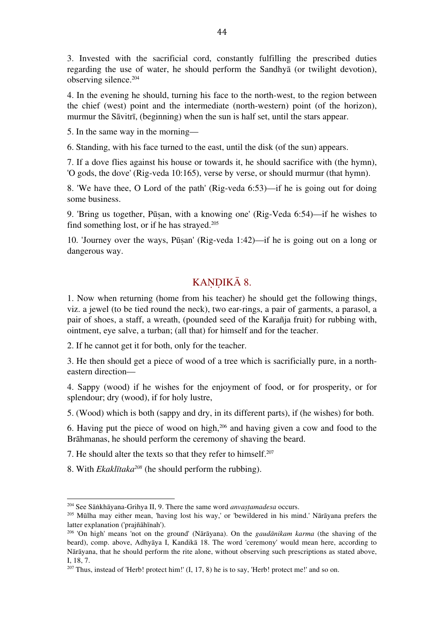3. Invested with the sacrificial cord, constantly fulfilling the prescribed duties regarding the use of water, he should perform the Sandhyā (or twilight devotion), observing silence. 204

4. In the evening he should, turning his face to the north-west, to the region between the chief (west) point and the intermediate (north-western) point (of the horizon), murmur the Sāvitrī, (beginning) when the sun is half set, until the stars appear.

5. In the same way in the morning—

6. Standing, with his face turned to the east, until the disk (of the sun) appears.

7. If a dove flies against his house or towards it, he should sacrifice with (the hymn), 'O gods, the dove' (Rig-veda 10:165), verse by verse, or should murmur (that hymn).

8. 'We have thee, O Lord of the path' (Rig-veda 6:53)—if he is going out for doing some business.

9. 'Bring us together, Pūṣan, with a knowing one' (Rig-Veda 6:54)—if he wishes to find something lost, or if he has strayed. 205

10. 'Journey over the ways, Pūṣan' (Rig-veda 1:42)—if he is going out on a long or dangerous way.

### KANDIKĀ 8.

1. Now when returning (home from his teacher) he should get the following things, viz. a jewel (to be tied round the neck), two ear-rings, a pair of garments, a parasol, a pair of shoes, a staff, a wreath, (pounded seed of the Karañja fruit) for rubbing with, ointment, eye salve, a turban; (all that) for himself and for the teacher.

2. If he cannot get it for both, only for the teacher.

3. He then should get a piece of wood of a tree which is sacrificially pure, in a northeastern direction—

4. Sappy (wood) if he wishes for the enjoyment of food, or for prosperity, or for splendour; dry (wood), if for holy lustre,

5. (Wood) which is both (sappy and dry, in its different parts), if (he wishes) for both.

6. Having put the piece of wood on high, $206$  and having given a cow and food to the Brāhmanas, he should perform the ceremony of shaving the beard.

7. He should alter the texts so that they refer to himself. 207

8. With *Ekaklītaka208* (he should perform the rubbing).

<sup>&</sup>lt;sup>204</sup> See Sāṅkhāyana-Grihya II, 9. There the same word *anvastamadesa* occurs.

<sup>205</sup> Mūlha may either mean, 'having lost his way,' or 'bewildered in his mind.' Nārāyana prefers the latter explanation ('prajñāhīnah').

<sup>206</sup> 'On high' means 'not on the ground' (Nārāyana). On the *gaudānikam karma* (the shaving of the beard), comp. above, Adhyāya I, Kandikā 18. The word 'ceremony' would mean here, according to Nārāyana, that he should perform the rite alone, without observing such prescriptions as stated above, I, 18, 7.

 $207$  Thus, instead of 'Herb! protect him!' (I, 17, 8) he is to say, 'Herb! protect me!' and so on.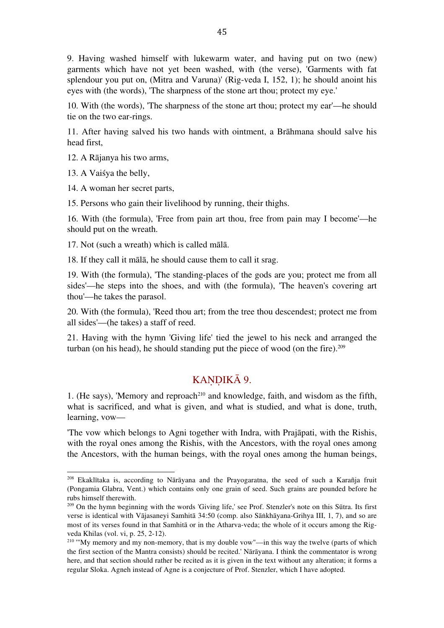9. Having washed himself with lukewarm water, and having put on two (new) garments which have not yet been washed, with (the verse), 'Garments with fat splendour you put on, (Mitra and Varuna)' (Rig-veda I, 152, 1); he should anoint his eyes with (the words), 'The sharpness of the stone art thou; protect my eye.'

10. With (the words), 'The sharpness of the stone art thou; protect my ear'—he should tie on the two ear-rings.

11. After having salved his two hands with ointment, a Brāhmana should salve his head first,

12. A Rājanya his two arms,

13. A Vaiśya the belly,

14. A woman her secret parts,

 

15. Persons who gain their livelihood by running, their thighs.

16. With (the formula), 'Free from pain art thou, free from pain may I become'—he should put on the wreath.

17. Not (such a wreath) which is called mālā.

18. If they call it mālā, he should cause them to call it srag.

19. With (the formula), 'The standing-places of the gods are you; protect me from all sides'—he steps into the shoes, and with (the formula), 'The heaven's covering art thou'—he takes the parasol.

20. With (the formula), 'Reed thou art; from the tree thou descendest; protect me from all sides'—(he takes) a staff of reed.

21. Having with the hymn 'Giving life' tied the jewel to his neck and arranged the turban (on his head), he should standing put the piece of wood (on the fire). 209

#### KANDIKĀ 9.

1. (He says), 'Memory and reproach<sup>210</sup> and knowledge, faith, and wisdom as the fifth, what is sacrificed, and what is given, and what is studied, and what is done, truth, learning, vow—

'The vow which belongs to Agni together with Indra, with Prajāpati, with the Rishis, with the royal ones among the Rishis, with the Ancestors, with the royal ones among the Ancestors, with the human beings, with the royal ones among the human beings,

<sup>208</sup> Ekaklītaka is, according to Nārāyana and the Prayogaratna, the seed of such a Karañja fruit (Pongamia Glabra, Vent.) which contains only one grain of seed. Such grains are pounded before he rubs himself therewith.

<sup>209</sup> On the hymn beginning with the words 'Giving life,' see Prof. Stenzler's note on this Sūtra. Its first verse is identical with Vājasaneyi Samhitā 34:50 (comp. also Sāṅkhāyana-Grihya III, 1, 7), and so are most of its verses found in that Samhitā or in the Atharva-veda; the whole of it occurs among the Rigveda Khilas (vol. vi, p. 25, 2-12).

<sup>&</sup>lt;sup>210</sup> "My memory and my non-memory, that is my double vow"—in this way the twelve (parts of which the first section of the Mantra consists) should be recited.' Nārāyana. I think the commentator is wrong here, and that section should rather be recited as it is given in the text without any alteration; it forms a regular Sloka. Agneh instead of Agne is a conjecture of Prof. Stenzler, which I have adopted.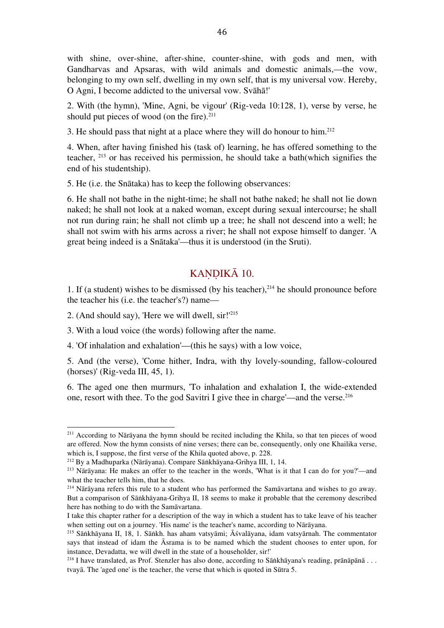with shine, over-shine, after-shine, counter-shine, with gods and men, with Gandharvas and Apsaras, with wild animals and domestic animals,—the vow, belonging to my own self, dwelling in my own self, that is my universal vow. Hereby, O Agni, I become addicted to the universal vow. Svāhā!'

2. With (the hymn), 'Mine, Agni, be vigour' (Rig-veda 10:128, 1), verse by verse, he should put pieces of wood (on the fire). 211

3. He should pass that night at a place where they will do honour to him. 212

4. When, after having finished his (task of) learning, he has offered something to the teacher, <sup>213</sup> or has received his permission, he should take a bath(which signifies the end of his studentship).

5. He (i.e. the Snātaka) has to keep the following observances:

6. He shall not bathe in the night-time; he shall not bathe naked; he shall not lie down naked; he shall not look at a naked woman, except during sexual intercourse; he shall not run during rain; he shall not climb up a tree; he shall not descend into a well; he shall not swim with his arms across a river; he shall not expose himself to danger. 'A great being indeed is a Snātaka'—thus it is understood (in the Sruti).

### KANDIKĀ 10.

1. If (a student) wishes to be dismissed (by his teacher), 214 he should pronounce before the teacher his (i.e. the teacher's?) name—

2. (And should say), 'Here we will dwell, sir!' 215

 

3. With a loud voice (the words) following after the name.

4. 'Of inhalation and exhalation'—(this he says) with a low voice,

5. And (the verse), 'Come hither, Indra, with thy lovely-sounding, fallow-coloured (horses)' (Rig-veda III, 45, 1).

6. The aged one then murmurs, 'To inhalation and exhalation I, the wide-extended one, resort with thee. To the god Savitri I give thee in charge'—and the verse. 216

<sup>&</sup>lt;sup>211</sup> According to Nārāyana the hymn should be recited including the Khila, so that ten pieces of wood are offered. Now the hymn consists of nine verses; there can be, consequently, only one Khailika verse, which is, I suppose, the first verse of the Khila quoted above, p. 228.

<sup>212</sup> By a Madhuparka (Nārāyana). Compare Sāṅkhāyana-Grihya III, 1, 14.

<sup>&</sup>lt;sup>213</sup> Nārāyana: He makes an offer to the teacher in the words, 'What is it that I can do for you?'—and what the teacher tells him, that he does.

<sup>214</sup> Nārāyana refers this rule to a student who has performed the Samāvartana and wishes to go away. But a comparison of Sāṅkhāyana-Grihya II, 18 seems to make it probable that the ceremony described here has nothing to do with the Samāvartana.

I take this chapter rather for a description of the way in which a student has to take leave of his teacher when setting out on a journey. 'His name' is the teacher's name, according to Nārāyana.

<sup>215</sup> Sāṅkhāyana II, 18, 1. Sāṅkh. has aham vatsyāmi; Āśvalāyana, idam vatsyārnah. The commentator says that instead of idam the Āsrama is to be named which the student chooses to enter upon, for instance, Devadatta, we will dwell in the state of a householder, sir!'

<sup>&</sup>lt;sup>216</sup> I have translated, as Prof. Stenzler has also done, according to Sāṅkhāyana's reading, prānāpānā . . . tvayā. The 'aged one' is the teacher, the verse that which is quoted in Sūtra 5.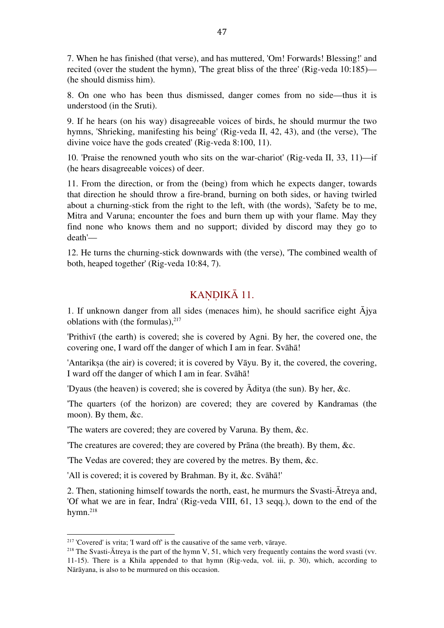7. When he has finished (that verse), and has muttered, 'Om! Forwards! Blessing!' and recited (over the student the hymn), 'The great bliss of the three' (Rig-veda 10:185)— (he should dismiss him).

8. On one who has been thus dismissed, danger comes from no side—thus it is understood (in the Sruti).

9. If he hears (on his way) disagreeable voices of birds, he should murmur the two hymns, 'Shrieking, manifesting his being' (Rig-veda II, 42, 43), and (the verse), 'The divine voice have the gods created' (Rig-veda 8:100, 11).

10. 'Praise the renowned youth who sits on the war-chariot' (Rig-veda II, 33, 11)—if (he hears disagreeable voices) of deer.

11. From the direction, or from the (being) from which he expects danger, towards that direction he should throw a fire-brand, burning on both sides, or having twirled about a churning-stick from the right to the left, with (the words), 'Safety be to me, Mitra and Varuna; encounter the foes and burn them up with your flame. May they find none who knows them and no support; divided by discord may they go to death'—

12. He turns the churning-stick downwards with (the verse), 'The combined wealth of both, heaped together' (Rig-veda 10:84, 7).

#### KANDIKĀ 11.

1. If unknown danger from all sides (menaces him), he should sacrifice eight  $\bar{A}$ jya oblations with (the formulas), 217

'Prithivī (the earth) is covered; she is covered by Agni. By her, the covered one, the covering one, I ward off the danger of which I am in fear. Svāhā!

'Antariksa (the air) is covered; it is covered by Vāyu. By it, the covered, the covering, I ward off the danger of which I am in fear. Svāhā!

'Dyaus (the heaven) is covered; she is covered by Āditya (the sun). By her, &c.

'The quarters (of the horizon) are covered; they are covered by Kandramas (the moon). By them, &c.

'The waters are covered; they are covered by Varuna. By them, &c.

'The creatures are covered; they are covered by Prāna (the breath). By them, &c.

'The Vedas are covered; they are covered by the metres. By them, &c.

'All is covered; it is covered by Brahman. By it, &c. Svāhā!'

2. Then, stationing himself towards the north, east, he murmurs the Svasti-Ātreya and, 'Of what we are in fear, Indra' (Rig-veda VIII, 61, 13 seqq.), down to the end of the hymn. 218

<sup>217</sup> 'Covered' is vrita; 'I ward off' is the causative of the same verb, vāraye.

<sup>&</sup>lt;sup>218</sup> The Svasti-Ātreya is the part of the hymn V, 51, which very frequently contains the word svasti (vv. 11-15). There is a Khila appended to that hymn (Rig-veda, vol. iii, p. 30), which, according to Nārāyana, is also to be murmured on this occasion.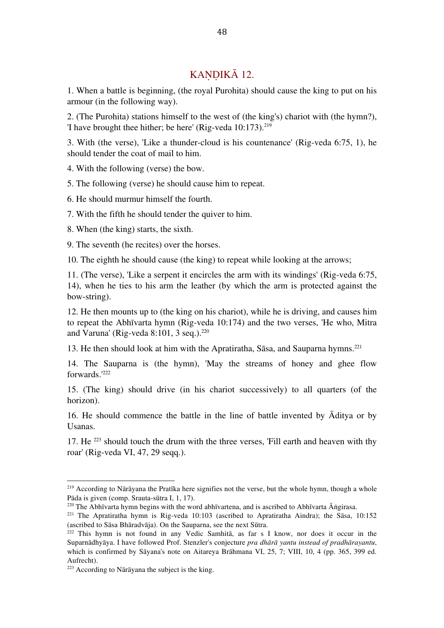### KANDIKĀ 12.

1. When a battle is beginning, (the royal Purohita) should cause the king to put on his armour (in the following way).

2. (The Purohita) stations himself to the west of (the king's) chariot with (the hymn?), 'I have brought thee hither; be here' (Rig-veda 10:173). 219

3. With (the verse), 'Like a thunder-cloud is his countenance' (Rig-veda 6:75, 1), he should tender the coat of mail to him.

4. With the following (verse) the bow.

5. The following (verse) he should cause him to repeat.

6. He should murmur himself the fourth.

7. With the fifth he should tender the quiver to him.

8. When (the king) starts, the sixth.

9. The seventh (he recites) over the horses.

10. The eighth he should cause (the king) to repeat while looking at the arrows;

11. (The verse), 'Like a serpent it encircles the arm with its windings' (Rig-veda 6:75, 14), when he ties to his arm the leather (by which the arm is protected against the bow-string).

12. He then mounts up to (the king on his chariot), while he is driving, and causes him to repeat the Abhīvarta hymn (Rig-veda 10:174) and the two verses, 'He who, Mitra and Varuna' (Rig-veda 8:101, 3 seq.). 220

13. He then should look at him with the Apratiratha, Sāsa, and Sauparna hymns. 221

14. The Sauparna is (the hymn), 'May the streams of honey and ghee flow forwards.' 222

15. (The king) should drive (in his chariot successively) to all quarters (of the horizon).

16. He should commence the battle in the line of battle invented by Āditya or by Usanas.

17. He <sup>223</sup> should touch the drum with the three verses, 'Fill earth and heaven with thy roar' (Rig-veda VI, 47, 29 seqq.).

<sup>219</sup> According to Nārāyana the Pratīka here signifies not the verse, but the whole hymn, though a whole Pāda is given (comp. Srauta-sūtra I, 1, 17).

<sup>&</sup>lt;sup>220</sup> The Abhīvarta hymn begins with the word abhīvartena, and is ascribed to Abhīvarta  $\overline{A}$ ngirasa.

<sup>221</sup> The Apratiratha hymn is Rig-veda 10:103 (ascribed to Apratiratha Aindra); the Sāsa, 10:152 (ascribed to Sāsa Bhāradvāja). On the Sauparna, see the next Sūtra.

<sup>222</sup> This hymn is not found in any Vedic Samhitā, as far s I know, nor does it occur in the Suparnādhyāya. I have followed Prof. Stenzler's conjecture *pra dhārā yantu instead of pradhārayantu*, which is confirmed by Sāyana's note on Aitareya Brāhmana VI, 25, 7; VIII, 10, 4 (pp. 365, 399 ed. Aufrecht).

<sup>223</sup> According to Nārāyana the subject is the king.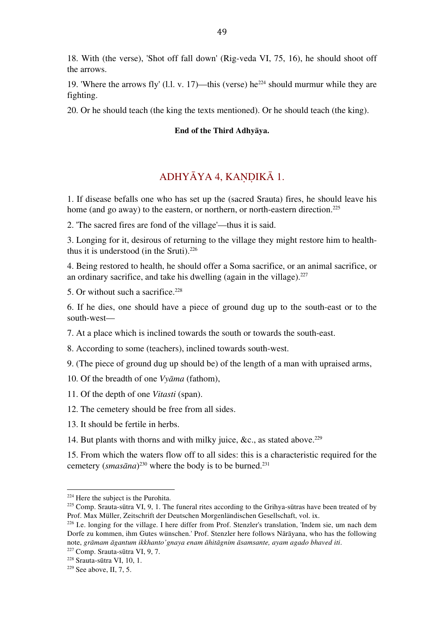18. With (the verse), 'Shot off fall down' (Rig-veda VI, 75, 16), he should shoot off the arrows.

19. 'Where the arrows fly' (1.1. v. 17)—this (verse) he<sup>224</sup> should murmur while they are fighting.

20. Or he should teach (the king the texts mentioned). Or he should teach (the king).

#### **End of the Third Adhyāya.**

#### ADHYĀYA 4, KAṆḌIKĀ 1.

1. If disease befalls one who has set up the (sacred Srauta) fires, he should leave his home (and go away) to the eastern, or northern, or north-eastern direction.<sup>225</sup>

2. 'The sacred fires are fond of the village'—thus it is said.

3. Longing for it, desirous of returning to the village they might restore him to healththus it is understood (in the Sruti). 226

4. Being restored to health, he should offer a Soma sacrifice, or an animal sacrifice, or an ordinary sacrifice, and take his dwelling (again in the village). 227

5. Or without such a sacrifice. 228

6. If he dies, one should have a piece of ground dug up to the south-east or to the south-west—

7. At a place which is inclined towards the south or towards the south-east.

8. According to some (teachers), inclined towards south-west.

9. (The piece of ground dug up should be) of the length of a man with upraised arms,

10. Of the breadth of one *Vyāma* (fathom),

11. Of the depth of one *Vitasti* (span).

12. The cemetery should be free from all sides.

13. It should be fertile in herbs.

14. But plants with thorns and with milky juice, &c., as stated above. 229

15. From which the waters flow off to all sides: this is a characteristic required for the cemetery (*smasāna*) 230 where the body is to be burned.231

 <sup>224</sup> Here the subject is the Purohita.

 $225$  Comp. Srauta-sūtra VI, 9, 1. The funeral rites according to the Grihya-sūtras have been treated of by Prof. Max Müller, Zeitschrift der Deutschen Morgenländischen Gesellschaft, vol. ix.

<sup>226</sup> I.e. longing for the village. I here differ from Prof. Stenzler's translation, 'Indem sie, um nach dem Dorfe zu kommen, ihm Gutes wünschen.' Prof. Stenzler here follows Nārāyana, who has the following note, *grāmam āgantum ikkhanto'gnaya enam āhitāgnim āsamsante, ayam agado bhaved iti*.

<sup>227</sup> Comp. Srauta-sūtra VI, 9, 7.

<sup>228</sup> Srauta-sūtra VI, 10, 1.

 $229$  See above, II, 7, 5.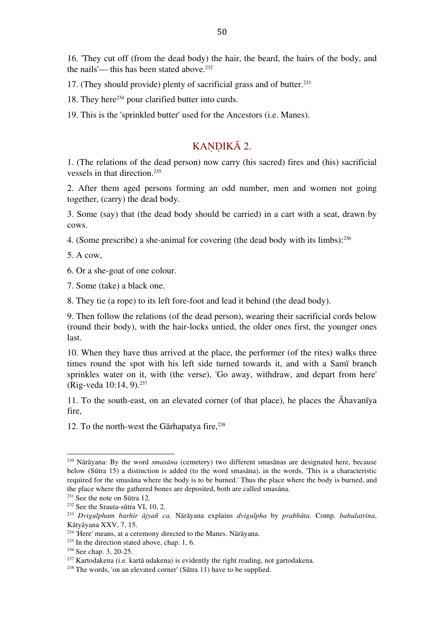16. 'They cut off (from the dead body) the hair, the beard, the hairs of the body, and the nails'— this has been stated above. 232

17. (They should provide) plenty of sacrificial grass and of butter. 233

18. They here<sup>234</sup> pour clarified butter into curds.

19. This is the 'sprinkled butter' used for the Ancestors (i.e. Manes).

#### KANDIKĀ 2.

1. (The relations of the dead person) now carry (his sacred) fires and (his) sacrificial vessels in that direction. 235

2. After them aged persons forming an odd number, men and women not going together, (carry) the dead body.

3. Some (say) that (the dead body should be carried) in a cart with a seat, drawn by cows.

4. (Some prescribe) a she-animal for covering (the dead body with its limbs): 236

5. A cow,

6. Or a she-goat of one colour.

7. Some (take) a black one.

8. They tie (a rope) to its left fore-foot and lead it behind (the dead body).

9. Then follow the relations (of the dead person), wearing their sacrificial cords below (round their body), with the hair-locks untied, the older ones first, the younger ones last.

10. When they have thus arrived at the place, the performer (of the rites) walks three times round the spot with his left side turned towards it, and with a Samī branch sprinkles water on it, with (the verse), 'Go away, withdraw, and depart from here' (Rig-veda 10:14, 9). 237

11. To the south-east, on an elevated corner (of that place), he places the Āhavanīya fire,

12. To the north-west the Gārhapatya fire, 238

<sup>230</sup> Nārāyana: By the word *smasāna* (cemetery) two different smasānas are designated here, because below (Sūtra 15) a distinction is added (to the word smasāna), in the words, 'This is a characteristic required for the smasāna where the body is to be burned.' Thus the place where the body is burned, and the place where the gathered bones are deposited, both are called smasāna.

<sup>231</sup> See the note on Sūtra 12.

<sup>&</sup>lt;sup>232</sup> See the Srauta-sūtra VI, 10, 2.

<sup>233</sup> *Dvigulpham barhir ājyañ ca.* Nārāyana explains *dvigulpha* by *prabhūta*. Comp. *bahulatrina*, Kātyāyana XXV, 7, 15.

<sup>234</sup> 'Here' means, at a ceremony directed to the Manes. Nārāyana.

<sup>&</sup>lt;sup>235</sup> In the direction stated above, chap. 1, 6.

<sup>236</sup> See chap. 3, 20-25.

<sup>&</sup>lt;sup>237</sup> Kartodakena (i.e. kartā udakena) is evidently the right reading, not gartodakena.

<sup>238</sup> The words, 'on an elevated corner' (Sūtra 11) have to be supplied.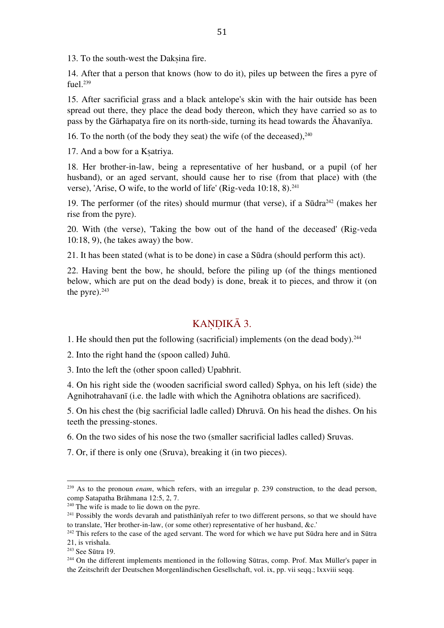13. To the south-west the Daksina fire.

14. After that a person that knows (how to do it), piles up between the fires a pyre of fuel. 239

15. After sacrificial grass and a black antelope's skin with the hair outside has been spread out there, they place the dead body thereon, which they have carried so as to pass by the Gārhapatya fire on its north-side, turning its head towards the Āhavanīya.

16. To the north (of the body they seat) the wife (of the deceased), $^{240}$ 

17. And a bow for a Kṣatriya.

18. Her brother-in-law, being a representative of her husband, or a pupil (of her husband), or an aged servant, should cause her to rise (from that place) with (the verse), 'Arise, O wife, to the world of life' (Rig-veda 10:18, 8). 241

19. The performer (of the rites) should murmur (that verse), if a  $Sūdra<sup>242</sup>$  (makes her rise from the pyre).

20. With (the verse), 'Taking the bow out of the hand of the deceased' (Rig-veda 10:18, 9), (he takes away) the bow.

21. It has been stated (what is to be done) in case a Sūdra (should perform this act).

22. Having bent the bow, he should, before the piling up (of the things mentioned below, which are put on the dead body) is done, break it to pieces, and throw it (on the pyre). $^{243}$ 

### KANDIKĀ 3.

1. He should then put the following (sacrificial) implements (on the dead body). 244

2. Into the right hand the (spoon called) Juhū.

3. Into the left the (other spoon called) Upabhrit.

4. On his right side the (wooden sacrificial sword called) Sphya, on his left (side) the Agnihotrahavanī (i.e. the ladle with which the Agnihotra oblations are sacrificed).

5. On his chest the (big sacrificial ladle called) Dhruvā. On his head the dishes. On his teeth the pressing-stones.

6. On the two sides of his nose the two (smaller sacrificial ladles called) Sruvas.

7. Or, if there is only one (Sruva), breaking it (in two pieces).

<sup>239</sup> As to the pronoun *enam*, which refers, with an irregular p. 239 construction, to the dead person, comp Satapatha Brāhmana 12:5, 2, 7.

 $240$  The wife is made to lie down on the pyre.

<sup>&</sup>lt;sup>241</sup> Possibly the words devarah and patisthānīyah refer to two different persons, so that we should have to translate, 'Her brother-in-law, (or some other) representative of her husband, &c.'

<sup>&</sup>lt;sup>242</sup> This refers to the case of the aged servant. The word for which we have put Sūdra here and in Sūtra 21, is vrishala.

<sup>243</sup> See Sūtra 19.

<sup>&</sup>lt;sup>244</sup> On the different implements mentioned in the following Sūtras, comp. Prof. Max Müller's paper in the Zeitschrift der Deutschen Morgenländischen Gesellschaft, vol. ix, pp. vii seqq.; lxxviii seqq.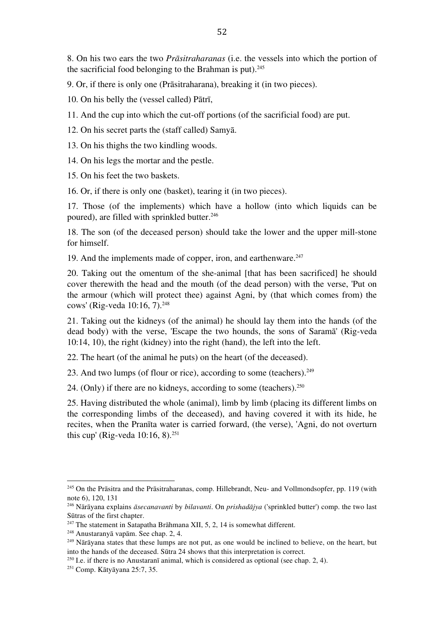8. On his two ears the two *Prāsitraharanas* (i.e. the vessels into which the portion of the sacrificial food belonging to the Brahman is put). 245

9. Or, if there is only one (Prāsitraharana), breaking it (in two pieces).

10. On his belly the (vessel called) Pātrī,

11. And the cup into which the cut-off portions (of the sacrificial food) are put.

12. On his secret parts the (staff called) Samyā.

13. On his thighs the two kindling woods.

14. On his legs the mortar and the pestle.

15. On his feet the two baskets.

16. Or, if there is only one (basket), tearing it (in two pieces).

17. Those (of the implements) which have a hollow (into which liquids can be poured), are filled with sprinkled butter. 246

18. The son (of the deceased person) should take the lower and the upper mill-stone for himself.

19. And the implements made of copper, iron, and earthenware. 247

20. Taking out the omentum of the she-animal [that has been sacrificed] he should cover therewith the head and the mouth (of the dead person) with the verse, 'Put on the armour (which will protect thee) against Agni, by (that which comes from) the cows' (Rig-veda 10:16, 7). 248

21. Taking out the kidneys (of the animal) he should lay them into the hands (of the dead body) with the verse, 'Escape the two hounds, the sons of Saramā' (Rig-veda 10:14, 10), the right (kidney) into the right (hand), the left into the left.

22. The heart (of the animal he puts) on the heart (of the deceased).

23. And two lumps (of flour or rice), according to some (teachers). 249

24. (Only) if there are no kidneys, according to some (teachers). $250$ 

25. Having distributed the whole (animal), limb by limb (placing its different limbs on the corresponding limbs of the deceased), and having covered it with its hide, he recites, when the Pranīta water is carried forward, (the verse), 'Agni, do not overturn this cup' (Rig-veda 10:16, 8). 251

<sup>&</sup>lt;sup>245</sup> On the Prāsitra and the Prāsitraharanas, comp. Hillebrandt, Neu- and Vollmondsopfer, pp. 119 (with note 6), 120, 131

<sup>246</sup> Nārāyana explains *āsecanavanti* by *bilavanti*. On *prishadājya* ('sprinkled butter') comp. the two last Sūtras of the first chapter.

 $247$  The statement in Satapatha Brāhmana XII, 5, 2, 14 is somewhat different.

<sup>248</sup> Anustaranyā vapām. See chap. 2, 4.

<sup>&</sup>lt;sup>249</sup> Nārāyana states that these lumps are not put, as one would be inclined to believe, on the heart, but into the hands of the deceased. Sūtra 24 shows that this interpretation is correct.

<sup>&</sup>lt;sup>250</sup> I.e. if there is no Anustaranī animal, which is considered as optional (see chap. 2, 4).

<sup>251</sup> Comp. Kātyāyana 25:7, 35.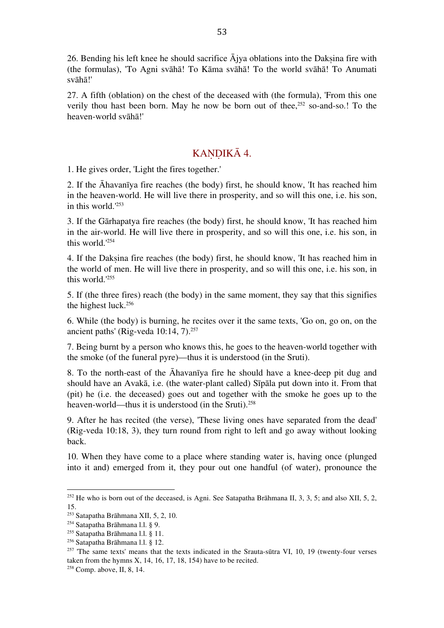26. Bending his left knee he should sacrifice  $\bar{A}$ jya oblations into the Daksina fire with (the formulas), 'To Agni svāhā! To Kāma svāhā! To the world svāhā! To Anumati svāhā!'

27. A fifth (oblation) on the chest of the deceased with (the formula), 'From this one verily thou hast been born. May he now be born out of thee, <sup>252</sup> so-and-so.! To the heaven-world svāhā!'

### KANDIKĀ 4.

1. He gives order, 'Light the fires together.'

2. If the Āhavanīya fire reaches (the body) first, he should know, 'It has reached him in the heaven-world. He will live there in prosperity, and so will this one, i.e. his son, in this world.' 253

3. If the Gārhapatya fire reaches (the body) first, he should know, 'It has reached him in the air-world. He will live there in prosperity, and so will this one, i.e. his son, in this world.' 254

4. If the Dakṣina fire reaches (the body) first, he should know, 'It has reached him in the world of men. He will live there in prosperity, and so will this one, i.e. his son, in this world.' 255

5. If (the three fires) reach (the body) in the same moment, they say that this signifies the highest luck. 256

6. While (the body) is burning, he recites over it the same texts, 'Go on, go on, on the ancient paths' (Rig-veda 10:14, 7). 257

7. Being burnt by a person who knows this, he goes to the heaven-world together with the smoke (of the funeral pyre)—thus it is understood (in the Sruti).

8. To the north-east of the Āhavanīya fire he should have a knee-deep pit dug and should have an Avakā, i.e. (the water-plant called) Sīpāla put down into it. From that (pit) he (i.e. the deceased) goes out and together with the smoke he goes up to the heaven-world—thus it is understood (in the Sruti). 258

9. After he has recited (the verse), 'These living ones have separated from the dead' (Rig-veda 10:18, 3), they turn round from right to left and go away without looking back.

10. When they have come to a place where standing water is, having once (plunged into it and) emerged from it, they pour out one handful (of water), pronounce the

<sup>252</sup> He who is born out of the deceased, is Agni. See Satapatha Brāhmana II, 3, 3, 5; and also XII, 5, 2, 15.

<sup>253</sup> Satapatha Brāhmana XII, 5, 2, 10.

<sup>254</sup> Satapatha Brāhmana l.l. § 9.

<sup>255</sup> Satapatha Brāhmana l.l. § 11.

<sup>256</sup> Satapatha Brāhmana l.l. § 12.

 $257$  The same texts' means that the texts indicated in the Srauta-sūtra VI, 10, 19 (twenty-four verses taken from the hymns  $X$ , 14, 16, 17, 18, 154) have to be recited.

<sup>258</sup> Comp. above, II, 8, 14.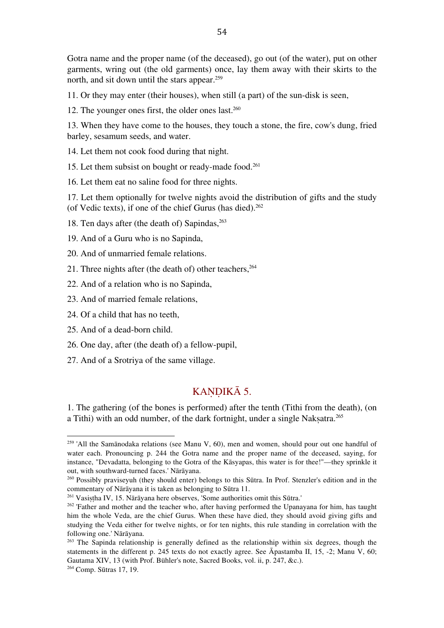Gotra name and the proper name (of the deceased), go out (of the water), put on other garments, wring out (the old garments) once, lay them away with their skirts to the north, and sit down until the stars appear. 259

11. Or they may enter (their houses), when still (a part) of the sun-disk is seen,

12. The younger ones first, the older ones last. 260

13. When they have come to the houses, they touch a stone, the fire, cow's dung, fried barley, sesamum seeds, and water.

14. Let them not cook food during that night.

15. Let them subsist on bought or ready-made food. 261

16. Let them eat no saline food for three nights.

17. Let them optionally for twelve nights avoid the distribution of gifts and the study (of Vedic texts), if one of the chief Gurus (has died). 262

18. Ten days after (the death of) Sapindas, 263

19. And of a Guru who is no Sapinda,

20. And of unmarried female relations.

21. Three nights after (the death of) other teachers, 264

22. And of a relation who is no Sapinda,

23. And of married female relations,

24. Of a child that has no teeth,

25. And of a dead-born child.

 

26. One day, after (the death of) a fellow-pupil,

27. And of a Srotriya of the same village.

#### KANDIKĀ 5.

1. The gathering (of the bones is performed) after the tenth (Tithi from the death), (on a Tithi) with an odd number, of the dark fortnight, under a single Nakṣatra. 265

<sup>&</sup>lt;sup>259</sup> 'All the Samānodaka relations (see Manu V, 60), men and women, should pour out one handful of water each. Pronouncing p. 244 the Gotra name and the proper name of the deceased, saying, for instance, "Devadatta, belonging to the Gotra of the Kāsyapas, this water is for thee!"—they sprinkle it out, with southward-turned faces.' Nārāyana.

<sup>260</sup> Possibly praviseyuh (they should enter) belongs to this Sūtra. In Prof. Stenzler's edition and in the commentary of Nārāyana it is taken as belonging to Sūtra 11.

<sup>&</sup>lt;sup>261</sup> Vasistha IV, 15. Nārāyana here observes, 'Some authorities omit this Sūtra.'

<sup>&</sup>lt;sup>262</sup> 'Father and mother and the teacher who, after having performed the Upanayana for him, has taught him the whole Veda, are the chief Gurus. When these have died, they should avoid giving gifts and studying the Veda either for twelve nights, or for ten nights, this rule standing in correlation with the following one.' Nārāyana.

<sup>&</sup>lt;sup>263</sup> The Sapinda relationship is generally defined as the relationship within six degrees, though the statements in the different p. 245 texts do not exactly agree. See Āpastamba II, 15, -2; Manu V, 60; Gautama XIV, 13 (with Prof. Bühler's note, Sacred Books, vol. ii, p. 247, &c.).

<sup>264</sup> Comp. Sūtras 17, 19.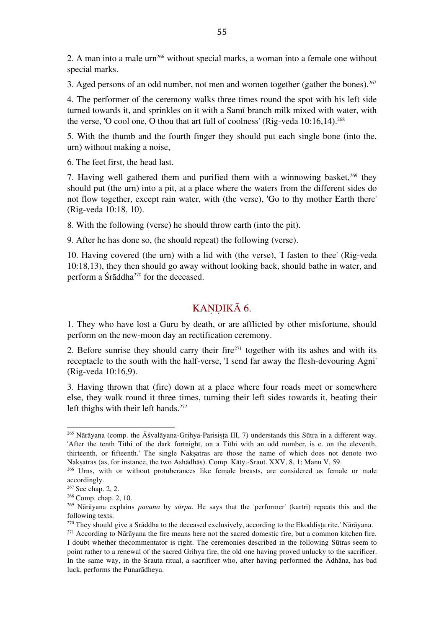2. A man into a male  $urn<sup>266</sup>$  without special marks, a woman into a female one without special marks.

3. Aged persons of an odd number, not men and women together (gather the bones). 267

4. The performer of the ceremony walks three times round the spot with his left side turned towards it, and sprinkles on it with a Samī branch milk mixed with water, with the verse, 'O cool one, O thou that art full of coolness' (Rig-veda 10:16,14). 268

5. With the thumb and the fourth finger they should put each single bone (into the, urn) without making a noise,

6. The feet first, the head last.

7. Having well gathered them and purified them with a winnowing basket, 269 they should put (the urn) into a pit, at a place where the waters from the different sides do not flow together, except rain water, with (the verse), 'Go to thy mother Earth there' (Rig-veda 10:18, 10).

8. With the following (verse) he should throw earth (into the pit).

9. After he has done so, (he should repeat) the following (verse).

10. Having covered (the urn) with a lid with (the verse), 'I fasten to thee' (Rig-veda 10:18,13), they then should go away without looking back, should bathe in water, and perform a Śrāddha270 for the deceased.

### KANDIKĀ 6.

1. They who have lost a Guru by death, or are afflicted by other misfortune, should perform on the new-moon day an rectification ceremony.

2. Before sunrise they should carry their fire $271$  together with its ashes and with its receptacle to the south with the half-verse, 'I send far away the flesh-devouring Agni' (Rig-veda 10:16,9).

3. Having thrown that (fire) down at a place where four roads meet or somewhere else, they walk round it three times, turning their left sides towards it, beating their left thighs with their left hands. 272

<sup>&</sup>lt;sup>265</sup> Nārāyana (comp. the Āśvalāyana-Grihya-Parisista III, 7) understands this Sūtra in a different way. 'After the tenth Tithi of the dark fortnight, on a Tithi with an odd number, is e. on the eleventh, thirteenth, or fifteenth.' The single Nakṣatras are those the name of which does not denote two Nakṣatras (as, for instance, the two Ashādhās). Comp. Kāty.-Sraut. XXV, 8, 1; Manu V, 59.

<sup>&</sup>lt;sup>266</sup> Urns, with or without protuberances like female breasts, are considered as female or male accordingly.

<sup>&</sup>lt;sup>267</sup> See chap. 2, 2.

<sup>268</sup> Comp. chap. 2, 10.

<sup>269</sup> Nārāyana explains *pavana* by *sūrpa*. He says that the 'performer' (kartri) repeats this and the following texts.

<sup>270</sup> They should give a Srāddha to the deceased exclusively, according to the Ekoddiṣṭa rite.' Nārāyana.

 $271$  According to Nārāyana the fire means here not the sacred domestic fire, but a common kitchen fire. I doubt whether thecommentator is right. The ceremonies described in the following Sūtras seem to point rather to a renewal of the sacred Grihya fire, the old one having proved unlucky to the sacrificer. In the same way, in the Srauta ritual, a sacrificer who, after having performed the Ādhāna, has bad luck, performs the Punarādheya.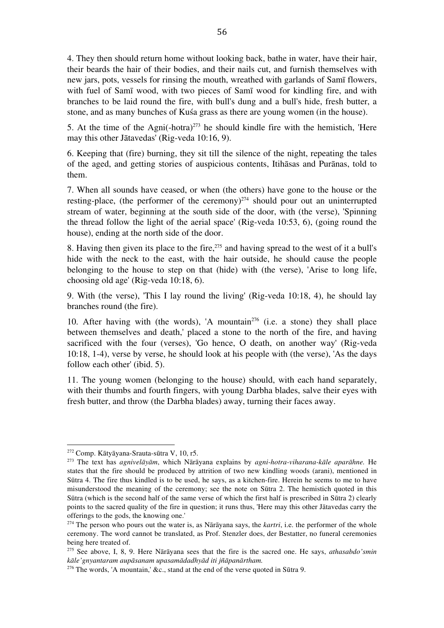4. They then should return home without looking back, bathe in water, have their hair, their beards the hair of their bodies, and their nails cut, and furnish themselves with new jars, pots, vessels for rinsing the mouth, wreathed with garlands of Samī flowers, with fuel of Samī wood, with two pieces of Samī wood for kindling fire, and with branches to be laid round the fire, with bull's dung and a bull's hide, fresh butter, a stone, and as many bunches of Kuśa grass as there are young women (in the house).

5. At the time of the  $\text{Agni}(-\text{hotra})^{273}$  he should kindle fire with the hemistich, 'Here may this other Jātavedas' (Rig-veda 10:16, 9).

6. Keeping that (fire) burning, they sit till the silence of the night, repeating the tales of the aged, and getting stories of auspicious contents, Itihāsas and Purānas, told to them.

7. When all sounds have ceased, or when (the others) have gone to the house or the resting-place, (the performer of the ceremony) 274 should pour out an uninterrupted stream of water, beginning at the south side of the door, with (the verse), 'Spinning the thread follow the light of the aerial space' (Rig-veda 10:53, 6), (going round the house), ending at the north side of the door.

8. Having then given its place to the fire, 275 and having spread to the west of it a bull's hide with the neck to the east, with the hair outside, he should cause the people belonging to the house to step on that (hide) with (the verse), 'Arise to long life, choosing old age' (Rig-veda 10:18, 6).

9. With (the verse), 'This I lay round the living' (Rig-veda 10:18, 4), he should lay branches round (the fire).

10. After having with (the words), 'A mountain<sup>276</sup> (i.e. a stone) they shall place between themselves and death,' placed a stone to the north of the fire, and having sacrificed with the four (verses), 'Go hence, O death, on another way' (Rig-veda 10:18, 1-4), verse by verse, he should look at his people with (the verse), 'As the days follow each other' (ibid. 5).

11. The young women (belonging to the house) should, with each hand separately, with their thumbs and fourth fingers, with young Darbha blades, salve their eyes with fresh butter, and throw (the Darbha blades) away, turning their faces away.

<sup>272</sup> Comp. Kātyāyana-Srauta-sūtra V, 10, r5.

<sup>273</sup> The text has *agnivelāyām*, which Nārāyana explains by *agni-hotra-viharana-kāle aparāhne.* He states that the fire should be produced by attrition of two new kindling woods (arani), mentioned in Sūtra 4. The fire thus kindled is to be used, he says, as a kitchen-fire. Herein he seems to me to have misunderstood the meaning of the ceremony; see the note on Sūtra 2. The hemistich quoted in this Sūtra (which is the second half of the same verse of which the first half is prescribed in Sūtra 2) clearly points to the sacred quality of the fire in question; it runs thus, 'Here may this other Jātavedas carry the offerings to the gods, the knowing one.'

<sup>274</sup> The person who pours out the water is, as Nārāyana says, the *kartri*, i.e. the performer of the whole ceremony. The word cannot be translated, as Prof. Stenzler does, der Bestatter, no funeral ceremonies being here treated of.

<sup>275</sup> See above, I, 8, 9. Here Nārāyana sees that the fire is the sacred one. He says, *athasabdo'smin kāle'gnyantaram aupāsanam upasamādadhyād iti jñāpanārtham.*

 $276$  The words, 'A mountain,' &c., stand at the end of the verse quoted in Sūtra 9.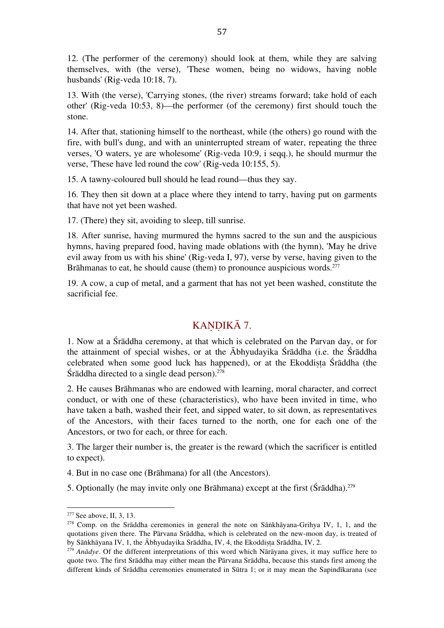12. (The performer of the ceremony) should look at them, while they are salving themselves, with (the verse), 'These women, being no widows, having noble husbands' (Rig-veda 10:18, 7).

13. With (the verse), 'Carrying stones, (the river) streams forward; take hold of each other' (Rig-veda 10:53, 8)—the performer (of the ceremony) first should touch the stone.

14. After that, stationing himself to the northeast, while (the others) go round with the fire, with bull's dung, and with an uninterrupted stream of water, repeating the three verses, 'O waters, ye are wholesome' (Rig-veda 10:9, i seqq.), he should murmur the verse, 'These have led round the cow' (Rig-veda 10:155, 5).

15. A tawny-coloured bull should he lead round—thus they say.

16. They then sit down at a place where they intend to tarry, having put on garments that have not yet been washed.

17. (There) they sit, avoiding to sleep, till sunrise.

18. After sunrise, having murmured the hymns sacred to the sun and the auspicious hymns, having prepared food, having made oblations with (the hymn), 'May he drive evil away from us with his shine' (Rig-veda I, 97), verse by verse, having given to the Brāhmanas to eat, he should cause (them) to pronounce auspicious words. 277

19. A cow, a cup of metal, and a garment that has not yet been washed, constitute the sacrificial fee.

### KANDIKĀ 7.

1. Now at a Śrāddha ceremony, at that which is celebrated on the Parvan day, or for the attainment of special wishes, or at the Ābhyudayika Śrāddha (i.e. the Śrāddha celebrated when some good luck has happened), or at the Ekoddista Śrāddha (the Śrāddha directed to a single dead person). 278

2. He causes Brāhmanas who are endowed with learning, moral character, and correct conduct, or with one of these (characteristics), who have been invited in time, who have taken a bath, washed their feet, and sipped water, to sit down, as representatives of the Ancestors, with their faces turned to the north, one for each one of the Ancestors, or two for each, or three for each.

3. The larger their number is, the greater is the reward (which the sacrificer is entitled to expect).

- 4. But in no case one (Brāhmana) for all (the Ancestors).
- 5. Optionally (he may invite only one Brāhmana) except at the first (Śrāddha). 279

<sup>&</sup>lt;sup>277</sup> See above, II, 3, 13.

<sup>&</sup>lt;sup>278</sup> Comp. on the Srāddha ceremonies in general the note on Sāṅkhāyana-Grihya IV, 1, 1, and the quotations given there. The Pārvana Srāddha, which is celebrated on the new-moon day, is treated of by Sāṅkhāyana IV, 1, the Ābhyudayika Srāddha, IV, 4, the Ekoddiṣṭa Srāddha, IV, 2.

<sup>279</sup> *Anādye*. Of the different interpretations of this word which Nārāyana gives, it may suffice here to quote two. The first Srāddha may either mean the Pārvana Srāddha, because this stands first among the different kinds of Srāddha ceremonies enumerated in Sūtra 1; or it may mean the Sapindīkarana (see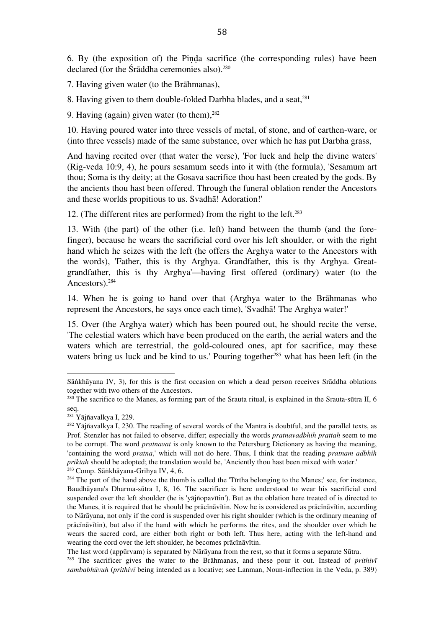6. By (the exposition of) the Piṇḍa sacrifice (the corresponding rules) have been declared (for the Śrāddha ceremonies also). 280

7. Having given water (to the Brāhmanas),

8. Having given to them double-folded Darbha blades, and a seat, 281

9. Having (again) given water (to them), 282

10. Having poured water into three vessels of metal, of stone, and of earthen-ware, or (into three vessels) made of the same substance, over which he has put Darbha grass,

And having recited over (that water the verse), 'For luck and help the divine waters' (Rig-veda 10:9, 4), he pours sesamum seeds into it with (the formula), 'Sesamum art thou; Soma is thy deity; at the Gosava sacrifice thou hast been created by the gods. By the ancients thou hast been offered. Through the funeral oblation render the Ancestors and these worlds propitious to us. Svadhā! Adoration!'

12. (The different rites are performed) from the right to the left. 283

13. With (the part) of the other (i.e. left) hand between the thumb (and the forefinger), because he wears the sacrificial cord over his left shoulder, or with the right hand which he seizes with the left (he offers the Arghya water to the Ancestors with the words), 'Father, this is thy Arghya. Grandfather, this is thy Arghya. Greatgrandfather, this is thy Arghya'—having first offered (ordinary) water (to the Ancestors). 284

14. When he is going to hand over that (Arghya water to the Brāhmanas who represent the Ancestors, he says once each time), 'Svadhā! The Arghya water!'

15. Over (the Arghya water) which has been poured out, he should recite the verse, 'The celestial waters which have been produced on the earth, the aerial waters and the waters which are terrestrial, the gold-coloured ones, apt for sacrifice, may these waters bring us luck and be kind to us.' Pouring together<sup>285</sup> what has been left (in the

Sāṅkhāyana IV, 3), for this is the first occasion on which a dead person receives Srāddha oblations together with two others of the Ancestors.

<sup>&</sup>lt;sup>280</sup> The sacrifice to the Manes, as forming part of the Srauta ritual, is explained in the Srauta-sūtra II, 6 seq.

<sup>281</sup> Yājñavalkya I, 229.

<sup>&</sup>lt;sup>282</sup> Yājñavalkya I, 230. The reading of several words of the Mantra is doubtful, and the parallel texts, as Prof. Stenzler has not failed to observe, differ; especially the words *pratnavadbhih prattah* seem to me to be corrupt. The word *pratnavat* is only known to the Petersburg Dictionary as having the meaning, 'containing the word *pratna*,' which will not do here. Thus, I think that the reading *pratnam adbhih priktah* should be adopted; the translation would be, 'Anciently thou hast been mixed with water.' <sup>283</sup> Comp. Sāṅkhāyana-Grihya IV, 4, 6.

<sup>&</sup>lt;sup>284</sup> The part of the hand above the thumb is called the 'Tīrtha belonging to the Manes;' see, for instance, Baudhāyana's Dharma-sūtra I, 8, 16. The sacrificer is here understood to wear his sacrificial cord suspended over the left shoulder (he is 'yājñopavītin'). But as the oblation here treated of is directed to the Manes, it is required that he should be prācīnāvītin. Now he is considered as prācīnāvītin, according to Nārāyana, not only if the cord is suspended over his right shoulder (which is the ordinary meaning of prācīnāvītin), but also if the hand with which he performs the rites, and the shoulder over which he wears the sacred cord, are either both right or both left. Thus here, acting with the left-hand and wearing the cord over the left shoulder, he becomes prācīnāvītin.

The last word (appūrvam) is separated by Nārāyana from the rest, so that it forms a separate Sūtra.

<sup>&</sup>lt;sup>285</sup> The sacrificer gives the water to the Brāhmanas, and these pour it out. Instead of *prithiv*<sup>*ī*</sup> *sambabhūvuh* (*prithivī* being intended as a locative; see Lanman, Noun-inflection in the Veda, p. 389)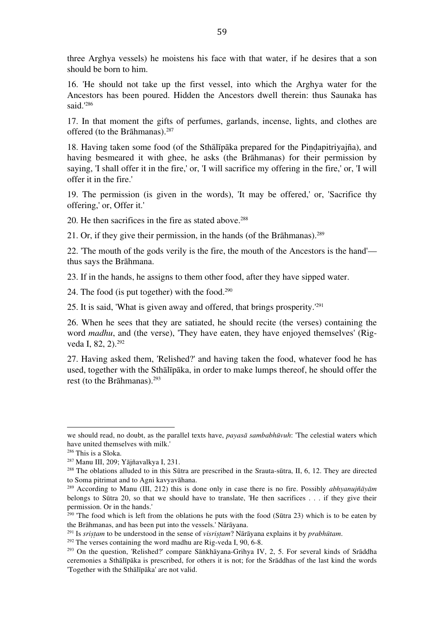three Arghya vessels) he moistens his face with that water, if he desires that a son should be born to him.

16. 'He should not take up the first vessel, into which the Arghya water for the Ancestors has been poured. Hidden the Ancestors dwell therein: thus Saunaka has said.' 286

17. In that moment the gifts of perfumes, garlands, incense, lights, and clothes are offered (to the Brāhmanas). 287

18. Having taken some food (of the Sthālīpāka prepared for the Piṇḍapitriyajña), and having besmeared it with ghee, he asks (the Brāhmanas) for their permission by saying, 'I shall offer it in the fire,' or, 'I will sacrifice my offering in the fire,' or, 'I will offer it in the fire.'

19. The permission (is given in the words), 'It may be offered,' or, 'Sacrifice thy offering,' or, Offer it.'

20. He then sacrifices in the fire as stated above. 288

21. Or, if they give their permission, in the hands (of the Brāhmanas). 289

22. 'The mouth of the gods verily is the fire, the mouth of the Ancestors is the hand' thus says the Brāhmana.

23. If in the hands, he assigns to them other food, after they have sipped water.

24. The food (is put together) with the food. 290

25. It is said, 'What is given away and offered, that brings prosperity.' 291

26. When he sees that they are satiated, he should recite (the verses) containing the word *madhu*, and (the verse), 'They have eaten, they have enjoyed themselves' (Rigveda I, 82, 2). 292

27. Having asked them, 'Relished?' and having taken the food, whatever food he has used, together with the Sthālīpāka, in order to make lumps thereof, he should offer the rest (to the Brāhmanas). 293

we should read, no doubt, as the parallel texts have, *payasā sambabhūvuh*: 'The celestial waters which have united themselves with milk.'

<sup>286</sup> This is a Sloka.

<sup>287</sup> Manu III, 209; Yājñavalkya I, 231.

<sup>&</sup>lt;sup>288</sup> The oblations alluded to in this Sūtra are prescribed in the Srauta-sūtra, II,  $6$ , 12. They are directed to Soma pitrimat and to Agni kavyavāhana.

<sup>289</sup> According to Manu (III, 212) this is done only in case there is no fire. Possibly *abhyanujñāyām* belongs to Sūtra 20, so that we should have to translate, 'He then sacrifices . . . if they give their permission. Or in the hands.'

 $290$  'The food which is left from the oblations he puts with the food (Sūtra 23) which is to be eaten by the Brāhmanas, and has been put into the vessels.' Nārāyana.

<sup>291</sup> Is *sriṣṭam* to be understood in the sense of *visriṣṭam*? Nārāyana explains it by *prabhūtam*.

<sup>292</sup> The verses containing the word madhu are Rig-veda I, 90, 6-8.

<sup>293</sup> On the question, 'Relished?' compare Sāṅkhāyana-Grihya IV, 2, 5. For several kinds of Srāddha ceremonies a Sthālīpāka is prescribed, for others it is not; for the Srāddhas of the last kind the words 'Together with the Sthālīpāka' are not valid.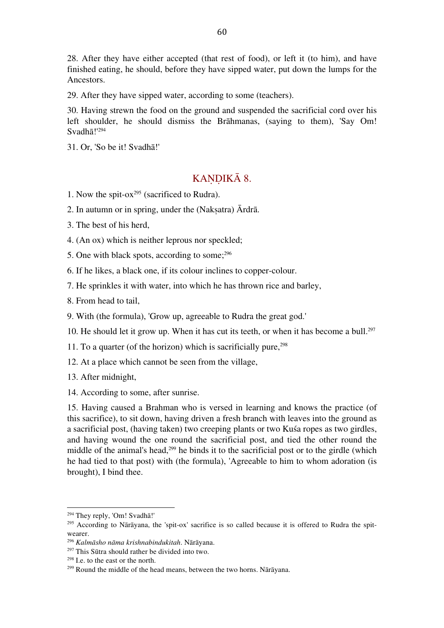28. After they have either accepted (that rest of food), or left it (to him), and have finished eating, he should, before they have sipped water, put down the lumps for the Ancestors.

29. After they have sipped water, according to some (teachers).

30. Having strewn the food on the ground and suspended the sacrificial cord over his left shoulder, he should dismiss the Brāhmanas, (saying to them), 'Say Om! Svadhā!' 294

31. Or, 'So be it! Svadhā!'

#### KANDIKĀ 8.

1. Now the spit-ox<sup>295</sup> (sacrificed to Rudra).

2. In autumn or in spring, under the (Nakṣatra) Ārdrā.

3. The best of his herd,

4. (An ox) which is neither leprous nor speckled;

5. One with black spots, according to some; 296

6. If he likes, a black one, if its colour inclines to copper-colour.

7. He sprinkles it with water, into which he has thrown rice and barley,

8. From head to tail,

9. With (the formula), 'Grow up, agreeable to Rudra the great god.'

10. He should let it grow up. When it has cut its teeth, or when it has become a bull. 297

11. To a quarter (of the horizon) which is sacrificially pure, 298

12. At a place which cannot be seen from the village,

13. After midnight,

14. According to some, after sunrise.

15. Having caused a Brahman who is versed in learning and knows the practice (of this sacrifice), to sit down, having driven a fresh branch with leaves into the ground as a sacrificial post, (having taken) two creeping plants or two Kuśa ropes as two girdles, and having wound the one round the sacrificial post, and tied the other round the middle of the animal's head,<sup>299</sup> he binds it to the sacrificial post or to the girdle (which he had tied to that post) with (the formula), 'Agreeable to him to whom adoration (is brought), I bind thee.

<sup>294</sup> They reply, 'Om! Svadhā!'

<sup>&</sup>lt;sup>295</sup> According to Nārāyana, the 'spit-ox' sacrifice is so called because it is offered to Rudra the spitwearer.

<sup>296</sup> *Kalmāsho nāma krishnabindukitah*. Nārāyana.

<sup>297</sup> This Sūtra should rather be divided into two.

<sup>298</sup> I.e. to the east or the north.

<sup>299</sup> Round the middle of the head means, between the two horns. Nārāyana.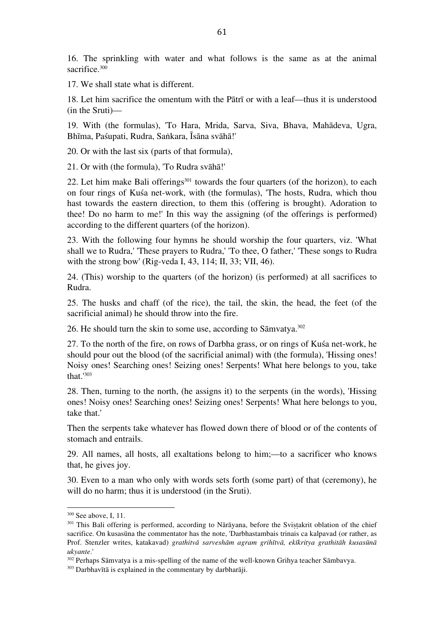16. The sprinkling with water and what follows is the same as at the animal sacrifice. 300

17. We shall state what is different.

18. Let him sacrifice the omentum with the Pātrī or with a leaf—thus it is understood (in the Sruti)—

19. With (the formulas), 'To Hara, Mrida, Sarva, Siva, Bhava, Mahādeva, Ugra, Bhīma, Paśupati, Rudra, Saṅkara, Īsāna svāhā!'

20. Or with the last six (parts of that formula),

21. Or with (the formula), 'To Rudra svāhā!'

22. Let him make Bali offerings $301$  towards the four quarters (of the horizon), to each on four rings of Kuśa net-work, with (the formulas), 'The hosts, Rudra, which thou hast towards the eastern direction, to them this (offering is brought). Adoration to thee! Do no harm to me!' In this way the assigning (of the offerings is performed) according to the different quarters (of the horizon).

23. With the following four hymns he should worship the four quarters, viz. 'What shall we to Rudra,' 'These prayers to Rudra,' 'To thee, O father,' 'These songs to Rudra with the strong bow' (Rig-veda I, 43, 114; II, 33; VII, 46).

24. (This) worship to the quarters (of the horizon) (is performed) at all sacrifices to Rudra.

25. The husks and chaff (of the rice), the tail, the skin, the head, the feet (of the sacrificial animal) he should throw into the fire.

26. He should turn the skin to some use, according to Sāmvatya. 302

27. To the north of the fire, on rows of Darbha grass, or on rings of Kuśa net-work, he should pour out the blood (of the sacrificial animal) with (the formula), 'Hissing ones! Noisy ones! Searching ones! Seizing ones! Serpents! What here belongs to you, take that.' 303

28. Then, turning to the north, (he assigns it) to the serpents (in the words), 'Hissing ones! Noisy ones! Searching ones! Seizing ones! Serpents! What here belongs to you, take that.'

Then the serpents take whatever has flowed down there of blood or of the contents of stomach and entrails.

29. All names, all hosts, all exaltations belong to him;—to a sacrificer who knows that, he gives joy.

30. Even to a man who only with words sets forth (some part) of that (ceremony), he will do no harm; thus it is understood (in the Sruti).

<sup>300</sup> See above, I, 11.

<sup>&</sup>lt;sup>301</sup> This Bali offering is performed, according to Nārāyana, before the Svistakrit oblation of the chief sacrifice. On kusasūna the commentator has the note, 'Darbhastambais trinais ca kalpavad (or rather, as Prof. Stenzler writes, katakavad) *grathitvā sarveshām agram grihītvā, ekīkritya grathitāh kusasūnā ukyante*.'

<sup>&</sup>lt;sup>302</sup> Perhaps Sāmvatya is a mis-spelling of the name of the well-known Grihya teacher Sāmbavya.

<sup>303</sup> Darbhavītā is explained in the commentary by darbharāji.